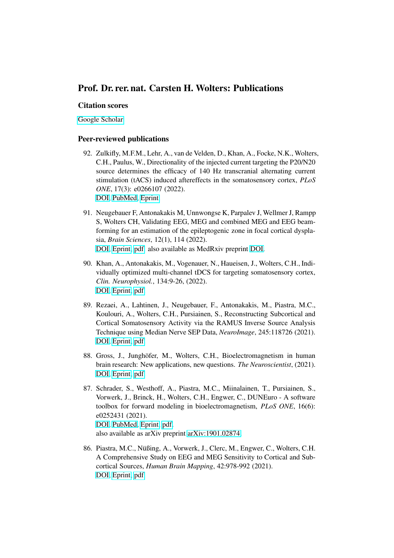# Prof. Dr. rer. nat. Carsten H. Wolters: Publications

### Citation scores

[Google Scholar](https://scholar.google.de/citations?user=PYn2wvkAAAAJ&hl=de&oi=ao)

## Peer-reviewed publications

- 92. Zulkifly, M.F.M., Lehr, A., van de Velden, D., Khan, A., Focke, N.K., Wolters, C.H., Paulus, W., Directionality of the injected current targeting the P20/N20 source determines the efficacy of 140 Hz transcranial alternating current stimulation (tACS) induced aftereffects in the somatosensory cortex, *PLoS ONE*, 17(3): e0266107 (2022). [DOI,](https://doi.org/10.1371/journal.pone.0266107) [PubMed,](https://pubmed.ncbi.nlm.nih.gov/35324989/) [Eprint.](https://journals.plos.org/plosone/article?id=10.1371/journal.pone.0266107)
- 91. Neugebauer F, Antonakakis M, Unnwongse K, Parpalev J, Wellmer J, Rampp S, Wolters CH, Validating EEG, MEG and combined MEG and EEG beamforming for an estimation of the epileptogenic zone in focal cortical dysplasia, *Brain Sciences*, 12(1), 114 (2022). [DOI,](https://doi.org/10.3390/brainsci12010114) [Eprint,](https://www.mdpi.com/2076-3425/12/1/114) [pdf.](http://www.sci.utah.edu/~wolters/PaperWolters/2022/NeugebauerEtAl_BrainSciences_2022.pdf) also available as MedRxiv preprint [DOI.](https://doi.org/10.1101/2021.12.07.21267178)
- 90. Khan, A., Antonakakis, M., Vogenauer, N., Haueisen, J., Wolters, C.H., Individually optimized multi-channel tDCS for targeting somatosensory cortex, *Clin. Neurophysiol.*, 134:9-26, (2022). [DOI,](https://doi.org/10.1016/j.clinph.2021.10.016) [Eprint,](https://www.sciencedirect.com/science/article/pii/S1388245721007938) [pdf.](http://www.sci.utah.edu/~wolters/PaperWolters/2022/KhanAntonakakisVogenauerHaueisenWolters_ClinNeurophysiol_2022.pdf)
- 89. Rezaei, A., Lahtinen, J., Neugebauer, F., Antonakakis, M., Piastra, M.C., Koulouri, A., Wolters, C.H., Pursiainen, S., Reconstructing Subcortical and Cortical Somatosensory Activity via the RAMUS Inverse Source Analysis Technique using Median Nerve SEP Data, *NeuroImage*, 245:118726 (2021). [DOI,](https://doi.org/10.1016/j.neuroimage.2021.118726) [Eprint,](https://www.sciencedirect.com/science/article/pii/S1053811921009988?via%3Dihub) [pdf.](http://www.sci.utah.edu/~wolters/PaperWolters/2021/RezaeiEtAl_NeuroImage_accepted.pdf)
- 88. Gross, J., Junghöfer, M., Wolters, C.H., Bioelectromagnetism in human brain research: New applications, new questions. *The Neuroscientist*, (2021). [DOI,](https://doi.org/10.1177/10738584211054742) [Eprint,](https://journals.sagepub.com/doi/10.1177/10738584211054742) [pdf.](http://www.sci.utah.edu/~wolters/PaperWolters/2021/GrossJunghoeferWolters_Neuroscientist_2021_accepted.pdf)
- 87. Schrader, S., Westhoff, A., Piastra, M.C., Miinalainen, T., Pursiainen, S., Vorwerk, J., Brinck, H., Wolters, C.H., Engwer, C., DUNEuro - A software toolbox for forward modeling in bioelectromagnetism, *PLoS ONE*, 16(6): e0252431 (2021). [DOI,](https://doi.org/10.1371/journal.pone.0252431) [PubMed,](https://pubmed.ncbi.nlm.nih.gov/34086715/) [Eprint,](https://journals.plos.org/plosone/article?id=10.1371/journal.pone.0252431) [pdf.](http://www.sci.utah.edu/~wolters/PaperWolters/2021/SchraderWesthoffPiastraMiinalainenPursiainenVorwerkBrinckWoltersEngwer_PlosOne_2021.pdf) also available as arXiv preprint [arXiv:1901.02874.](https://arxiv.org/abs/1901.02874)
- 86. Piastra, M.C., Nüßing, A., Vorwerk, J., Clerc, M., Engwer, C., Wolters, C.H. A Comprehensive Study on EEG and MEG Sensitivity to Cortical and Subcortical Sources, *Human Brain Mapping*, 42:978-992 (2021). [DOI,](https://doi.org/10.1002/hbm.25272) [Eprint,](https://onlinelibrary.wiley.com/doi/10.1002/hbm.25272) [pdf.](http://www.sci.utah.edu/~wolters/PaperWolters/2020/PiastraNuessingVorwerkClercEngwerWolters_HBM_2020.pdf)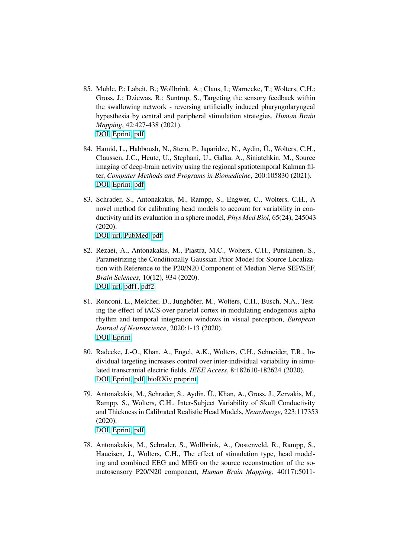- 85. Muhle, P.; Labeit, B.; Wollbrink, A.; Claus, I.; Warnecke, T.; Wolters, C.H.; Gross, J.; Dziewas, R.; Suntrup, S., Targeting the sensory feedback within the swallowing network - reversing artificially induced pharyngolaryngeal hypesthesia by central and peripheral stimulation strategies, *Human Brain Mapping*, 42:427-438 (2021). [DOI,](https://doi.org/10.1002/hbm.25233) [Eprint,](https://onlinelibrary.wiley.com/doi/epdf/10.1002/hbm.25233) [pdf.](http://www.sci.utah.edu/~wolters/PaperWolters/2021/MuhleLabeitWollbrinkClausWarneckeWoltersGrossDziewasSuntrup-Krueger_HBM_2021.pdf)
- 84. Hamid, L., Habboush, N., Stern, P., Japaridze, N., Aydin, Ü., Wolters, C.H., Claussen, J.C., Heute, U., Stephani, U., Galka, A., Siniatchkin, M., Source imaging of deep-brain activity using the regional spatiotemporal Kalman filter, *Computer Methods and Programs in Biomedicine*, 200:105830 (2021). [DOI,](https://doi.org/10.1016/j.cmpb.2020.105830) [Eprint,](https://www.sciencedirect.com/science/article/abs/pii/S0169260720316631) [pdf.](http://www.sci.utah.edu/~wolters/PaperWolters/2020/HamidHabboushSternJaparidzeAydinWoltersClaussenHeuteStephaniGalkaSiniatchkin_CompMethProgBiomed_2020_accepted.pdf)
- 83. Schrader, S., Antonakakis, M., Rampp, S., Engwer, C., Wolters, C.H., A novel method for calibrating head models to account for variability in conductivity and its evaluation in a sphere model, *Phys Med Biol*, 65(24), 245043 (2020).

[DOI,](https://doi.org/10.1088/1361-6560/abc5aa) [url,](https://iopscience.iop.org/article/10.1088/1361-6560/abc5aa) [PubMed,](https://pubmed.ncbi.nlm.nih.gov/33113524/) [pdf.](http://www.sci.utah.edu/~wolters/PaperWolters/2020/SchraderAntonakakisRamppEngwerWolters_PhysMedBiol_2020.pdf)

- 82. Rezaei, A., Antonakakis, M., Piastra, M.C., Wolters, C.H., Pursiainen, S., Parametrizing the Conditionally Gaussian Prior Model for Source Localization with Reference to the P20/N20 Component of Median Nerve SEP/SEF, *Brain Sciences*, 10(12), 934 (2020). [DOI,](https://doi.org/10.3390/brainsci10120934) [url,](https://www.mdpi.com/2076-3425/10/12/934) [pdf1,](https://www.mdpi.com/2076-3425/10/12/934/pdf) [pdf2.](http://www.sci.utah.edu/~wolters/PaperWolters/2020/RezaeiEtAl-BrainSciences-accepted.pdf)
- 81. Ronconi, L., Melcher, D., Junghöfer, M., Wolters, C.H., Busch, N.A., Testing the effect of tACS over parietal cortex in modulating endogenous alpha rhythm and temporal integration windows in visual perception, *European Journal of Neuroscience*, 2020:1-13 (2020). [DOI,](https://doi.org/10.1111/ejn.15017) [Eprint.](https://onlinelibrary.wiley.com/doi/10.1111/ejn.15017)
- 80. Radecke, J.-O., Khan, A., Engel, A.K., Wolters, C.H., Schneider, T.R., Individual targeting increases control over inter-individual variability in simulated transcranial electric fields, *IEEE Access*, 8:182610-182624 (2020). [DOI,](https://doi.org/10.1109/ACCESS.2020.3028618) [Eprint,](https://ieeexplore.ieee.org/document/9212408) [pdf,](http://www.sci.utah.edu/~wolters/PaperWolters/2020/RadeckeEtAl_IEEEAccess_2020.pdf) [bioRXiv preprint.](https://www.biorxiv.org/content/biorxiv/early/2019/08/20/739904.full.pdf)
- 79. Antonakakis, M., Schrader, S., Aydin, U., Khan, A., Gross, J., Zervakis, M., ¨ Rampp, S., Wolters, C.H., Inter-Subject Variability of Skull Conductivity and Thickness in Calibrated Realistic Head Models, *NeuroImage*, 223:117353 (2020). [DOI,](https://doi.org/10.1016/j.neuroimage.2020.117353) [Eprint,](https://www.sciencedirect.com/science/article/pii/S1053811920308399?via%3Dihub) [pdf.](http://www.sci.utah.edu/~wolters/PaperWolters/2020/AntonakakisEtAl_NeuroImage_2020.pdf)
- 78. Antonakakis, M., Schrader, S., Wollbrink, A., Oostenveld, R., Rampp, S., Haueisen, J., Wolters, C.H., The effect of stimulation type, head modeling and combined EEG and MEG on the source reconstruction of the somatosensory P20/N20 component, *Human Brain Mapping*, 40(17):5011-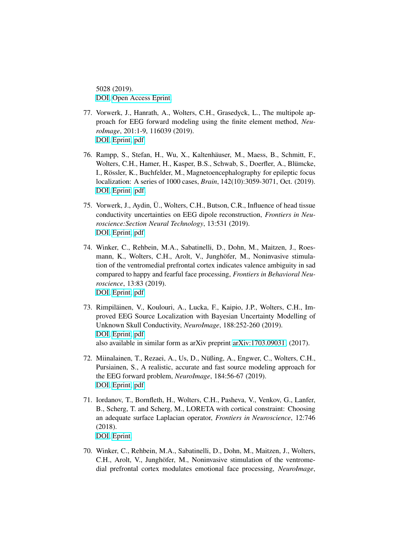5028 (2019). [DOI,](https://doi.org/10.1002/hbm.24754) [Open Access Eprint.](https://onlinelibrary.wiley.com/doi/pdf/10.1002/hbm.24754)

- 77. Vorwerk, J., Hanrath, A., Wolters, C.H., Grasedyck, L., The multipole approach for EEG forward modeling using the finite element method, *NeuroImage*, 201:1-9, 116039 (2019). [DOI,](https://doi.org/10.1016/j.neuroimage.2019.116039) [Eprint,](https://www.sciencedirect.com/science/article/abs/pii/S1053811919306202) [pdf.](http://www.sci.utah.edu/~wolters/PaperWolters/2019/VorwerkHanrathWoltersGrasedyck_NeuroImage_accepted_MultipoleVenant.pdf)
- 76. Rampp, S., Stefan, H., Wu, X., Kaltenhäuser, M., Maess, B., Schmitt, F., Wolters, C.H., Hamer, H., Kasper, B.S., Schwab, S., Doerfler, A., Blümcke, I., Rössler, K., Buchfelder, M., Magnetoencephalography for epileptic focus localization: A series of 1000 cases, *Brain*, 142(10):3059-3071, Oct. (2019). [DOI,](https://doi.org/10.1093/brain/awz231) [Eprint.](http://oup.prod.sis.lan/brain/advance-article-pdf/doi/10.1093/brain/awz231/29093831/awz231.pdf) [pdf.](http://www.sci.utah.edu/~wolters/PaperWolters/2019/RamppStefanWuKaltenhaeuserMaessSchmittWoltersHamerKasperSchwabDoerflerBluemckeRoesslerBuchfelder_Brain_accepted.pdf)
- 75. Vorwerk, J., Aydin, U., Wolters, C.H., Butson, C.R., Influence of head tissue ¨ conductivity uncertainties on EEG dipole reconstruction, *Frontiers in Neuroscience:Section Neural Technology*, 13:531 (2019). [DOI,](https://doi.org/10.3389/fnins.2019.00531) [Eprint,](https://www.frontiersin.org/articles/10.3389/fnins.2019.00531/full) [pdf.](http://www.sci.utah.edu/~wolters/PaperWolters/2019/VorwerkAydinWoltersButson_FrontiersNeurosci_2019.pdf)
- 74. Winker, C., Rehbein, M.A., Sabatinelli, D., Dohn, M., Maitzen, J., Roesmann, K., Wolters, C.H., Arolt, V., Junghöfer, M., Noninvasive stimulation of the ventromedial prefrontal cortex indicates valence ambiguity in sad compared to happy and fearful face processing, *Frontiers in Behavioral Neuroscience*, 13:83 (2019). [DOI,](https://doi.org/10.3389/fnbeh.2019.00083) [Eprint,](https://www.frontiersin.org/article/10.3389/fnbeh.2019.00083) [pdf.](http://www.sci.utah.edu/~wolters/PaperWolters/2019/WinkerRehbeinSabatinelliDohnMaitzenRoesmannWoltersAroltJunghoefer_FronBehavNeurosci_2019.pdf)
- 73. Rimpiläinen, V., Koulouri, A., Lucka, F., Kaipio, J.P., Wolters, C.H., Improved EEG Source Localization with Bayesian Uncertainty Modelling of Unknown Skull Conductivity, *NeuroImage*, 188:252-260 (2019). [DOI,](https://doi.org/10.1016/j.neuroimage.2018.11.058) [Eprint,](https://www.sciencedirect.com/science/article/pii/S1053811918321396) [pdf.](http://www.sci.utah.edu/~wolters/PaperWolters/2018/RimpilainenKoulouriLuckaKaipioWolters_NeuroImage_2018_acceptedmanuscript.pdf) also available in similar form as arXiv preprint [arXiv:1703.09031,](http://arxiv.org/abs/1703.09031) (2017).
- 72. Miinalainen, T., Rezaei, A., Us, D., Nüßing, A., Engwer, C., Wolters, C.H., Pursiainen, S., A realistic, accurate and fast source modeling approach for the EEG forward problem, *NeuroImage*, 184:56-67 (2019). [DOI,](https://doi.org/10.1016/j.neuroimage.2018.08.054) [Eprint,](https://www.sciencedirect.com/science/article/pii/S1053811918307523) [pdf.](http://www.sci.utah.edu/~wolters/PaperWolters/2018/MiinalainenRezaeiUsNuessingEngwerWoltersPursiainen_NeuroImage_accepted.pdf)
- 71. Iordanov, T., Bornfleth, H., Wolters, C.H., Pasheva, V., Venkov, G., Lanfer, B., Scherg, T. and Scherg, M., LORETA with cortical constraint: Choosing an adequate surface Laplacian operator, *Frontiers in Neuroscience*, 12:746 (2018). [DOI,](https://doi.org/10.3389/fnins.2018.00746) [Eprint.](https://www.frontiersin.org/articles/10.3389/fnins.2018.00746/full)
- 70. Winker, C., Rehbein, M.A., Sabatinelli, D., Dohn, M., Maitzen, J., Wolters, C.H., Arolt, V., Junghöfer, M., Noninvasive stimulation of the ventromedial prefrontal cortex modulates emotional face processing, *NeuroImage*,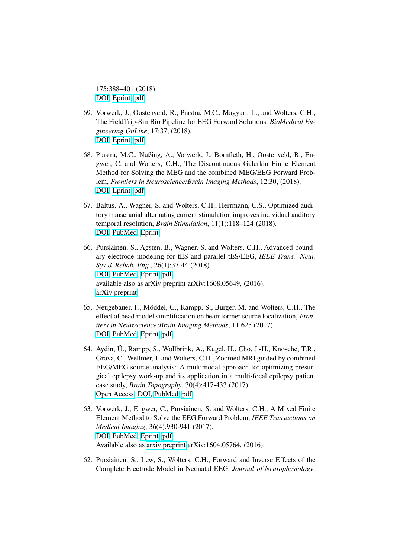175:388–401 (2018). [DOI,](http://dx.doi.org/10.1016/j.neuroimage.2018.03.067) [Eprint,](https://www.sciencedirect.com/science/article/pii/S1053811918302775) [pdf.](http://www.sci.utah.edu/~wolters/PaperWolters/2018/WinkerRehbeinSabatinelliDohnMaitzenWoltersAroltJunghoefer_NeuroImage_2018_accepted.pdf)

- 69. Vorwerk, J., Oostenveld, R., Piastra, M.C., Magyari, L., and Wolters, C.H., The FieldTrip-SimBio Pipeline for EEG Forward Solutions, *BioMedical Engineering OnLine*, 17:37, (2018). [DOI,](https://doi.org/10.1186/s12938-018-0463-y) [Eprint,](https://biomedical-engineering-online.biomedcentral.com/articles/10.1186/s12938-018-0463-y) [pdf](http://www.sci.utah.edu/~wolters/PaperWolters/2018/VorwerkOostenveldPiastraMagyariWolters_BioMedicalEngineeringOnLine_2018.pdf)
- 68. Piastra, M.C., Nüßing, A., Vorwerk, J., Bornfleth, H., Oostenveld, R., Engwer, C. and Wolters, C.H., The Discontinuous Galerkin Finite Element Method for Solving the MEG and the combined MEG/EEG Forward Problem, *Frontiers in Neuroscience:Brain Imaging Methods*, 12:30, (2018). [DOI,](http://dx.doi.org/10.3389/fnins.2018.00030) [Eprint,](https://www.frontiersin.org/articles/10.3389/fnins.2018.00030/full) [pdf](http://www.sci.utah.edu/~wolters/PaperWolters/2018/PiastraNuessingVorwerkBornflethOostenveldEngwerWolters_FrontiersInNeuroscience_2018.pdf)
- 67. Baltus, A., Wagner, S. and Wolters, C.H., Herrmann, C.S., Optimized auditory transcranial alternating current stimulation improves individual auditory temporal resolution, *Brain Stimulation*, 11(1):118–124 (2018). [DOI,](http://dx.doi.org/10.1016/j.brs.2017.10.008) [PubMed,](https://www.ncbi.nlm.nih.gov/pubmed/29079460) [Eprint](http://www.sciencedirect.com/science/article/pii/S1935861X17309415)
- 66. Pursiainen, S., Agsten, B., Wagner, S. and Wolters, C.H., Advanced boundary electrode modeling for tES and parallel tES/EEG, *IEEE Trans. Neur. Sys.& Rehab. Eng.*, 26(1):37-44 (2018). [DOI,](http://dx.doi.org/10.1109/TNSRE.2017.2748930) [PubMed,](https://www.ncbi.nlm.nih.gov/pubmed/28961118) [Eprint,](http://ieeexplore.ieee.org/stamp/stamp.jsp?arnumber=8052525) [pdf.](http://www.sci.utah.edu/~wolters/PaperWolters/2017/PursiainenAgstenWagnerWolters_IEEETransNeurSysRehabEng_2017_ArxivVersion.pdf) available also as arXiv preprint arXiv:1608.05649, (2016). [arXiv preprint](http://arxiv.org/abs/1608.05649)
- 65. Neugebauer, F., Möddel, G., Rampp, S., Burger, M. and Wolters, C.H., The effect of head model simplification on beamformer source localization, *Frontiers in Neuroscience:Brain Imaging Methods*, 11:625 (2017). [DOI,](http://dx.doi.org/10.3389/fnins.2017.00625) [PubMed,](https://www.ncbi.nlm.nih.gov/pmc/articles/PMC5701642/) [Eprint,](https://www.frontiersin.org/articles/10.3389/fnins.2017.00625/full) [pdf.](http://www.sci.utah.edu/~wolters/PaperWolters/2017/NeugebauerMoeddelRamppBurgerWolters_FrontiersNeurosci_2017.pdf)
- 64. Aydin, Ü., Rampp, S., Wollbrink, A., Kugel, H., Cho, J.-H., Knösche, T.R., Grova, C., Wellmer, J. and Wolters, C.H., Zoomed MRI guided by combined EEG/MEG source analysis: A multimodal approach for optimizing presurgical epilepsy work-up and its application in a multi-focal epilepsy patient case study, *Brain Topography*, 30(4):417-433 (2017). [Open Access,](https://link.springer.com/article/10.1007/s10548-017-0568-9) [DOI,](http://dx.doi.org/10.1007/s10548-017-0568-9) [PubMed,](https://www.ncbi.nlm.nih.gov/pubmed/28510905) [pdf.](http://www.sci.utah.edu/~wolters/PaperWolters/2017/AydinRamppWollbrinkKugelChoKnoescheGrovaWellmerWolters_BrainTopography_2017.pdf)
- 63. Vorwerk, J., Engwer, C., Pursiainen, S. and Wolters, C.H., A Mixed Finite Element Method to Solve the EEG Forward Problem, *IEEE Transactions on Medical Imaging*, 36(4):930-941 (2017). [DOI,](http://dx.doi.org/10.1109/TMI.2016.2624634) [PubMed,](https://www.ncbi.nlm.nih.gov/pubmed/27831869) [Eprint,](http://ieeexplore.ieee.org/document/7731161) [pdf.](http://www.sci.utah.edu/~wolters/PaperWolters/2016/VorwerkEngwerPursiainenWolters_IEEETransMedImag_accepted2016_MixedFEM.pdf) Available also as [arxiv preprint](http://arxiv.org/abs/1604.05764) arXiv:1604.05764, (2016).
- 62. Pursiainen, S., Lew, S., Wolters, C.H., Forward and Inverse Effects of the Complete Electrode Model in Neonatal EEG, *Journal of Neurophysiology*,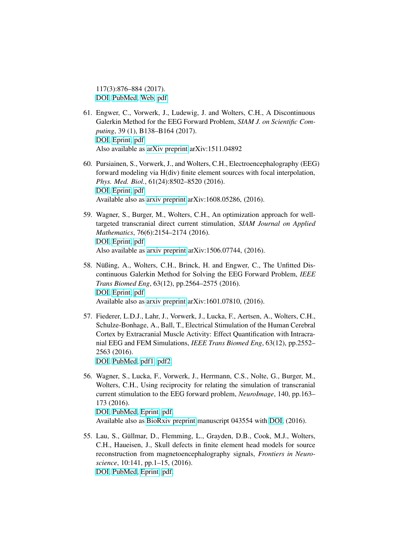117(3):876–884 (2017). [DOI,](http://dx.doi.org/10.1152/jn.00427.2016) [PubMed,](https://www.ncbi.nlm.nih.gov/pubmed/27852731) [Web,](http://jn.physiology.org/content/117/3/876.long) [pdf.](http://www.sci.utah.edu/~wolters/PaperWolters/2017/PursiainenLewWolters_JNeurophysiol_2017.pdf)

- 61. Engwer, C., Vorwerk, J., Ludewig, J. and Wolters, C.H., A Discontinuous Galerkin Method for the EEG Forward Problem, *SIAM J. on Scientific Computing*, 39 (1), B138–B164 (2017). [DOI,](http://dx.doi.org/10.1137/15M1048392) [Eprint,](http://epubs.siam.org/doi/abs/10.1137/15M1048392) [pdf.](http://www.sci.utah.edu/~wolters/PaperWolters/2017/EngwerVorwerkLudewigWolters_SIAM-SISC_2017_DG-FEM.pdf) Also available as [arXiv preprint](https://arxiv.org/abs/1511.04892) arXiv:1511.04892
- 60. Pursiainen, S., Vorwerk, J., and Wolters, C.H., Electroencephalography (EEG) forward modeling via H(div) finite element sources with focal interpolation, *Phys. Med. Biol.*, 61(24):8502–8520 (2016). [DOI,](http://dx.doi.org/10.1088/0031-9155/61/24/8502) [Eprint,](http://iopscience.iop.org/0031-9155/61/24/8502) [pdf.](http://www.sci.utah.edu/~wolters/PaperWolters/2016/PursiainenVorwerkWolters_PhysMedBiol_accepted2016_HDiv.pdf) Available also as [arxiv preprint](https://arxiv.org/pdf/1608.05286.pdf) arXiv:1608.05286, (2016).
- 59. Wagner, S., Burger, M., Wolters, C.H., An optimization approach for welltargeted transcranial direct current stimulation, *SIAM Journal on Applied Mathematics*, 76(6):2154–2174 (2016). [DOI,](http://dx.doi.org/10.1137/15M1026481) [Eprint,](http://epubs.siam.org/doi/10.1137/15M1026481) [pdf.](http://www.sci.utah.edu/~wolters/PaperWolters/2016/WagnerBurgerWolters_SIAP_2016_accepted.pdf) Also available as [arxiv preprint](http://arxiv.org/pdf/1506.07744.pdf) arXiv:1506.07744, (2016).
- 58. Nüßing, A., Wolters, C.H., Brinck, H. and Engwer, C., The Unfitted Discontinuous Galerkin Method for Solving the EEG Forward Problem, *IEEE Trans Biomed Eng*, 63(12), pp.2564–2575 (2016). [DOI,](http://dx.doi.org/10.1109/TBME.2016.2590740) [Eprint,](http://ieeexplore.ieee.org/stamp/stamp.jsp?arnumber=7511781) [pdf.](http://www.sci.utah.edu/~wolters/PaperWolters/2016/NuessingWoltersBrinckEngwer_IEEE-TBME_2016.pdf) Available also as [arxiv preprint](http://arxiv.org/abs/1601.07810) arXiv:1601.07810, (2016).
- 57. Fiederer, L.D.J., Lahr, J., Vorwerk, J., Lucka, F., Aertsen, A., Wolters, C.H., Schulze-Bonhage, A., Ball, T., Electrical Stimulation of the Human Cerebral Cortex by Extracranial Muscle Activity: Effect Quantification with Intracranial EEG and FEM Simulations, *IEEE Trans Biomed Eng*, 63(12), pp.2552– 2563 (2016).

[DOI,](http://dx.doi.org/10.1109/TBME.2016.2570743) [PubMed,](http://www.ncbi.nlm.nih.gov/pubmed/27448334) [pdf1,](http://ieeexplore.ieee.org/ielx7/10/7748606/07516645.pdf?tp=&arnumber=7516645&isnumber=7748606) [pdf2.](http://www.sci.utah.edu/~wolters/PaperWolters/2016/FiedererLahrVorwerkLuckaArtsenWoltersBonhageBall_IEEETBME_2016_webversion.pdf)

- 56. Wagner, S., Lucka, F., Vorwerk, J., Herrmann, C.S., Nolte, G., Burger, M., Wolters, C.H., Using reciprocity for relating the simulation of transcranial current stimulation to the EEG forward problem, *NeuroImage*, 140, pp.163– 173 (2016). [DOI,](http://dx.doi.org/10.1016/j.neuroimage.2016.04.005) [PubMed,](http://www.ncbi.nlm.nih.gov/pubmed/27125841) [Eprint,](http://www.sciencedirect.com/science/article/pii/S1053811916300386) [pdf.](http://www.sci.utah.edu/~wolters/PaperWolters/2016/WagnerLuckaVorwerkHerrmannNolteBurgerWolters_NeuroImage_2016.pdf)
	- Available also as [BioRxiv preprint](http://biorxiv.org/content/early/2016/03/15/043554) manuscript 043554 with [DOI,](http://dx.doi.org/10.1101/043554) (2016).
- 55. Lau, S., Güllmar, D., Flemming, L., Grayden, D.B., Cook, M.J., Wolters, C.H., Haueisen, J., Skull defects in finite element head models for source reconstruction from magnetoencephalography signals, *Frontiers in Neuroscience*, 10:141, pp.1–15, (2016). [DOI,](http://dx.doi.org/10.3389/fnins.2016.00141) [PubMed,](http://www.ncbi.nlm.nih.gov/pubmed/27092044) [Eprint,](http://journal.frontiersin.org/article/10.3389/fnins.2016.00141/abstract) [pdf.](http://www.sci.utah.edu/~wolters/PaperWolters/2016/LauGuellmarFlemmingGraydenCookWoltersHaueisen_FrontiersInNeuroscience_2016.pdf)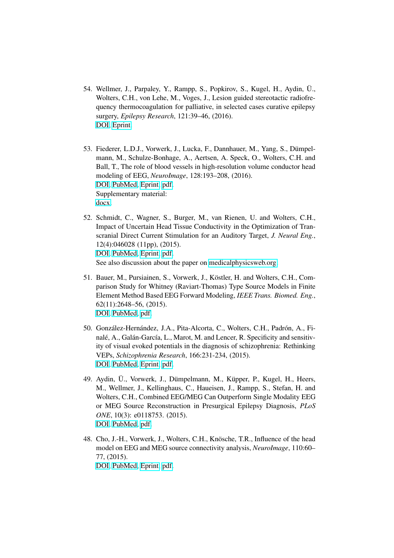- 54. Wellmer, J., Parpaley, Y., Rampp, S., Popkirov, S., Kugel, H., Aydin, Ü., Wolters, C.H., von Lehe, M., Voges, J., Lesion guided stereotactic radiofrequency thermocoagulation for palliative, in selected cases curative epilepsy surgery, *Epilepsy Research*, 121:39–46, (2016). [DOI,](http://dx.doi.org/10.1016/j.eplepsyres.2016.01.005) [Eprint.](http://www.sciencedirect.com/science/article/pii/S0920121116300055)
- 53. Fiederer, L.D.J., Vorwerk, J., Lucka, F., Dannhauer, M., Yang, S., Dümpelmann, M., Schulze-Bonhage, A., Aertsen, A. Speck, O., Wolters, C.H. and Ball, T., The role of blood vessels in high-resolution volume conductor head modeling of EEG, *NeuroImage*, 128:193–208, (2016). [DOI,](http://dx.doi.org/10.1016/j.neuroimage.2015.12.041) [PubMed,](https://www.ncbi.nlm.nih.gov/pubmed/26747748) [Eprint,](http://www.sciencedirect.com/science/article/pii/S1053811915011544) [pdf.](http://www.sci.utah.edu/~wolters/PaperWolters/2016/FiedererVorwerkLuckaDannhauerYangDuempelmannSchulze-BonhageAertsenSpeckWoltersBall_NeuroImage_2016_Webversion.pdf) Supplementary material: [docx.](http://www.sci.utah.edu/~wolters/PaperWolters/2016/FiedererVorwerkLuckaDannhauerYangDuempelmannSchulze-BonhageAertsenSpeckWoltersBall_NeuroImage_2016_SupplementaryMaterial.docx)
- 52. Schmidt, C., Wagner, S., Burger, M., van Rienen, U. and Wolters, C.H., Impact of Uncertain Head Tissue Conductivity in the Optimization of Transcranial Direct Current Stimulation for an Auditory Target, *J. Neural Eng.*, 12(4):046028 (11pp), (2015). [DOI,](http://dx.doi.org/10.1088/1741-2560/12/4/046028) [PubMed,](http://www.ncbi.nlm.nih.gov/pubmed/26170066) [Eprint,](http://iopscience.iop.org/1741-2552/12/4/046028/) [pdf.](http://iopscience.iop.org/1741-2552/12/4/046028/pdf/1741-2552_12_4_046028.pdf) See also discussion about the paper on [medicalphysicsweb.org.](http://medicalphysicsweb.org/cws/article/research/62065)
- 51. Bauer, M., Pursiainen, S., Vorwerk, J., Köstler, H. and Wolters, C.H., Comparison Study for Whitney (Raviart-Thomas) Type Source Models in Finite Element Method Based EEG Forward Modeling, *IEEE Trans. Biomed. Eng.*, 62(11):2648–56, (2015). [DOI,](http://dx.doi.org/10.1109/TBME.2015.2439282) [PubMed,](http://www.ncbi.nlm.nih.gov/pubmed/26054057) [pdf.](http://www.sci.utah.edu/~wolters/PaperWolters/2015/BauerPursiainenVorwerkKoestlerWolters_IEEETransBiomedEng_2015.pdf)
- 50. González-Hernández, J.A., Pita-Alcorta, C., Wolters, C.H., Padrón, A., Finalé, A., Galán-García, L., Marot, M. and Lencer, R. Specificity and sensitivity of visual evoked potentials in the diagnosis of schizophrenia: Rethinking VEPs, *Schizophrenia Research*, 166:231-234, (2015). [DOI,](http://dx.doi.org/10.1016/j.schres.2015.05.007) [PubMed,](http://www.ncbi.nlm.nih.gov/pubmed/26004691) [Eprint,](http://www.sciencedirect.com/science/article/pii/S0920996415002649) [pdf.](http://www.sci.utah.edu/~wolters/PaperWolters/2015/Gonzalez-HernandezAlcortaWoltersPadronFinaleGalan-GarciaMarotLencer_SchizophreniaResearch_2015.pdf)
- 49. Aydin, Ü., Vorwerk, J., Dümpelmann, M., Küpper, P., Kugel, H., Heers, M., Wellmer, J., Kellinghaus, C., Haueisen, J., Rampp, S., Stefan, H. and Wolters, C.H., Combined EEG/MEG Can Outperform Single Modality EEG or MEG Source Reconstruction in Presurgical Epilepsy Diagnosis, *PLoS ONE*, 10(3): e0118753. (2015). [DOI,](http://dx.doi.org/10.1371/journal.pone.0118753) [PubMed,](http://www.ncbi.nlm.nih.gov/pubmed/25761059) [pdf.](http://www.sci.utah.edu/~wolters/PaperWolters/2015/AydinEtAl_PlosOne_2015.pdf)
- 48. Cho, J.-H., Vorwerk, J., Wolters, C.H., Knösche, T.R., Influence of the head model on EEG and MEG source connectivity analysis, *NeuroImage*, 110:60– 77, (2015). [DOI,](http://dx.doi.org/10.1016/j.neuroimage.2015.01.043) [PubMed,](http://www.ncbi.nlm.nih.gov/pubmed/25638756) [Eprint,](http://www.sciencedirect.com/science/article/pii/S1053811915000683) [pdf.](http://www.sci.utah.edu/~wolters/PaperWolters/2015/ChoVorwerkWoltersKnoesche_NeuroImage_2015_webversion.pdf)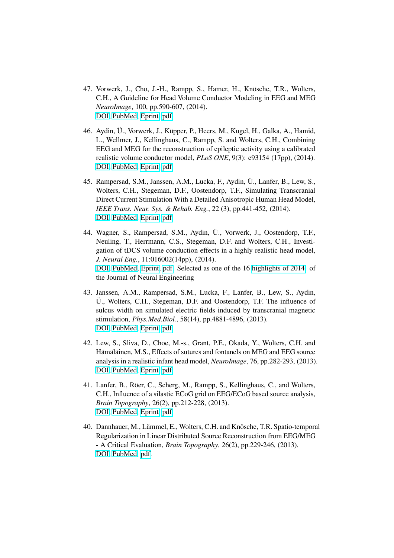- 47. Vorwerk, J., Cho, J.-H., Rampp, S., Hamer, H., Knösche, T.R., Wolters, C.H., A Guideline for Head Volume Conductor Modeling in EEG and MEG *NeuroImage*, 100, pp.590-607, (2014). [DOI,](http://dx.doi.org/10.1016/j.neuroimage.2014.06.040) [PubMed,](http://www.ncbi.nlm.nih.gov/pubmed/24971512) [Eprint,](http://www.sciencedirect.com/science/article/pii/S1053811914005175) [pdf.](http://www.sci.utah.edu/~wolters/PaperWolters/2014/VorwerkChoRamppHamerKnoescheWolters_NeuroImage_2014_Webversion.pdf)
- 46. Aydin, Ü., Vorwerk, J., Küpper, P., Heers, M., Kugel, H., Galka, A., Hamid, L., Wellmer, J., Kellinghaus, C., Rampp, S. and Wolters, C.H., Combining EEG and MEG for the reconstruction of epileptic activity using a calibrated realistic volume conductor model, *PLoS ONE*, 9(3): e93154 (17pp), (2014). [DOI,](http://dx.doi.org/10.1371/journal.pone.0093154) [PubMed,](http://www.ncbi.nlm.nih.gov/pubmed/24671208) [Eprint,](http://www.plosone.org/article/info%3Adoi%2F10.1371%2Fjournal.pone.0093154) [pdf.](http://www.sci.utah.edu/~wolters/PaperWolters/2014/AydinEtAl_PlosOne_2014.pdf)
- 45. Rampersad, S.M., Janssen, A.M., Lucka, F., Aydin, Ü., Lanfer, B., Lew, S., Wolters, C.H., Stegeman, D.F., Oostendorp, T.F., Simulating Transcranial Direct Current Stimulation With a Detailed Anisotropic Human Head Model, *IEEE Trans. Neur. Sys. & Rehab. Eng.*, 22 (3), pp.441-452, (2014). [DOI,](http://dx.doi.org/10.1109/TNSRE.2014.2308997) [PubMed,](http://www.ncbi.nlm.nih.gov/pubmed/24760939) [Eprint,](http://ieeexplore.ieee.org/xpl/abstractAuthors.jsp?arnumber=6750748) [pdf.](http://www.sci.utah.edu/~wolters/PaperWolters/2014/RampersadJanssenLuckaAydinLanferLewWoltersStegemanOostendorp_IEEETransNeurSysRehabEng_2014_Webpage.pdf)
- 44. Wagner, S., Rampersad, S.M., Aydin, Ü., Vorwerk, J., Oostendorp, T.F., Neuling, T., Herrmann, C.S., Stegeman, D.F. and Wolters, C.H., Investigation of tDCS volume conduction effects in a highly realistic head model, *J. Neural Eng.*, 11:016002(14pp), (2014). [DOI,](http://dx.doi.org/10.1088/1741-2560/11/1/016002) [PubMed,](http://www.ncbi.nlm.nih.gov/pubmed/24310982) [Eprint,](http://stacks.iop.org/1741-2552/11/016002) [pdf.](http://www.sci.utah.edu/~wolters/PaperWolters/2014/WagnerRampersadAydinVorwerkOostendorpNeulingHerrmannStegemanWolters_JNeuralEng_2014_Webversion.pdf) Selected as one of the 16 [highlights of 2014.](http://iopscience.iop.org/1741-2552/page/Highlights-of-2014) of the Journal of Neural Engineering
- 43. Janssen, A.M., Rampersad, S.M., Lucka, F., Lanfer, B., Lew, S., Aydin, Ü., Wolters, C.H., Stegeman, D.F. and Oostendorp, T.F. The influence of sulcus width on simulated electric fields induced by transcranial magnetic stimulation, *Phys.Med.Biol.*, 58(14), pp.4881-4896, (2013). [DOI,](http://dx.doi.org/10.1088/0031-9155/58/14/4881) [PubMed,](http://www.ncbi.nlm.nih.gov/pubmed/23787706) [Eprint,](http://iopscience.iop.org/0031-9155/58/14/4881) [pdf.](http://www.sci.utah.edu/~wolters/PaperWolters/2013/JanssenRampersadLuckaLanferLewAydinWoltersStegemanOostendorp_PhysMedBiol_2013_OwnWebpage.pdf)
- 42. Lew, S., Sliva, D., Choe, M.-s., Grant, P.E., Okada, Y., Wolters, C.H. and Hämäläinen, M.S., Effects of sutures and fontanels on MEG and EEG source analysis in a realistic infant head model, *NeuroImage*, 76, pp.282-293, (2013). [DOI,](http://dx.doi.org/10.1016/j.neuroimage.2013.03.017) [PubMed,](http://www.ncbi.nlm.nih.gov/pubmed/23531680) [Eprint,](http://www.sciencedirect.com/science/article/pii/S1053811913002590) [pdf.](http://www.sci.utah.edu/~wolters/PaperWolters/2013/LewSlivaChoeGrantOkadaWoltersHaemaelaeinen_NeuroImage_2013_Webversion.pdf)
- 41. Lanfer, B., Röer, C., Scherg, M., Rampp, S., Kellinghaus, C., and Wolters, C.H., Influence of a silastic ECoG grid on EEG/ECoG based source analysis, *Brain Topography*, 26(2), pp.212-228, (2013). [DOI,](http://dx.doi.org/10.1007/s10548-012-0251-0) [PubMed,](http://www.ncbi.nlm.nih.gov/pubmed/22941500) [Eprint,](http://link.springer.com/article/10.1007/s10548-012-0251-0) [pdf.](http://www.sci.utah.edu/~wolters/PaperWolters/2013/LanferRoeerSchergRamppKellinghausWolters_BrainTopography_2013_Webversion.pdf)
- 40. Dannhauer, M., Lämmel, E., Wolters, C.H. and Knösche, T.R. Spatio-temporal Regularization in Linear Distributed Source Reconstruction from EEG/MEG - A Critical Evaluation, *Brain Topography*, 26(2), pp.229-246, (2013). [DOI,](http://dx.doi.org/10.1007/s10548-012-0263-9) [PubMed,](http://www.ncbi.nlm.nih.gov/pubmed/23112100) [pdf.](http://www.sci.utah.edu/~wolters/PaperWolters/2013/DannhauerLaemmelWoltersKnoesche_BrainTopography_2013.pdf)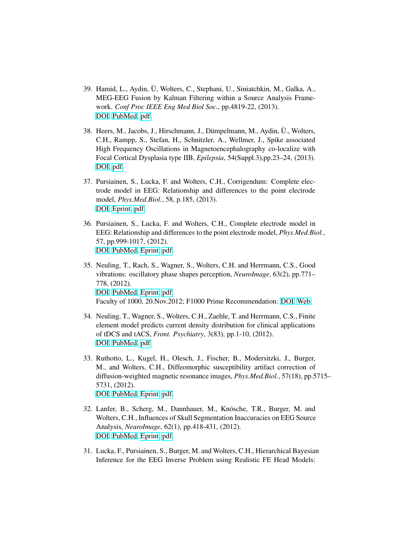- 39. Hamid, L., Aydin, U, Wolters, C., Stephani, U., Siniatchkin, M., Galka, A., ¨ MEG-EEG Fusion by Kalman Filtering within a Source Analysis Framework. *Conf Proc IEEE Eng Med Biol Soc.*, pp.4819-22, (2013). [DOI,](http://dx.doi.org/10.1109/EMBC.2013.6610626) [PubMed,](http://www.ncbi.nlm.nih.gov/pubmed/24110813) [pdf.](http://www.sci.utah.edu/~wolters/PaperWolters/2013/HamidAydinWoltersStephaniSiniatchkinGalka_EMBC_2013.pdf)
- 38. Heers, M., Jacobs, J., Hirschmann, J., Dümpelmann, M., Aydin, Ü., Wolters, C.H., Rampp, S., Stefan, H., Schnitzler, A., Wellmer, J., Spike associated High Frequency Oscillations in Magnetoencephalography co-localize with Focal Cortical Dysplasia type IIB, *Epilepsia*, 54(Suppl.3),pp.23–24, (2013). [DOI,](http://dx.doi.org/10.1111/epi.12228) [pdf.](http://www.sci.utah.edu/~wolters/PaperWolters/2013/ILAE_Montreal_2013.pdf)
- 37. Pursiainen, S., Lucka, F. and Wolters, C.H., Corrigendum: Complete electrode model in EEG: Relationship and differences to the point electrode model, *Phys.Med.Biol.*, 58, p.185, (2013). [DOI,](http://dx.doi.org/10.1088/0031-9155/58/1/185) [Eprint,](http://iopscience.iop.org/0031-9155/58/1/185/) [pdf.](http://www.sci.utah.edu/~wolters/PaperWolters/2013/PursiainenLuckaWolters_Corrigendum_PhysMedBiol_2013_IOPScienceVersion.pdf)
- 36. Pursiainen, S., Lucka, F. and Wolters, C.H., Complete electrode model in EEG: Relationship and differences to the point electrode model, *Phys.Med.Biol.*, 57, pp.999-1017, (2012). [DOI,](http://dx.doi.org/10.1088/0031-9155/57/4/999) [PubMed,](http://www.ncbi.nlm.nih.gov/pubmed/22297396) [Eprint,](http://m.iopscience.iop.org/0031-9155/57/4/999) [pdf.](http://www.sci.utah.edu/~wolters/PaperWolters/2012/PursiainenLuckaWolters_PhysMedBiol_2012_Webversion.pdf)
- 35. Neuling, T., Rach, S., Wagner, S., Wolters, C.H. and Herrmann, C.S., Good vibrations: oscillatory phase shapes perception, *NeuroImage*, 63(2), pp.771– 778, (2012). [DOI,](http://dx.doi.org/10.1016/j.neuroimage.2012.07.024) [PubMed,](http://www.ncbi.nlm.nih.gov/pubmed/22836177) [Eprint,](http://www.sciencedirect.com/science/article/pii/S1053811912007446) [pdf.](http://www.sci.utah.edu/~wolters/PaperWolters/2012/NeulingEtAl_Neuroimage_2012_Webversion.pdf) Faculty of 1000, 20.Nov.2012; F1000 Prime Recommendation: [DOI,](http://dx.doi.org/10.3410/f.717962715.793464678) [Web.](http://f1000.com/prime/717962715#eval793464678)
- 34. Neuling, T., Wagner, S., Wolters, C.H., Zaehle, T. and Herrmann, C.S., Finite element model predicts current density distribution for clinical applications of tDCS and tACS, *Front. Psychiatry*, 3(83), pp.1-10, (2012). [DOI,](http://dx.doi.org/10.3389/fpsyt.2012.00083) [PubMed,](http://www.ncbi.nlm.nih.gov/pubmed/23015792) [pdf.](http://www.sci.utah.edu/~wolters/PaperWolters/2012/NeulingEtAl_Frontiers_2012_Webversion.pdf)
- 33. Ruthotto, L., Kugel, H., Olesch, J., Fischer, B., Modersitzki, J., Burger, M., and Wolters, C.H., Diffeomorphic susceptibility artifact correction of diffusion-weighted magnetic resonance images, *Phys.Med.Biol.*, 57(18), pp.5715– 5731, (2012). [DOI,](http://dx.doi.org/10.1088/0031-9155/57/18/5715) [PubMed,](http://www.ncbi.nlm.nih.gov/pubmed/22941943) [Eprint,](http://iopscience.iop.org/0031-9155/57/18/5715/) [pdf.](http://www.sci.utah.edu/~wolters/PaperWolters/2012/RuthottoEtAl_PhysMedBiol_2012.pdf)
- 32. Lanfer, B., Scherg, M., Dannhauer, M., Knösche, T.R., Burger, M. and Wolters, C.H., Influences of Skull Segmentation Inaccuracies on EEG Source Analysis, *NeuroImage*, 62(1), pp.418-431, (2012). [DOI,](http://dx.doi.org/10.1016/j.neuroimage.2012.05.006) [PubMed,](http://www.ncbi.nlm.nih.gov/pubmed/22584227) [Eprint,](http://www.sciencedirect.com/science/article/pii/S1053811912004946) [pdf.](http://www.sci.utah.edu/~wolters/PaperWolters/2012/LanferSchergDannhauerKnoescheBurgerWolters_NeuroImage_2012.pdf)
- 31. Lucka, F., Pursiainen, S., Burger, M. and Wolters, C.H., Hierarchical Bayesian Inference for the EEG Inverse Problem using Realistic FE Head Models: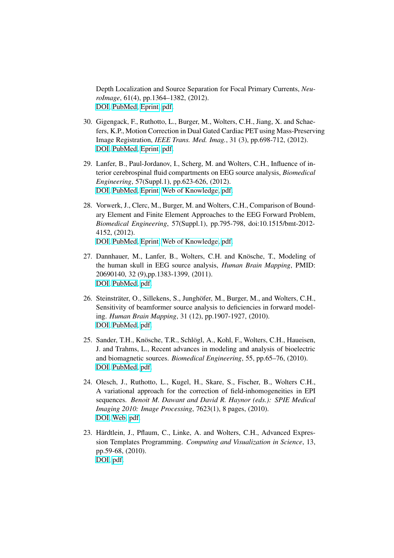Depth Localization and Source Separation for Focal Primary Currents, *NeuroImage*, 61(4), pp.1364–1382, (2012). [DOI,](http://dx.doi.org/10.1016/j.neuroimage.2012.04.017) [PubMed,](http://www.ncbi.nlm.nih.gov/pubmed/22537599) [Eprint,](http://www.sciencedirect.com/science/article/pii/S1053811912003989) [pdf.](http://www.sci.utah.edu/~wolters/PaperWolters/2012/LuckaEtAl_NeuroImage_2012_Webversion.pdf)

- 30. Gigengack, F., Ruthotto, L., Burger, M., Wolters, C.H., Jiang, X. and Schaefers, K.P., Motion Correction in Dual Gated Cardiac PET using Mass-Preserving Image Registration, *IEEE Trans. Med. Imag.*, 31 (3), pp.698-712, (2012). [DOI,](http://dx.doi.org/10.1109/TMI.2011.2175402) [PubMed,](http://www.ncbi.nlm.nih.gov/pubmed/22084048) [Eprint,](http://ieeexplore.ieee.org/xpl/articleDetails.jsp?arnumber=6074945) [pdf.](http://www.sci.utah.edu/~wolters/PaperWolters/2012/GigengackRuthottoBurgerWoltersJiangSchaefers_IEEETMI_2012_WebVersion.pdf)
- 29. Lanfer, B., Paul-Jordanov, I., Scherg, M. and Wolters, C.H., Influence of interior cerebrospinal fluid compartments on EEG source analysis, *Biomedical Engineering*, 57(Suppl.1), pp.623-626, (2012). [DOI,](http://dx.doi.org/10.1515/bmt-2012-4020) [PubMed,](http://www.ncbi.nlm.nih.gov/pubmed/22945059) [Eprint,](http://www.degruyter.com/view/j/bmte.2012.57.issue-s1-F/bmt-2012-4020/bmt-2012-4020.xml) [Web of Knowledge,](http://gateway.webofknowledge.com/gateway/Gateway.cgi?GWVersion=2&SrcAuth=Alerting&SrcApp=Alerting&DestApp=WOS&DestLinkType=FullRecord;UT=WOS:000312675100213) [pdf.](http://www.sci.utah.edu/~wolters/PaperWolters/2012/LanferEtAl_bmt-2012-4020.pdf)
- 28. Vorwerk, J., Clerc, M., Burger, M. and Wolters, C.H., Comparison of Boundary Element and Finite Element Approaches to the EEG Forward Problem, *Biomedical Engineering*, 57(Suppl.1), pp.795-798, doi:10.1515/bmt-2012- 4152, (2012). [DOI,](http://dx.doi.org/10.1515/bmt-2012-4152) [PubMed,](http://www.ncbi.nlm.nih.gov/pubmed/23096316) [Eprint,](http://www.degruyter.com/view/j/bmte.2012.57.issue-s1-O/bmt-2012-4152/bmt-2012-4152.xml) [Web of Knowledge,](http://gateway.webofknowledge.com/gateway/Gateway.cgi?GWVersion=2&SrcAuth=Alerting&SrcApp=Alerting&DestApp=WOS&DestLinkType=FullRecord;UT=WOS:000312675100415) [pdf.](http://www.sci.utah.edu/~wolters/PaperWolters/2012/VorwerkEtAl_bmt-2012-4152.pdf)
- 27. Dannhauer, M., Lanfer, B., Wolters, C.H. and Knösche, T., Modeling of the human skull in EEG source analysis, *Human Brain Mapping*, PMID: 20690140, 32 (9),pp.1383-1399, (2011). [DOI,](http://dx.doi.org/10.1002/hbm.21114) [PubMed,](http://www.ncbi.nlm.nih.gov/pubmed/20690140) [pdf.](http://www.sci.utah.edu/~wolters/PaperWolters/2011/DannhauerEtAl_HBM_2011.pdf)
- 26. Steinsträter, O., Sillekens, S., Junghöfer, M., Burger, M., and Wolters, C.H., Sensitivity of beamformer source analysis to deficiencies in forward modeling. *Human Brain Mapping*, 31 (12), pp.1907-1927, (2010). [DOI,](http://dx.doi.org/10.1002/hbm.20986) [PubMed,](http://www.ncbi.nlm.nih.gov/pubmed/21086549) [pdf.](http://www.sci.utah.edu/~wolters/PaperWolters/2010/SteinstraeterEtAl_HBM_2010.pdf)
- 25. Sander, T.H., Knösche, T.R., Schlögl, A., Kohl, F., Wolters, C.H., Haueisen, J. and Trahms, L., Recent advances in modeling and analysis of bioelectric and biomagnetic sources. *Biomedical Engineering*, 55, pp.65–76, (2010). [DOI,](http://dx.doi.org/10.1515/BMT.2010.027) [PubMed,](http://www.ncbi.nlm.nih.gov/pubmed/20367324) [pdf.](http://www.sci.utah.edu/~wolters/PaperWolters/2010/SanderEtAl_BiomedTech_2010.pdf)
- 24. Olesch, J., Ruthotto, L., Kugel, H., Skare, S., Fischer, B., Wolters C.H., A variational approach for the correction of field-inhomogeneities in EPI sequences. *Benoit M. Dawant and David R. Haynor (eds.): SPIE Medical Imaging 2010: Image Processing*, 7623(1), 8 pages, (2010). [DOI,](http://dx.doi.org/10.1117/12.844375) [Web,](http://proceedings.spiedigitallibrary.org/proceeding.aspx?articleid=747629) [pdf.](http://www.sci.utah.edu/~wolters/PaperWolters/2010/OleschEtAl_SPIE_2010.pdf)
- 23. Härdtlein, J., Pflaum, C., Linke, A. and Wolters, C.H., Advanced Expression Templates Programming. *Computing and Visualization in Science*, 13, pp.59-68, (2010). [DOI,](http://dx.doi.org/10.1007/s00791-009-0128-2) [pdf.](http://www.sci.utah.edu/~wolters/PaperWolters/2010/HaerdtleinEtAl_CompVisSci_2010.pdf)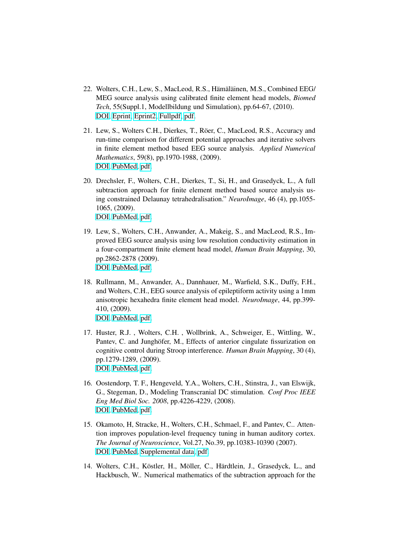- 22. Wolters, C.H., Lew, S., MacLeod, R.S., Hämäläinen, M.S., Combined EEG/ MEG source analysis using calibrated finite element head models, *Biomed Tech*, 55(Suppl.1, Modellbildung und Simulation), pp.64-67, (2010). [DOI,](http://doi.org/10.1515/bmt.2010.712) [Eprint,](https://www.degruyter.com/downloadpdf/j/bmte.2010.55.issue-s1/bmt.2010.712/bmt.2010.712.pdf) [Eprint2,](https://www.yumpu.com/de/document/view/26116600/modellbildung-und-simulation-l-scientific-computing-and-imaging-/65) [Fullpdf,](http://www.sci.utah.edu/~wolters/PaperWolters/2010/WoltersLewMacLeodHaemaelaeinen_DGBMT_2010_Full.pdf) [pdf.](http://www.sci.utah.edu/~wolters/PaperWolters/2010/WoltersLewMacLeodHaemaelaeinen_DGBMT_2010.pdf)
- 21. Lew, S., Wolters C.H., Dierkes, T., Röer, C., MacLeod, R.S., Accuracy and run-time comparison for different potential approaches and iterative solvers in finite element method based EEG source analysis. *Applied Numerical Mathematics*, 59(8), pp.1970-1988, (2009). [DOI,](http://dx.doi.org/10.1016/j.apnum.2009.02.006) [PubMed,](http://www.ncbi.nlm.nih.gov/pubmed/20161462) [pdf.](http://www.sci.utah.edu/~wolters/PaperWolters/2009/LewEtAl_APNUM_2009.pdf)
- 20. Drechsler, F., Wolters, C.H., Dierkes, T., Si, H., and Grasedyck, L., A full subtraction approach for finite element method based source analysis using constrained Delaunay tetrahedralisation." *NeuroImage*, 46 (4), pp.1055- 1065, (2009). [DOI,](http://dx.doi.org/10.1016/j.neuroimage.2009.02.024) [PubMed,](http://www.ncbi.nlm.nih.gov/pubmed/19264145) [pdf.](http://www.sci.utah.edu/~wolters/PaperWolters/2009/DrechslerWoltersDierkesSiGrasedyck_NeuroImage_2009.pdf)
- 19. Lew, S., Wolters, C.H., Anwander, A., Makeig, S., and MacLeod, R.S., Improved EEG source analysis using low resolution conductivity estimation in a four-compartment finite element head model, *Human Brain Mapping*, 30, pp.2862-2878 (2009). [DOI,](http://dx.doi.org/10.1002/hbm.20714) [PubMed,](http://www.ncbi.nlm.nih.gov/pubmed/19117275) [pdf.](http://www.sci.utah.edu/~wolters/PaperWolters/2009/LewEtAl_HumanBrainMapping_2009.pdf)
- 18. Rullmann, M., Anwander, A., Dannhauer, M., Warfield, S.K., Duffy, F.H., and Wolters, C.H., EEG source analysis of epileptiform activity using a 1mm anisotropic hexahedra finite element head model. *NeuroImage*, 44, pp.399- 410, (2009). [DOI,](http://dx.doi.org/10.1016/j.neuroimage.2008.09.009) [PubMed,](http://www.ncbi.nlm.nih.gov/pubmed/18848896) [pdf.](http://www.sci.utah.edu/~wolters/PaperWolters/2009/RullmannEtAl_NeuroImage_2009.pdf)
- 17. Huster, R.J. , Wolters, C.H. , Wollbrink, A., Schweiger, E., Wittling, W., Pantev, C. and Junghöfer, M., Effects of anterior cingulate fissurization on cognitive control during Stroop interference. *Human Brain Mapping*, 30 (4), pp.1279-1289, (2009). [DOI,](http://dx.doi.org/10.1002/hbm.20594) [PubMed,](http://www.ncbi.nlm.nih.gov/pubmed/18570202) [pdf.](http://www.sci.utah.edu/~wolters/PaperWolters/2009/HusterWoltersWollbrinkSchweigerWittlingPantevJunghoefer_HBM_2009.pdf)
- 16. Oostendorp, T. F., Hengeveld, Y.A., Wolters, C.H., Stinstra, J., van Elswijk, G., Stegeman, D., Modeling Transcranial DC stimulation. *Conf Proc IEEE Eng Med Biol Soc. 2008*, pp.4226-4229, (2008). [DOI,](http://dx.doi.org/10.1109/IEMBS.2008.4650142) [PubMed,](http://www.ncbi.nlm.nih.gov/pubmed/19163645) [pdf.](http://www.sci.utah.edu/~wolters/PaperWolters/2008/OostendorpEtAl_IEEE_EMBS_2008.pdf)
- 15. Okamoto, H, Stracke, H., Wolters, C.H., Schmael, F., and Pantev, C.. Attention improves population-level frequency tuning in human auditory cortex. *The Journal of Neuroscience*, Vol.27, No.39, pp.10383-10390 (2007). [DOI,](http://dx.doi.org/10.1523/JNEUROSCI.2963-07.2007) [PubMed,](http://www.ncbi.nlm.nih.gov/pubmed/17898210) [Supplemental data,](http://www.jneurosci.org/cgi/content/full/27/39/10383/DC1) [pdf.](http://www.sci.utah.edu/~wolters/PaperWolters/2007/OkamotoEtAl_JNeuroscience_2007.pdf)
- 14. Wolters, C.H., Köstler, H., Möller, C., Härdtlein, J., Grasedyck, L., and Hackbusch, W.. Numerical mathematics of the subtraction approach for the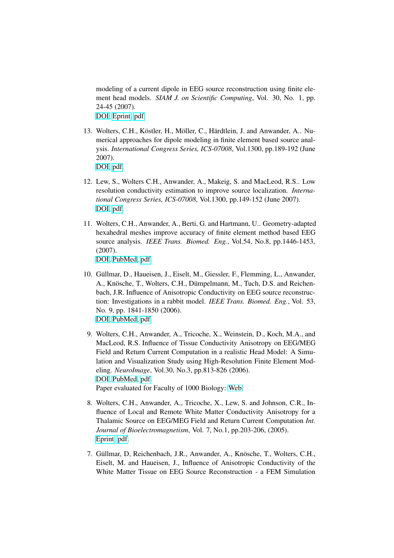modeling of a current dipole in EEG source reconstruction using finite element head models. *SIAM J. on Scientific Computing*, Vol. 30, No. 1, pp. 24-45 (2007). [DOI,](http://dx.doi.org/10.1137/060659053) [Eprint,](http://epubs.siam.org/doi/abs/10.1137/060659053) [pdf.](http://www.sci.utah.edu/~wolters/PaperWolters/2007/WoltersEtAl_SIAM-SISC_Subtraction.pdf)

13. Wolters, C.H., Köstler, H., Möller, C., Härdtlein, J. and Anwander, A.. Numerical approaches for dipole modeling in finite element based source analysis. *International Congress Series, ICS-07008*, Vol.1300, pp.189-192 (June 2007).

[DOI,](http://dx.doi.org/10.1016/j.ics.2007.02.014) [pdf.](http://www.sci.utah.edu/~wolters/PaperWolters/2007/WoltersEtAl_ICS_2007.pdf)

- 12. Lew, S., Wolters C.H., Anwander, A., Makeig, S. and MacLeod, R.S.. Low resolution conductivity estimation to improve source localization. *International Congress Series, ICS-07008*, Vol.1300, pp.149-152 (June 2007). [DOI,](http://dx.doi.org/10.1016/j.ics.2006.12.058) [pdf.](http://www.sci.utah.edu/~wolters/PaperWolters/2007/LewEtAl_ICS_2007_proofdoc.pdf)
- 11. Wolters, C.H., Anwander, A., Berti, G. and Hartmann, U.. Geometry-adapted hexahedral meshes improve accuracy of finite element method based EEG source analysis. *IEEE Trans. Biomed. Eng.*, Vol.54, No.8, pp.1446-1453, (2007).

[DOI,](http://dx.doi.org/10.1109/TBME.2007.890736) [PubMed,](http://www.ncbi.nlm.nih.gov/pubmed/17694865) [pdf.](http://www.sci.utah.edu/~wolters/PaperWolters/2007/WoltersEtAl_IEEE_TBME_2007.pdf)

- 10. Güllmar, D., Haueisen, J., Eiselt, M., Giessler, F., Flemming, L., Anwander, A., Knösche, T., Wolters, C.H., Dümpelmann, M., Tuch, D.S. and Reichenbach, J.R. Influence of Anisotropic Conductivity on EEG source reconstruction: Investigations in a rabbit model. *IEEE Trans. Biomed. Eng.*, Vol. 53, No. 9, pp. 1841-1850 (2006). [DOI,](http://dx.doi.org/10.1109/TBME.2006.876641) [PubMed,](http://www.ncbi.nlm.nih.gov/pubmed/16941840) [pdf.](http://www.sci.utah.edu/~wolters/PaperWolters/2006/GuellmarEtAl_IEEETBME_2006.pdf)
- 9. Wolters, C.H., Anwander, A., Tricoche, X., Weinstein, D., Koch, M.A., and MacLeod, R.S. Influence of Tissue Conductivity Anisotropy on EEG/MEG Field and Return Current Computation in a realistic Head Model: A Simulation and Visualization Study using High-Resolution Finite Element Modeling. *NeuroImage*, Vol.30, No.3, pp.813-826 (2006). [DOI,](http://dx.doi.org/10.1016/j.neuroimage.2005.10.014) [PubMed,](http://www.ncbi.nlm.nih.gov/pubmed/16364662) [pdf.](http://www.sci.utah.edu/~wolters/PaperWolters/2006/Woltersetal_NeuroImage.pdf) Paper evaluated for Faculty of 1000 Biology: [Web.](http://www.f1000biology.com/article/id/1030531/evaluation)
- 8. Wolters, C.H., Anwander, A., Tricoche, X., Lew, S. and Johnson, C.R., Influence of Local and Remote White Matter Conductivity Anisotropy for a Thalamic Source on EEG/MEG Field and Return Current Computation *Int. Journal of Bioelectromagnetism*, Vol. 7, No.1, pp.203-206, (2005). [Eprint,](http://ijbem.k.hosei.ac.jp/volume7/number1/toc.htm) [pdf.](http://www.sci.utah.edu/~wolters/PaperWolters/2005/wolters_et_al_IJBEM2005.pdf)
- 7. Güllmar, D, Reichenbach, J.R., Anwander, A., Knösche, T., Wolters, C.H., Eiselt, M. and Haueisen, J., Influence of Anisotropic Conductivity of the White Matter Tissue on EEG Source Reconstruction - a FEM Simulation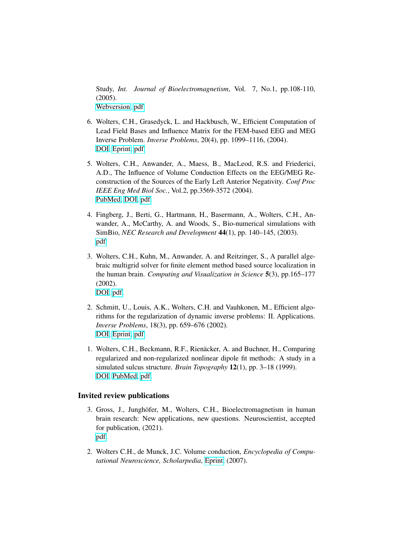Study, *Int. Journal of Bioelectromagnetism*, Vol. 7, No.1, pp.108-110, (2005). [Webversion,](http://ijbem.k.hosei.ac.jp/volume7/number1/toc.htm) [pdf.](http://www.sci.utah.edu/~wolters/PaperWolters/2005/Guellmar_IJBEM.pdf)

- 6. Wolters, C.H., Grasedyck, L. and Hackbusch, W., Efficient Computation of Lead Field Bases and Influence Matrix for the FEM-based EEG and MEG Inverse Problem. *Inverse Problems*, 20(4), pp. 1099–1116, (2004). [DOI,](http://dx.doi.org/10.1088/0266-5611/20/4/007) [Eprint,](http://iopscience.iop.org/0266-5611/20/4/007/) [pdf.](http://www.sci.utah.edu/~wolters/PaperWolters/2004/Wolters_et_al_IP_2004_MPI.pdf)
- 5. Wolters, C.H., Anwander, A., Maess, B., MacLeod, R.S. and Friederici, A.D., The Influence of Volume Conduction Effects on the EEG/MEG Reconstruction of the Sources of the Early Left Anterior Negativity. *Conf Proc IEEE Eng Med Biol Soc.*, Vol.2, pp.3569-3572 (2004). [PubMed,](http://www.ncbi.nlm.nih.gov/pubmed/17271062) [DOI,](http://dx.doi.org/10.1109/IEMBS.2004.1404003) [pdf.](http://www.sci.utah.edu/~wolters/PaperWolters/2004/Wolters_EMBS_SF_2004.pdf)
- 4. Fingberg, J., Berti, G., Hartmann, H., Basermann, A., Wolters, C.H., Anwander, A., McCarthy, A. and Woods, S., Bio-numerical simulations with SimBio, *NEC Research and Development* 44(1), pp. 140–145, (2003). [pdf.](http://www.sci.utah.edu/~wolters/PaperWolters/2003/NEC-paper_hpc.pdf)
- 3. Wolters, C.H., Kuhn, M., Anwander, A. and Reitzinger, S., A parallel algebraic multigrid solver for finite element method based source localization in the human brain. *Computing and Visualization in Science* 5(3), pp.165–177 (2002). [DOI,](http://dx.doi.org/10.1007/s00791-002-0098-0) [pdf.](http://www.sci.utah.edu/~wolters/PaperWolters/2002/Wolters_et_al_CVS_2002.pdf)
- 2. Schmitt, U., Louis, A.K., Wolters, C.H. and Vauhkonen, M., Efficient algorithms for the regularization of dynamic inverse problems: II. Applications. *Inverse Problems*, 18(3), pp. 659–676 (2002). [DOI,](http://dx.doi.org/10.1088/0266-5611/18/3/309) [Eprint,](http://iopscience.iop.org/0266-5611/18/3/309/) [pdf.](http://www.sci.utah.edu/~wolters/PaperWolters/2002/IP_schmittwolters_2002.pdf)
- 1. Wolters, C.H., Beckmann, R.F., Rienäcker, A. and Buchner, H., Comparing regularized and non-regularized nonlinear dipole fit methods: A study in a simulated sulcus structure. *Brain Topography* 12(1), pp. 3–18 (1999). [DOI,](http://dx.doi.org/10.1023/A:1022281005608) [PubMed,](http://www.ncbi.nlm.nih.gov/pubmed/10582561) [pdf.](http://www.sci.utah.edu/~wolters/PaperWolters/1999/woltersetal_BT_1999.pdf)

### Invited review publications

- 3. Gross, J., Junghöfer, M., Wolters, C.H., Bioelectromagnetism in human brain research: New applications, new questions. Neuroscientist, accepted for publication, (2021). [pdf.](http://www.sci.utah.edu/~wolters/PaperWolters/2021/GrossJunghoeferWolters_Neuroscientist_2021_accepted.pdf)
- 2. Wolters C.H., de Munck, J.C. Volume conduction, *Encyclopedia of Computational Neuroscience, Scholarpedia*, [Eprint,](http://www.scholarpedia.org/article/Volume_conduction) (2007).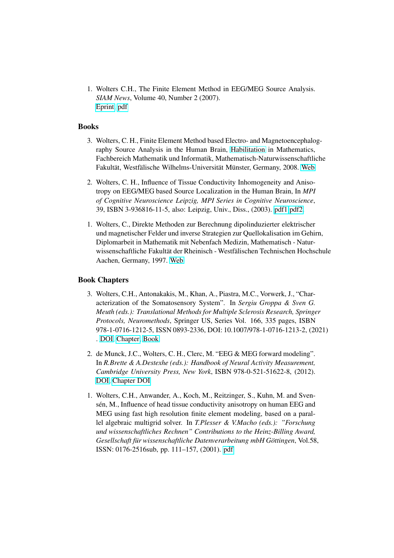1. Wolters C.H., The Finite Element Method in EEG/MEG Source Analysis. *SIAM News*, Volume 40, Number 2 (2007). [Eprint,](http://www.mathaware.org/mam/07/FEM.pdf) [pdf](http://www.sci.utah.edu/~wolters/PaperWolters/2007/Wolters_SIAM-News_2007.pdf)

#### Books

- 3. Wolters, C. H., Finite Element Method based Electro- and Magnetoencephalography Source Analysis in the Human Brain, [Habilitation](http://en.wikipedia.org/wiki/Habilitation) in Mathematics, Fachbereich Mathematik und Informatik, Mathematisch-Naturwissenschaftliche Fakultät, Westfälische Wilhelms-Universität Münster, Germany, 2008. [Web](https://www.uni-muenster.de/forschungaz/habilitation/218)
- 2. Wolters, C. H., Influence of Tissue Conductivity Inhomogeneity and Anisotropy on EEG/MEG based Source Localization in the Human Brain, In *MPI of Cognitive Neuroscience Leipzig, MPI Series in Cognitive Neuroscience*, 39, ISBN 3-936816-11-5, also: Leipzig, Univ., Diss., (2003). [pdf1](https://nbn-resolving.org/urn:nbn:de:bsz:15-qucosa-37549) [pdf2.](http://edoc.mpg.de/get.epl?fid=50023&did=239267&ver=0)
- 1. Wolters, C., Direkte Methoden zur Berechnung dipolinduzierter elektrischer und magnetischer Felder und inverse Strategien zur Quellokalisation im Gehirn, Diplomarbeit in Mathematik mit Nebenfach Medizin, Mathematisch - Naturwissenschaftliche Fakultät der Rheinisch - Westfälischen Technischen Hochschule Aachen, Germany, 1997. [Web](http://www.sci.utah.edu/~wolters/PaperWolters/1997/DiplomarbeitWolters.pdf)

### Book Chapters

- 3. Wolters, C.H., Antonakakis, M., Khan, A., Piastra, M.C., Vorwerk, J., "Characterization of the Somatosensory System". In *Sergiu Groppa & Sven G. Meuth (eds.): Translational Methods for Multiple Sclerosis Research, Springer Protocols, Neuromethods*, Springer US, Series Vol. 166, 335 pages, ISBN 978-1-0716-1212-5, ISSN 0893-2336, DOI: 10.1007/978-1-0716-1213-2, (2021) . [DOI,](https://doi.org/10.1007/978-1-0716-1213-2_11) [Chapter,](https://link.springer.com/protocol/10.1007/978-1-0716-1213-2_11) [Book.](https://www.springer.com/gp/book/9781071612125)
- 2. de Munck, J.C., Wolters, C. H., Clerc, M. "EEG & MEG forward modeling". In *R.Brette & A.Destexhe (eds.): Handbook of Neural Activity Measurement, Cambridge University Press, New York*, ISBN 978-0-521-51622-8, (2012). [DOI,](http://dx.doi.org/10.1017/CBO9780511979958) [Chapter DOI](http://dx.doi.org/10.1017/CBO9780511979958.006)
- 1. Wolters, C.H., Anwander, A., Koch, M., Reitzinger, S., Kuhn, M. and Svensén, M., Influence of head tissue conductivity anisotropy on human EEG and MEG using fast high resolution finite element modeling, based on a parallel algebraic multigrid solver. In *T.Plesser & V.Macho (eds.): "Forschung und wissenschaftliches Rechnen" Contributions to the Heinz-Billing Award, Gesellschaft fur wissenschaftliche Datenverarbeitung mbH G ¨ ottingen ¨* , Vol.58, ISSN: 0176-2516sub, pp. 111–157, (2001). [pdf](http://www.sci.utah.edu/~wolters/PaperWolters/2001/billing.pdf)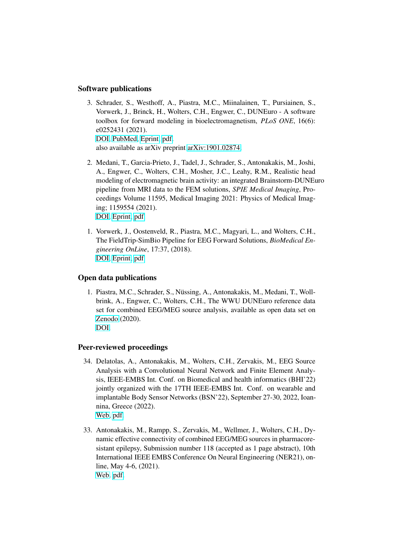### Software publications

- 3. Schrader, S., Westhoff, A., Piastra, M.C., Miinalainen, T., Pursiainen, S., Vorwerk, J., Brinck, H., Wolters, C.H., Engwer, C., DUNEuro - A software toolbox for forward modeling in bioelectromagnetism, *PLoS ONE*, 16(6): e0252431 (2021). [DOI,](https://doi.org/10.1371/journal.pone.0252431) [PubMed,](https://pubmed.ncbi.nlm.nih.gov/34086715/) [Eprint,](https://journals.plos.org/plosone/article?id=10.1371/journal.pone.0252431) [pdf.](http://www.sci.utah.edu/~wolters/PaperWolters/2021/SchraderWesthoffPiastraMiinalainenPursiainenVorwerkBrinckWoltersEngwer_PlosOne_2021.pdf) also available as arXiv preprint [arXiv:1901.02874.](https://arxiv.org/abs/1901.02874)
- 2. Medani, T., Garcia-Prieto, J., Tadel, J., Schrader, S., Antonakakis, M., Joshi, A., Engwer, C., Wolters, C.H., Mosher, J.C., Leahy, R.M., Realistic head modeling of electromagnetic brain activity: an integrated Brainstorm-DUNEuro pipeline from MRI data to the FEM solutions, *SPIE Medical Imaging*, Proceedings Volume 11595, Medical Imaging 2021: Physics of Medical Imaging; 1159554 (2021). [DOI,](https://doi.org/10.1117/12.2580935) [Eprint,](https://spie.org/MI/conferencedetails/physics-of-medical-imaging#session-PS8) [pdf.](http://www.sci.utah.edu/~wolters/PaperWolters/2021/MedaniEtAl_SPIE_2021.pdf)
- 1. Vorwerk, J., Oostenveld, R., Piastra, M.C., Magyari, L., and Wolters, C.H., The FieldTrip-SimBio Pipeline for EEG Forward Solutions, *BioMedical Engineering OnLine*, 17:37, (2018). [DOI,](https://doi.org/10.1186/s12938-018-0463-y) [Eprint,](https://biomedical-engineering-online.biomedcentral.com/articles/10.1186/s12938-018-0463-y) [pdf](http://www.sci.utah.edu/~wolters/PaperWolters/2018/VorwerkOostenveldPiastraMagyariWolters_BioMedicalEngineeringOnLine_2018.pdf)

### Open data publications

1. Piastra, M.C., Schrader, S., Nüssing, A., Antonakakis, M., Medani, T., Wollbrink, A., Engwer, C., Wolters, C.H., The WWU DUNEuro reference data set for combined EEG/MEG source analysis, available as open data set on [Zenodo](https://zenodo.org/record/3888381) (2020). [DOI.](https://doi.org/10.5281/zenodo.3888381)

#### Peer-reviewed proceedings

- 34. Delatolas, A., Antonakakis, M., Wolters, C.H., Zervakis, M., EEG Source Analysis with a Convolutional Neural Network and Finite Element Analysis, IEEE-EMBS Int. Conf. on Biomedical and health informatics (BHI'22) jointly organized with the 17TH IEEE-EMBS Int. Conf. on wearable and implantable Body Sensor Networks (BSN'22), September 27-30, 2022, Ioannina, Greece (2022). [Web,](https://bhi-bsn-2022.org/) [pdf.](http://www.sci.utah.edu/~wolters/PaperWolters/2022/DelatolasAntonakakisWoltersZervakis_IEEE-EMBS_2022.pdf)
- 33. Antonakakis, M., Rampp, S., Zervakis, M., Wellmer, J., Wolters, C.H., Dynamic effective connectivity of combined EEG/MEG sources in pharmacoresistant epilepsy, Submission number 118 (accepted as 1 page abstract), 10th International IEEE EMBS Conference On Neural Engineering (NER21), online, May 4-6, (2021). [Web.](https://neuro.embs.org/2021/) [pdf.](http://www.sci.utah.edu/~wolters/PaperWolters/2021/AntonakakisEtAl_Neuro2021_2.pdf)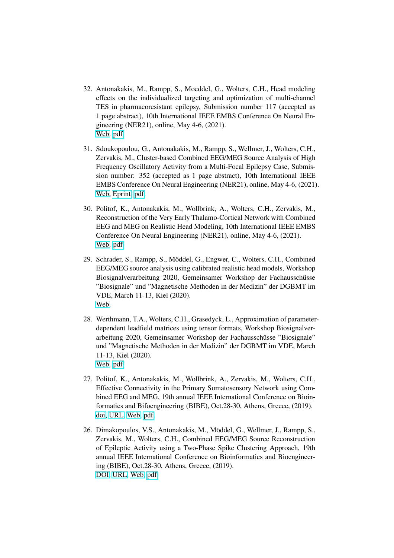- 32. Antonakakis, M., Rampp, S., Moeddel, G., Wolters, C.H., Head modeling effects on the individualized targeting and optimization of multi-channel TES in pharmacoresistant epilepsy, Submission number 117 (accepted as 1 page abstract), 10th International IEEE EMBS Conference On Neural Engineering (NER21), online, May 4-6, (2021). [Web.](https://neuro.embs.org/2021/) [pdf.](http://www.sci.utah.edu/~wolters/PaperWolters/2021/AntonakakisEtAl_Neuro2021.pdf)
- 31. Sdoukopoulou, G., Antonakakis, M., Rampp, S., Wellmer, J., Wolters, C.H., Zervakis, M., Cluster-based Combined EEG/MEG Source Analysis of High Frequency Oscillatory Activity from a Multi-Focal Epilepsy Case, Submission number: 352 (accepted as 1 page abstract), 10th International IEEE EMBS Conference On Neural Engineering (NER21), online, May 4-6, (2021). [Web,](https://neuro.embs.org/2021/) [Eprint,](https://www.researchgate.net/profile/Marios-Antonakakis/publication/351436903_Cluster-based_Combined_EEGMEG_Source_Analysis_of_High_Frequency_Oscillatory_Activity_from_a_Multi-Focal_Epilepsy_Case/links/6097a0bd92851c490fc7cf97/Cluster-based-Combined-EEG-MEG-Source-Analysis-of-High-Frequency-Oscillatory-Activity-from-a-Multi-Focal-Epilepsy-Case.pdf) [pdf.](http://www.sci.utah.edu/~wolters/PaperWolters/2021/SdoukopoulouAntonakakisRamppSakkalisWellmerWoltersZervakis_Neuro2021.pdf)
- 30. Politof, K., Antonakakis, M., Wollbrink, A., Wolters, C.H., Zervakis, M., Reconstruction of the Very Early Thalamo-Cortical Network with Combined EEG and MEG on Realistic Head Modeling, 10th International IEEE EMBS Conference On Neural Engineering (NER21), online, May 4-6, (2021). [Web.](https://neuro.embs.org/2021/) [pdf.](http://www.sci.utah.edu/~wolters/PaperWolters/2021/PolitofAntonakakisWollbrinkWoltersZervakis_Neuro2021.pdf)
- 29. Schrader, S., Rampp, S., Möddel, G., Engwer, C., Wolters, C.H., Combined EEG/MEG source analysis using calibrated realistic head models, Workshop Biosignalverarbeitung 2020, Gemeinsamer Workshop der Fachausschüsse "Biosignale" und "Magnetische Methoden in der Medizin" der DGBMT im VDE, March 11-13, Kiel (2020). [Web.](https://dss.tf.uni-kiel.de/index.php/events/conferences-and-workshops/biosignale-workshop-2020/biosignale-workshop-2020-uebersicht)
- 28. Werthmann, T.A., Wolters, C.H., Grasedyck, L., Approximation of parameterdependent leadfield matrices using tensor formats, Workshop Biosignalverarbeitung 2020, Gemeinsamer Workshop der Fachausschüsse "Biosignale" und "Magnetische Methoden in der Medizin" der DGBMT im VDE, March 11-13, Kiel (2020). [Web.](https://dss.tf.uni-kiel.de/index.php/events/conferences-and-workshops/biosignale-workshop-2020/biosignale-workshop-2020-uebersicht) [pdf.](http://www.sci.utah.edu/~wolters/PaperWolters/2020/WerthmannEtAl_Biosignale_2020.pdf)
- 27. Politof, K., Antonakakis, M., Wollbrink, A., Zervakis, M., Wolters, C.H., Effective Connectivity in the Primary Somatosensory Network using Combined EEG and MEG, 19th annual IEEE International Conference on Bioinformatics and Bifoengineering (BIBE), Oct.28-30, Athens, Greece, (2019). [doi,](https://doi.org/10.1109/BIBE.2019.00113) [URL,](https://ieeexplore.ieee.org/document/8941741) [Web,](https://bibe2019.ics.forth.gr/) [pdf.](http://www.sci.utah.edu/~wolters/PaperWolters/2019/PolitofEtAl_IEEEBIBE_2019.pdf)
- 26. Dimakopoulos, V.S., Antonakakis, M., Möddel, G., Wellmer, J., Rampp, S., Zervakis, M., Wolters, C.H., Combined EEG/MEG Source Reconstruction of Epileptic Activity using a Two-Phase Spike Clustering Approach, 19th annual IEEE International Conference on Bioinformatics and Bioengineering (BIBE), Oct.28-30, Athens, Greece, (2019). [DOI,](https://doi.org/10.1109/BIBE.2019.00163) [URL,](https://ieeexplore.ieee.org/document/8941678) [Web,](https://bibe2019.ics.forth.gr/) [pdf.](http://www.sci.utah.edu/~wolters/PaperWolters/2019/DimakopoulosEtAl_IEEEBIBE_2019.pdf)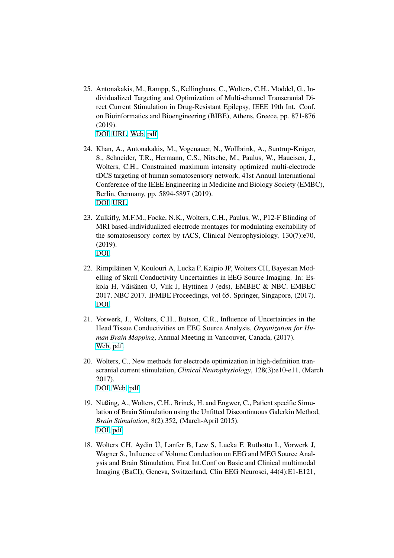- 25. Antonakakis, M., Rampp, S., Kellinghaus, C., Wolters, C.H., Möddel, G., Individualized Targeting and Optimization of Multi-channel Transcranial Direct Current Stimulation in Drug-Resistant Epilepsy, IEEE 19th Int. Conf. on Bioinformatics and Bioengineering (BIBE), Athens, Greece, pp. 871-876 (2019). [DOI,](https://doi.org/10.1109/BIBE.2019.00162) [URL,](https://ieeexplore.ieee.org/document/8941888) [Web,](https://bibe2019.ics.forth.gr/) [pdf.](http://www.sci.utah.edu/~wolters/PaperWolters/2019/AntonakakisEtAl_IEEEBIBE_2019.pdf)
- 24. Khan, A., Antonakakis, M., Vogenauer, N., Wollbrink, A., Suntrup-Krüger, S., Schneider, T.R., Hermann, C.S., Nitsche, M., Paulus, W., Haueisen, J., Wolters, C.H., Constrained maximum intensity optimized multi-electrode tDCS targeting of human somatosensory network, 41st Annual International Conference of the IEEE Engineering in Medicine and Biology Society (EMBC), Berlin, Germany, pp. 5894-5897 (2019). [DOI,](https://doi.org/10.1109/EMBC.2019.8857253) [URL.](http://ieeexplore.ieee.org/stamp/stamp.jsp?tp=&arnumber=8857253&isnumber=8856280)
- 23. Zulkifly, M.F.M., Focke, N.K., Wolters, C.H., Paulus, W., P12-F Blinding of MRI based-individualized electrode montages for modulating excitability of the somatosensory cortex by tACS, Clinical Neurophysiology, 130(7):e70, (2019). [DOI.](https://doi.org/10.1016/j.clinph.2019.04.465)
- 22. Rimpiläinen V, Koulouri A, Lucka F, Kaipio JP, Wolters CH, Bayesian Modelling of Skull Conductivity Uncertainties in EEG Source Imaging. In: Eskola H, Väisänen O, Viik J, Hyttinen J (eds), EMBEC & NBC. EMBEC 2017, NBC 2017. IFMBE Proceedings, vol 65. Springer, Singapore, (2017). [DOI.](https://doi.org/10.1007/978-981-10-5122-7_223)
- 21. Vorwerk, J., Wolters, C.H., Butson, C.R., Influence of Uncertainties in the Head Tissue Conductivities on EEG Source Analysis, *Organization for Human Brain Mapping*, Annual Meeting in Vancouver, Canada, (2017). [Web,](http://www.humanbrainmapping.org/OHBM2017/) [pdf.](http://www.sci.utah.edu/~wolters/PaperWolters/2017/VorwerkWoltersButson_OHBM_2017_abstract.pdf)
- 20. Wolters, C., New methods for electrode optimization in high-definition transcranial current stimulation, *Clinical Neurophysiology*, 128(3):e10-e11, (March 2017). [DOI,](http://dx.doi.org/10.1016/j.clinph.2016.10.130) [Web,](http://www.sciencedirect.com/science/article/pii/S1388245716307064) [pdf](http://www.sci.utah.edu/~wolters/PaperWolters/2017/Wolters_ClinNeurophysiol_2017.pdf)
- 19. Nüßing, A., Wolters, C.H., Brinck, H. and Engwer, C., Patient specific Simulation of Brain Stimulation using the Unfitted Discontinuous Galerkin Method, *Brain Stimulation*, 8(2):352, (March-April 2015). [DOI,](http://dx.doi.org/10.1016/j.brs.2015.01.137) [pdf](http://www.sci.utah.edu/~wolters/PaperWolters/2015/NuessingWoltersBrinckEngwer_Brainstim_2015.pdf)
- 18. Wolters CH, Aydin Ü, Lanfer B, Lew S, Lucka F, Ruthotto L, Vorwerk J, Wagner S., Influence of Volume Conduction on EEG and MEG Source Analysis and Brain Stimulation, First Int.Conf on Basic and Clinical multimodal Imaging (BaCI), Geneva, Switzerland, Clin EEG Neurosci, 44(4):E1-E121,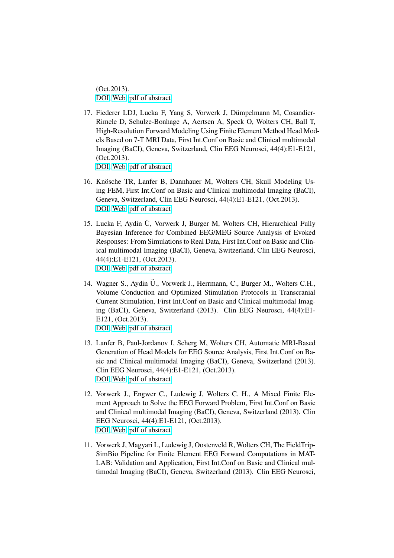(Oct.2013). [DOI,](http://dx.doi.org/10.1177/1550059413507209) [Web,](http://www.baci2013.ch) [pdf of abstract](http://www.baci2013.ch/program/posters)

- 17. Fiederer LDJ, Lucka F, Yang S, Vorwerk J, Dümpelmann M, Cosandier-Rimele D, Schulze-Bonhage A, Aertsen A, Speck O, Wolters CH, Ball T, High-Resolution Forward Modeling Using Finite Element Method Head Models Based on 7-T MRI Data, First Int.Conf on Basic and Clinical multimodal Imaging (BaCI), Geneva, Switzerland, Clin EEG Neurosci, 44(4):E1-E121, (Oct.2013). [DOI,](http://dx.doi.org/10.1177/1550059413507209) [Web,](http://www.baci2013.ch) [pdf of abstract](http://www.baci2013.ch/program/posters)
- 16. Knösche TR, Lanfer B, Dannhauer M, Wolters CH, Skull Modeling Using FEM, First Int.Conf on Basic and Clinical multimodal Imaging (BaCI), Geneva, Switzerland, Clin EEG Neurosci, 44(4):E1-E121, (Oct.2013). [DOI,](http://dx.doi.org/10.1177/1550059413507209) [Web,](http://www.baci2013.ch) [pdf of abstract](http://www.baci2013.ch/program/posters)
- 15. Lucka F, Aydin Ü, Vorwerk J, Burger M, Wolters CH, Hierarchical Fully Bayesian Inference for Combined EEG/MEG Source Analysis of Evoked Responses: From Simulations to Real Data, First Int.Conf on Basic and Clinical multimodal Imaging (BaCI), Geneva, Switzerland, Clin EEG Neurosci, 44(4):E1-E121, (Oct.2013). [DOI,](http://dx.doi.org/10.1177/1550059413507209) [Web,](http://www.baci2013.ch) [pdf of abstract](http://www.baci2013.ch/program/posters)
- 14. Wagner S., Aydin Ü., Vorwerk J., Herrmann, C., Burger M., Wolters C.H., Volume Conduction and Optimized Stimulation Protocols in Transcranial Current Stimulation, First Int.Conf on Basic and Clinical multimodal Imaging (BaCI), Geneva, Switzerland (2013). Clin EEG Neurosci, 44(4):E1- E121, (Oct.2013). [DOI,](http://dx.doi.org/10.1177/1550059413507209) [Web,](http://www.baci2013.ch) [pdf of abstract](http://www.baci2013.ch/program/posters)
- 13. Lanfer B, Paul-Jordanov I, Scherg M, Wolters CH, Automatic MRI-Based Generation of Head Models for EEG Source Analysis, First Int.Conf on Basic and Clinical multimodal Imaging (BaCI), Geneva, Switzerland (2013). Clin EEG Neurosci, 44(4):E1-E121, (Oct.2013). [DOI,](http://dx.doi.org/10.1177/1550059413507209) [Web,](http://www.baci2013.ch) [pdf of abstract](http://www.baci2013.ch/program/posters)
- 12. Vorwerk J., Engwer C., Ludewig J, Wolters C. H., A Mixed Finite Element Approach to Solve the EEG Forward Problem, First Int.Conf on Basic and Clinical multimodal Imaging (BaCI), Geneva, Switzerland (2013). Clin EEG Neurosci, 44(4):E1-E121, (Oct.2013). [DOI,](http://dx.doi.org/10.1177/1550059413507209) [Web,](http://www.baci2013.ch) [pdf of abstract](http://www.baci2013.ch/program/posters)
- 11. Vorwerk J, Magyari L, Ludewig J, Oostenveld R, Wolters CH, The FieldTrip-SimBio Pipeline for Finite Element EEG Forward Computations in MAT-LAB: Validation and Application, First Int.Conf on Basic and Clinical multimodal Imaging (BaCI), Geneva, Switzerland (2013). Clin EEG Neurosci,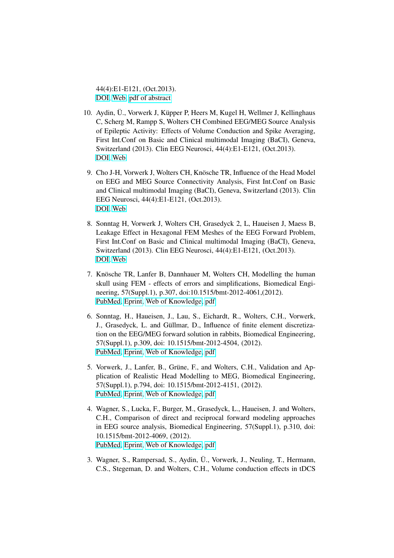44(4):E1-E121, (Oct.2013). [DOI,](http://dx.doi.org/10.1177/1550059413507209) [Web,](http://www.baci2013.ch) [pdf of abstract](http://www.baci2013.ch/program/posters)

- 10. Aydin, U., Vorwerk J, Küpper P, Heers M, Kugel H, Wellmer J, Kelling haus C, Scherg M, Rampp S, Wolters CH Combined EEG/MEG Source Analysis of Epileptic Activity: Effects of Volume Conduction and Spike Averaging, First Int.Conf on Basic and Clinical multimodal Imaging (BaCI), Geneva, Switzerland (2013). Clin EEG Neurosci, 44(4):E1-E121, (Oct.2013). [DOI,](http://dx.doi.org/10.1177/1550059413507209) [Web](http://www.baci2013.ch)
- 9. Cho J-H, Vorwerk J, Wolters CH, Knösche TR, Influence of the Head Model on EEG and MEG Source Connectivity Analysis, First Int.Conf on Basic and Clinical multimodal Imaging (BaCI), Geneva, Switzerland (2013). Clin EEG Neurosci, 44(4):E1-E121, (Oct.2013). [DOI,](http://dx.doi.org/10.1177/1550059413507209) [Web](http://www.baci2013.ch)
- 8. Sonntag H, Vorwerk J, Wolters CH, Grasedyck 2, L, Haueisen J, Maess B, Leakage Effect in Hexagonal FEM Meshes of the EEG Forward Problem, First Int.Conf on Basic and Clinical multimodal Imaging (BaCI), Geneva, Switzerland (2013). Clin EEG Neurosci, 44(4):E1-E121, (Oct.2013). [DOI,](http://dx.doi.org/10.1177/1550059413507209) [Web](http://www.baci2013.ch)
- 7. Knösche TR, Lanfer B, Dannhauer M, Wolters CH, Modelling the human skull using FEM - effects of errors and simplifications, Biomedical Engineering, 57(Suppl.1), p.307, doi:10.1515/bmt-2012-4061,(2012). [PubMed,](http://www.ncbi.nlm.nih.gov/pubmed/22947745) [Eprint,](http://www.degruyter.com/view/j/bmte.2012.57.issue-s1-M/bmt-2012-4061/bmt-2012-4061.xml) [Web of Knowledge,](http://gateway.webofknowledge.com/gateway/Gateway.cgi?GWVersion=2&SrcAuth=Alerting&SrcApp=Alerting&DestApp=WOS&DestLinkType=FullRecord;UT=WOS:000312675100343) [pdf](http://www.sci.utah.edu/~wolters/PaperWolters/2012/KnoescheEtAl_bmt-2012-4061.pdf)
- 6. Sonntag, H., Haueisen, J., Lau, S., Eichardt, R., Wolters, C.H., Vorwerk, J., Grasedyck, L. and Güllmar, D., Influence of finite element discretization on the EEG/MEG forward solution in rabbits, Biomedical Engineering, 57(Suppl.1), p.309, doi: 10.1515/bmt-2012-4504, (2012). [PubMed,](http://www.ncbi.nlm.nih.gov/pubmed/22947742) [Eprint,](http://www.degruyter.com/view/j/bmte.2012.57.issue-s1-M/bmt-2012-4504/bmt-2012-4504.xml) [Web of Knowledge,](http://apps.webofknowledge.com/full_record.do?product=WOS&search_mode=GeneralSearch&qid=6&SID=N11D4biHPfINbLpEj2P&page=1&doc=1) [pdf](http://www.sci.utah.edu/~wolters/PaperWolters/2012/SonntagEtAl_bmt-2012-4504.pdf)
- 5. Vorwerk, J., Lanfer, B., Grüne, F., and Wolters, C.H., Validation and Application of Realistic Head Modelling to MEG, Biomedical Engineering, 57(Suppl.1), p.794, doi: 10.1515/bmt-2012-4151, (2012). [PubMed,](http://www.ncbi.nlm.nih.gov/pubmed/23096300) [Eprint,](http://www.degruyter.com/view/j/bmte.2012.57.issue-s1-O/bmt-2012-4151/bmt-2012-4151.xml) [Web of Knowledge,](http://apps.webofknowledge.com/full_record.do?product=WOS&search_mode=GeneralSearch&qid=8&SID=N11D4biHPfINbLpEj2P&page=1&doc=1) [pdf](http://www.sci.utah.edu/~wolters/PaperWolters/2012/VorwerkEtAl_bmt-2012-4151.pdf)
- 4. Wagner, S., Lucka, F., Burger, M., Grasedyck, L., Haueisen, J. and Wolters, C.H., Comparison of direct and reciprocal forward modeling approaches in EEG source analysis, Biomedical Engineering, 57(Suppl.1), p.310, doi: 10.1515/bmt-2012-4069, (2012). [PubMed,](http://www.ncbi.nlm.nih.gov/pubmed/22947761) [Eprint,](http://www.degruyter.com/view/j/bmte.2012.57.issue-s1-M/bmt-2012-4069/bmt-2012-4069.xml) [Web of Knowledge,](http://apps.webofknowledge.com/full_record.do?product=WOS&search_mode=GeneralSearch&qid=10&SID=N11D4biHPfINbLpEj2P&page=1&doc=1) [pdf](http://www.sci.utah.edu/~wolters/PaperWolters/2012/WagnerEtAl_bmt-2012-4069.pdf)
- 3. Wagner, S., Rampersad, S., Aydin, Ü., Vorwerk, J., Neuling, T., Hermann, C.S., Stegeman, D. and Wolters, C.H., Volume conduction effects in tDCS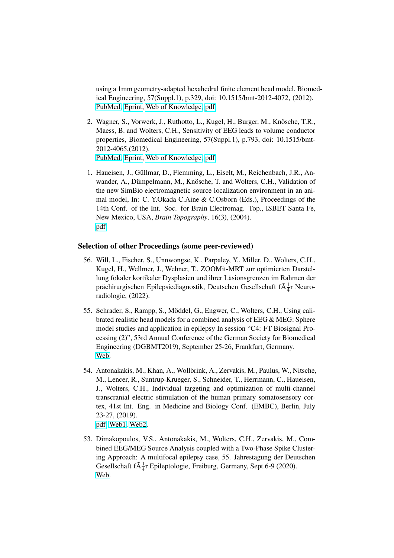using a 1mm geometry-adapted hexahedral finite element head model, Biomedical Engineering, 57(Suppl.1), p.329, doi: 10.1515/bmt-2012-4072, (2012). [PubMed,](http://www.ncbi.nlm.nih.gov/pubmed/23096321) [Eprint,](http://www.degruyter.com/view/j/bmte.2012.57.issue-s1-O/bmt-2012-4072/bmt-2012-4072.xml) [Web of Knowledge,](http://gateway.webofknowledge.com/gateway/Gateway.cgi?GWVersion=2&SrcAuth=Alerting&SrcApp=Alerting&DestApp=WOS&DestLinkType=FullRecord;UT=WOS:000312675100400) [pdf](http://www.sci.utah.edu/~wolters/PaperWolters/2012/WagnerEtAl_bmt-2012-4072.pdf)

- 2. Wagner, S., Vorwerk, J., Ruthotto, L., Kugel, H., Burger, M., Knösche, T.R., Maess, B. and Wolters, C.H., Sensitivity of EEG leads to volume conductor properties, Biomedical Engineering, 57(Suppl.1), p.793, doi: 10.1515/bmt-2012-4065,(2012). [PubMed,](http://www.ncbi.nlm.nih.gov/pubmed/23096318) [Eprint,](http://www.degruyter.com/view/j/bmte.2012.57.issue-s1-O/bmt-2012-4065/bmt-2012-4065.xml) [Web of Knowledge,](http://gateway.webofknowledge.com/gateway/Gateway.cgi?GWVersion=2&SrcAuth=Alerting&SrcApp=Alerting&DestApp=WOS&DestLinkType=FullRecord;UT=WOS:000312675100413) [pdf](http://www.sci.utah.edu/~wolters/PaperWolters/2012/WagnerEtAl_bmt-2012-4065.pdf)
- 1. Haueisen, J., Güllmar, D., Flemming, L., Eiselt, M., Reichenbach, J.R., Anwander, A., Dümpelmann, M., Knösche, T. and Wolters, C.H., Validation of the new SimBio electromagnetic source localization environment in an animal model, In: C. Y.Okada C.Aine & C.Osborn (Eds.), Proceedings of the 14th Conf. of the Int. Soc. for Brain Electromag. Top., ISBET Santa Fe, New Mexico, USA, *Brain Topography*, 16(3), (2004). [pdf](http://www.sci.utah.edu/~wolters/PaperWolters/2004/Haueisen_et_al_BT_2004.pdf)

### Selection of other Proceedings (some peer-reviewed)

- 56. Will, L., Fischer, S., Unnwongse, K., Parpaley, Y., Miller, D., Wolters, C.H., Kugel, H., Wellmer, J., Wehner, T., ZOOMit-MRT zur optimierten Darstellung fokaler kortikaler Dysplasien und ihrer Läsionsgrenzen im Rahmen der prächirurgischen Epilepsiediagnostik, Deutschen Gesellschaft f $\tilde{A} \frac{1}{4}r$  Neuroradiologie, (2022).
- 55. Schrader, S., Rampp, S., Möddel, G., Engwer, C., Wolters, C.H., Using calibrated realistic head models for a combined analysis of EEG & MEG: Sphere model studies and application in epilepsy In session "C4: FT Biosignal Processing (2)", 53rd Annual Conference of the German Society for Biomedical Engineering (DGBMT2019), September 25-26, Frankfurt, Germany. [Web.](https://www.bmt-congress.de/en)
- 54. Antonakakis, M., Khan, A., Wollbrink, A., Zervakis, M., Paulus, W., Nitsche, M., Lencer, R., Suntrup-Krueger, S., Schneider, T., Herrmann, C., Haueisen, J., Wolters, C.H., Individual targeting and optimization of multi-channel transcranial electric stimulation of the human primary somatosensory cortex, 41st Int. Eng. in Medicine and Biology Conf. (EMBC), Berlin, July 23-27, (2019). [pdf,](http://www.sci.utah.edu/~wolters/PaperWolters/2019/Antonakakis_embc_2019_IS.pdf) [Web1,](https://embs.papercept.net/conferences/conferences/EMBC19/program/EMBC19_ContentListWeb_3.html) [Web2.](https://embc.embs.org/2019/)
- 53. Dimakopoulos, V.S., Antonakakis, M., Wolters, C.H., Zervakis, M., Combined EEG/MEG Source Analysis coupled with a Two-Phase Spike Clustering Approach: A multifocal epilepsy case, 55. Jahrestagung der Deutschen Gesellschaft f $\tilde{A}^{\perp}_{4}$ r Epileptologie, Freiburg, Germany, Sept.6-9 (2020). [Web.](https://www.epilepsie-tagung.de/)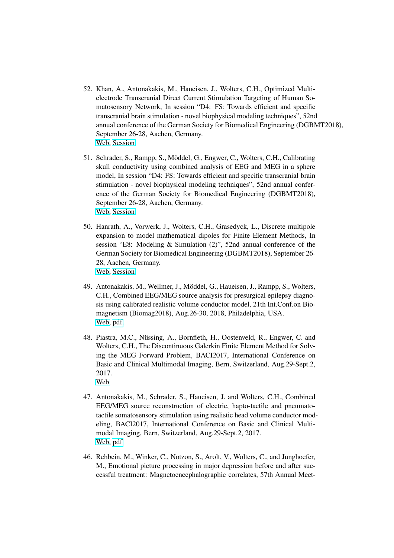- 52. Khan, A., Antonakakis, M., Haueisen, J., Wolters, C.H., Optimized Multielectrode Transcranial Direct Current Stimulation Targeting of Human Somatosensory Network, In session "D4: FS: Towards efficient and specific transcranial brain stimulation - novel biophysical modeling techniques", 52nd annual conference of the German Society for Biomedical Engineering (DGBMT2018), September 26-28, Aachen, Germany. [Web,](http://www.bmt2018.de) [Session.](https://edas.info/p24386#S1569556915)
- 51. Schrader, S., Rampp, S., Möddel, G., Engwer, C., Wolters, C.H., Calibrating skull conductivity using combined analysis of EEG and MEG in a sphere model, In session "D4: FS: Towards efficient and specific transcranial brain stimulation - novel biophysical modeling techniques", 52nd annual conference of the German Society for Biomedical Engineering (DGBMT2018), September 26-28, Aachen, Germany. [Web,](http://www.bmt2018.de) [Session.](https://edas.info/p24386#S1569556915)
- 50. Hanrath, A., Vorwerk, J., Wolters, C.H., Grasedyck, L., Discrete multipole expansion to model mathematical dipoles for Finite Element Methods, In session "E8: Modeling & Simulation (2)", 52nd annual conference of the German Society for Biomedical Engineering (DGBMT2018), September 26- 28, Aachen, Germany. [Web,](http://www.bmt2018.de) [Session.](https://edas.info/p24386#S1569556956)
- 49. Antonakakis, M., Wellmer, J., Möddel, G., Haueisen, J., Rampp, S., Wolters, C.H., Combined EEG/MEG source analysis for presurgical epilepsy diagnosis using calibrated realistic volume conductor model, 21th Int.Conf.on Biomagnetism (Biomag2018), Aug.26-30, 2018, Philadelphia, USA. [Web,](http://www.biomag2018.org) [pdf.](http://www.sci.utah.edu/~wolters/PaperWolters/2018/AntonakakisEtAl_Biomag2018.pdf)
- 48. Piastra, M.C., Nüssing, A., Bornfleth, H., Oostenveld, R., Engwer, C. and Wolters, C.H., The Discontinuous Galerkin Finite Element Method for Solving the MEG Forward Problem, BACI2017, International Conference on Basic and Clinical Multimodal Imaging, Bern, Switzerland, Aug.29-Sept.2, 2017. [Web](https://www.conftool.com/baci-conference/sessions.php)
- 47. Antonakakis, M., Schrader, S., Haueisen, J. and Wolters, C.H., Combined EEG/MEG source reconstruction of electric, hapto-tactile and pneumatotactile somatosensory stimulation using realistic head volume conductor modeling, BACI2017, International Conference on Basic and Clinical Multimodal Imaging, Bern, Switzerland, Aug.29-Sept.2, 2017. [Web,](https://www.conftool.com/baci-conference/sessions.php) [pdf](http://www.sci.utah.edu/~wolters/PaperWolters/2017/AntonakakisTalkBACI2017.pdf)
- 46. Rehbein, M., Winker, C., Notzon, S., Arolt, V., Wolters, C., and Junghoefer, M., Emotional picture processing in major depression before and after successful treatment: Magnetoencephalographic correlates, 57th Annual Meet-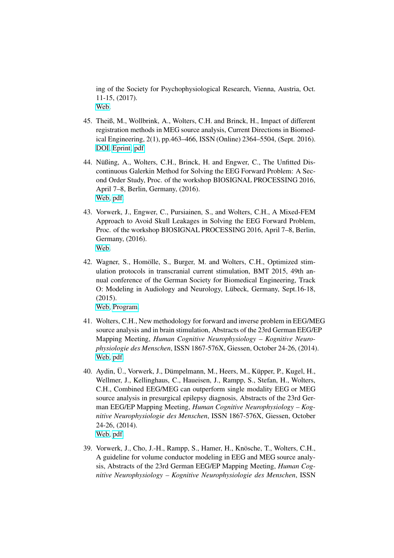ing of the Society for Psychophysiological Research, Vienna, Austria, Oct. 11-15, (2017). [Web.](http://www.sprweb.org/annual_meeting/)

- 45. Theiß, M., Wollbrink, A., Wolters, C.H. and Brinck, H., Impact of different registration methods in MEG source analysis, Current Directions in Biomedical Engineering, 2(1), pp.463–466, ISSN (Online) 2364–5504, (Sept. 2016). [DOI,](http://dx.doi.org/10.1515/cdbme-2016-0102) [Eprint,](https://www.degruyter.com/view/j/cdbme.2016.2.issue-1/cdbme-2016-0102/cdbme-2016-0102.xml) [pdf](http://www.sci.utah.edu/~wolters/PaperWolters/2016/TheissWollbrinkWoltersBrinck_CurrentDirectionsBiomedEng_2016.pdf)
- 44. Nüßing, A., Wolters, C.H., Brinck, H. and Engwer, C., The Unfitted Discontinuous Galerkin Method for Solving the EEG Forward Problem: A Second Order Study, Proc. of the workshop BIOSIGNAL PROCESSING 2016, April 7–8, Berlin, Germany, (2016). [Web,](http://2016.biosignal.berlin/) [pdf.](http://www.sci.utah.edu/~wolters/PaperWolters/2016/NuessingWoltersBrinckEngwer_Biosig_2016.pdf)
- 43. Vorwerk, J., Engwer, C., Pursiainen, S., and Wolters, C.H., A Mixed-FEM Approach to Avoid Skull Leakages in Solving the EEG Forward Problem, Proc. of the workshop BIOSIGNAL PROCESSING 2016, April 7–8, Berlin, Germany, (2016). [Web.](http://2016.biosignal.berlin/)
- 42. Wagner, S., Homölle, S., Burger, M. and Wolters, C.H., Optimized stimulation protocols in transcranial current stimulation, BMT 2015, 49th annual conference of the German Society for Biomedical Engineering, Track O: Modeling in Audiology and Neurology, Lübeck, Germany, Sept.16-18, (2015).

[Web,](http://www.bmt2015.de) [Program.](http://www.sci.utah.edu/~wolters/PaperWolters/2015/bmt2015_programm.pdf)

- 41. Wolters, C.H., New methodology for forward and inverse problem in EEG/MEG source analysis and in brain stimulation, Abstracts of the 23rd German EEG/EP Mapping Meeting, *Human Cognitive Neurophysiology – Kognitive Neurophysiologie des Menschen*, ISSN 1867-576X, Giessen, October 24-26, (2014). [Web,](http://geb.uni-giessen.de/geb/volltexte/2008/6504/) [pdf.](http://www.sci.utah.edu/~wolters/PaperWolters/2014/Kognitive_Neurophysiologie_2015_8_1.pdf)
- 40. Aydin, Ü., Vorwerk, J., Dümpelmann, M., Heers, M., Küpper, P., Kugel, H., Wellmer, J., Kellinghaus, C., Haueisen, J., Rampp, S., Stefan, H., Wolters, C.H., Combined EEG/MEG can outperform single modality EEG or MEG source analysis in presurgical epilepsy diagnosis, Abstracts of the 23rd German EEG/EP Mapping Meeting, *Human Cognitive Neurophysiology – Kognitive Neurophysiologie des Menschen*, ISSN 1867-576X, Giessen, October 24-26, (2014). [Web,](http://geb.uni-giessen.de/geb/volltexte/2008/6504/) [pdf.](http://www.sci.utah.edu/~wolters/PaperWolters/2014/Kognitive_Neurophysiologie_2015_8_1.pdf)
- 39. Vorwerk, J., Cho, J.-H., Rampp, S., Hamer, H., Kn¨osche, T., Wolters, C.H., A guideline for volume conductor modeling in EEG and MEG source analysis, Abstracts of the 23rd German EEG/EP Mapping Meeting, *Human Cognitive Neurophysiology – Kognitive Neurophysiologie des Menschen*, ISSN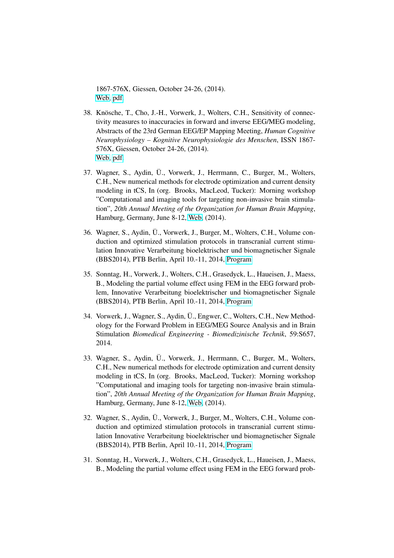1867-576X, Giessen, October 24-26, (2014). [Web,](http://geb.uni-giessen.de/geb/volltexte/2008/6504/) [pdf.](http://www.sci.utah.edu/~wolters/PaperWolters/2014/Kognitive_Neurophysiologie_2015_8_1.pdf)

- 38. Knösche, T., Cho, J.-H., Vorwerk, J., Wolters, C.H., Sensitivity of connectivity measures to inaccuracies in forward and inverse EEG/MEG modeling, Abstracts of the 23rd German EEG/EP Mapping Meeting, *Human Cognitive Neurophysiology – Kognitive Neurophysiologie des Menschen*, ISSN 1867- 576X, Giessen, October 24-26, (2014). [Web,](http://geb.uni-giessen.de/geb/volltexte/2008/6504/) [pdf.](http://www.sci.utah.edu/~wolters/PaperWolters/2014/Kognitive_Neurophysiologie_2015_8_1.pdf)
- 37. Wagner, S., Aydin, U., Vorwerk, J., Herrmann, C., Burger, M., Wolters, ¨ C.H., New numerical methods for electrode optimization and current density modeling in tCS, In (org. Brooks, MacLeod, Tucker): Morning workshop "Computational and imaging tools for targeting non-invasive brain stimulation", *20th Annual Meeting of the Organization for Human Brain Mapping*, Hamburg, Germany, June 8-12, [Web,](http://www.humanbrainmapping.org/i4a/pages/index.cfm?pageid=3601) (2014).
- 36. Wagner, S., Aydin, U., Vorwerk, J., Burger, M., Wolters, C.H., Volume con- ¨ duction and optimized stimulation protocols in transcranial current stimulation Innovative Verarbeitung bioelektrischer und biomagnetischer Signale (BBS2014), PTB Berlin, April 10.-11, 2014, [Program](http://www.bbs2014.ptb.de/bbs2014/bbs2014-programm.html)
- 35. Sonntag, H., Vorwerk, J., Wolters, C.H., Grasedyck, L., Haueisen, J., Maess, B., Modeling the partial volume effect using FEM in the EEG forward problem, Innovative Verarbeitung bioelektrischer und biomagnetischer Signale (BBS2014), PTB Berlin, April 10.-11, 2014, [Program](http://www.bbs2014.ptb.de/bbs2014/bbs2014-programm.html)
- 34. Vorwerk, J., Wagner, S., Aydin, U., Engwer, C., Wolters, C.H., New Method- ¨ ology for the Forward Problem in EEG/MEG Source Analysis and in Brain Stimulation *Biomedical Engineering - Biomedizinische Technik*, 59:S657, 2014.
- 33. Wagner, S., Aydin, U., Vorwerk, J., Herrmann, C., Burger, M., Wolters, ¨ C.H., New numerical methods for electrode optimization and current density modeling in tCS, In (org. Brooks, MacLeod, Tucker): Morning workshop "Computational and imaging tools for targeting non-invasive brain stimulation", *20th Annual Meeting of the Organization for Human Brain Mapping*, Hamburg, Germany, June 8-12, [Web,](http://www.humanbrainmapping.org/i4a/pages/index.cfm?pageid=3601) (2014).
- 32. Wagner, S., Aydin, U., Vorwerk, J., Burger, M., Wolters, C.H., Volume con- ¨ duction and optimized stimulation protocols in transcranial current stimulation Innovative Verarbeitung bioelektrischer und biomagnetischer Signale (BBS2014), PTB Berlin, April 10.-11, 2014, [Program](http://www.bbs2014.ptb.de/bbs2014/bbs2014-programm.html)
- 31. Sonntag, H., Vorwerk, J., Wolters, C.H., Grasedyck, L., Haueisen, J., Maess, B., Modeling the partial volume effect using FEM in the EEG forward prob-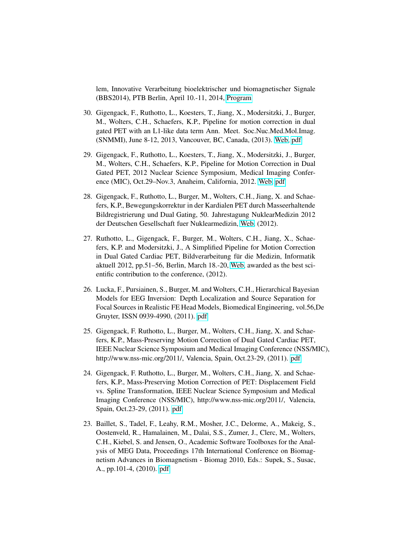lem, Innovative Verarbeitung bioelektrischer und biomagnetischer Signale (BBS2014), PTB Berlin, April 10.-11, 2014, [Program](http://www.bbs2014.ptb.de/bbs2014/bbs2014-programm.html)

- 30. Gigengack, F., Ruthotto, L., Koesters, T., Jiang, X., Modersitzki, J., Burger, M., Wolters, C.H., Schaefers, K.P., Pipeline for motion correction in dual gated PET with an L1-like data term Ann. Meet. Soc.Nuc.Med.Mol.Imag. (SNMMI), June 8-12, 2013, Vancouver, BC, Canada, (2013). [Web,](http://interactive.snm.org/index.cfm?PageID=12107) [pdf](http://www.sci.utah.edu/~wolters/PaperWolters/2013/GigengackRuthottoKoestersJiangModersitzkiBurgerWoltersSchaefers_SNMMIVancouver_2013.pdf)
- 29. Gigengack, F., Ruthotto, L., Koesters, T., Jiang, X., Modersitzki, J., Burger, M., Wolters, C.H., Schaefers, K.P., Pipeline for Motion Correction in Dual Gated PET, 2012 Nuclear Science Symposium, Medical Imaging Conference (MIC), Oct.29–Nov.3, Anaheim, California, 2012. [Web,](http://www.nss-mic.org/2012/NSSMain.asp) [pdf](http://www.sci.utah.edu/~wolters/PaperWolters/2012/GigengackRuthottoKoestersJiangModersitzkiBurgerWoltersSchaefers_MIC_2012.pdf)
- 28. Gigengack, F., Ruthotto, L., Burger, M., Wolters, C.H., Jiang, X. and Schaefers, K.P., Bewegungskorrektur in der Kardialen PET durch Masseerhaltende Bildregistrierung und Dual Gating, 50. Jahrestagung NuklearMedizin 2012 der Deutschen Gesellschaft fuer Nuklearmedizin, [Web,](www.nuklearmedizin2012.de) (2012).
- 27. Ruthotto, L., Gigengack, F., Burger, M., Wolters, C.H., Jiang, X., Schaefers, K.P. and Modersitzki, J., A Simplified Pipeline for Motion Correction in Dual Gated Cardiac PET, Bildverarbeitung für die Medizin, Informatik aktuell 2012, pp.51–56, Berlin, March 18.-20, [Web,](http://www.bvm-workshop.org/) awarded as the best scientific contribution to the conference, (2012).
- 26. Lucka, F., Pursiainen, S., Burger, M. and Wolters, C.H., Hierarchical Bayesian Models for EEG Inversion: Depth Localization and Source Separation for Focal Sources in Realistic FE Head Models, Biomedical Engineering, vol.56,De Gruyter, ISSN 0939-4990, (2011). [pdf](http://www.sci.utah.edu/~wolters/PaperWolters/2011/LuckaPursiainenBurgerWolters_BiomedEng_2011.pdf)
- 25. Gigengack, F. Ruthotto, L., Burger, M., Wolters, C.H., Jiang, X. and Schaefers, K.P., Mass-Preserving Motion Correction of Dual Gated Cardiac PET, IEEE Nuclear Science Symposium and Medical Imaging Conference (NSS/MIC), http://www.nss-mic.org/2011/, Valencia, Spain, Oct.23-29, (2011). [pdf](http://www.sci.utah.edu/~wolters/PaperWolters/2011/GigengackRuthottoBurgerWoltersJiangSchaefers_MIC_DUAL_2011.pdf)
- 24. Gigengack, F. Ruthotto, L., Burger, M., Wolters, C.H., Jiang, X. and Schaefers, K.P., Mass-Preserving Motion Correction of PET: Displacement Field vs. Spline Transformation, IEEE Nuclear Science Symposium and Medical Imaging Conference (NSS/MIC), http://www.nss-mic.org/2011/, Valencia, Spain, Oct.23-29, (2011). [pdf](http://www.sci.utah.edu/~wolters/PaperWolters/2011/GigengackRuthottoBurgerWoltersJiangSchaefers_MIC_SPLINE_2011.pdf)
- 23. Baillet, S., Tadel, F., Leahy, R.M., Mosher, J.C., Delorme, A., Makeig, S., Oostenveld, R., Hamalainen, M., Dalai, S.S., Zumer, J., Clerc, M., Wolters, C.H., Kiebel, S. and Jensen, O., Academic Software Toolboxes for the Analysis of MEG Data, Proceedings 17th International Conference on Biomagnetism Advances in Biomagnetism - Biomag 2010, Eds.: Supek, S., Susac, A., pp.101-4, (2010). [pdf](http://link.springer.com/chapter/10.1007/978-3-642-12197-5_19)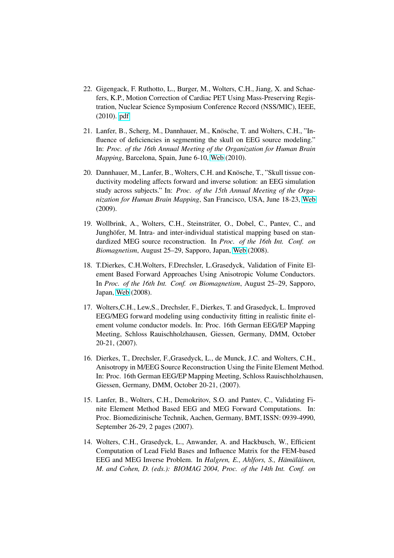- 22. Gigengack, F. Ruthotto, L., Burger, M., Wolters, C.H., Jiang, X. and Schaefers, K.P., Motion Correction of Cardiac PET Using Mass-Preserving Registration, Nuclear Science Symposium Conference Record (NSS/MIC), IEEE, (2010). [pdf](http://www.sci.utah.edu/~wolters/PaperWolters/2010/GigengackRuthottoBurgerWoltersJiangSchaefers_MIC_CR_2010.pdf)
- 21. Lanfer, B., Scherg, M., Dannhauer, M., Knösche, T. and Wolters, C.H., "Influence of deficiencies in segmenting the skull on EEG source modeling." In: *Proc. of the 16th Annual Meeting of the Organization for Human Brain Mapping*, Barcelona, Spain, June 6-10, [Web](http://www.humanbrainmapping.org/barcelona2010/) (2010).
- 20. Dannhauer, M., Lanfer, B., Wolters, C.H. and Knösche, T., "Skull tissue conductivity modeling affects forward and inverse solution: an EEG simulation study across subjects." In: *Proc. of the 15th Annual Meeting of the Organization for Human Brain Mapping*, San Francisco, USA, June 18-23, [Web](http://www.humanbrainmapping.org/sanfrancisco2009/) (2009).
- 19. Wollbrink, A., Wolters, C.H., Steinsträter, O., Dobel, C., Pantev, C., and Junghöfer, M. Intra- and inter-individual statistical mapping based on standardized MEG source reconstruction. In *Proc. of the 16th Int. Conf. on Biomagnetism*, August 25–29, Sapporo, Japan, [Web](http://www.biomag2008.org) (2008).
- 18. T.Dierkes, C.H.Wolters, F.Drechsler, L.Grasedyck, Validation of Finite Element Based Forward Approaches Using Anisotropic Volume Conductors. In *Proc. of the 16th Int. Conf. on Biomagnetism*, August 25–29, Sapporo, Japan, [Web](http://www.biomag2008.org) (2008).
- 17. Wolters,C.H., Lew,S., Drechsler, F., Dierkes, T. and Grasedyck, L. Improved EEG/MEG forward modeling using conductivity fitting in realistic finite element volume conductor models. In: Proc. 16th German EEG/EP Mapping Meeting, Schloss Rauischholzhausen, Giessen, Germany, DMM, October 20-21, (2007).
- 16. Dierkes, T., Drechsler, F.,Grasedyck, L., de Munck, J.C. and Wolters, C.H., Anisotropy in M/EEG Source Reconstruction Using the Finite Element Method. In: Proc. 16th German EEG/EP Mapping Meeting, Schloss Rauischholzhausen, Giessen, Germany, DMM, October 20-21, (2007).
- 15. Lanfer, B., Wolters, C.H., Demokritov, S.O. and Pantev, C., Validating Finite Element Method Based EEG and MEG Forward Computations. In: Proc. Biomedizinische Technik, Aachen, Germany, BMT, ISSN: 0939-4990, September 26-29, 2 pages (2007).
- 14. Wolters, C.H., Grasedyck, L., Anwander, A. and Hackbusch, W., Efficient Computation of Lead Field Bases and Influence Matrix for the FEM-based EEG and MEG Inverse Problem. In *Halgren, E., Ahlfors, S., Hämäläinen, M. and Cohen, D. (eds.): BIOMAG 2004, Proc. of the 14th Int. Conf. on*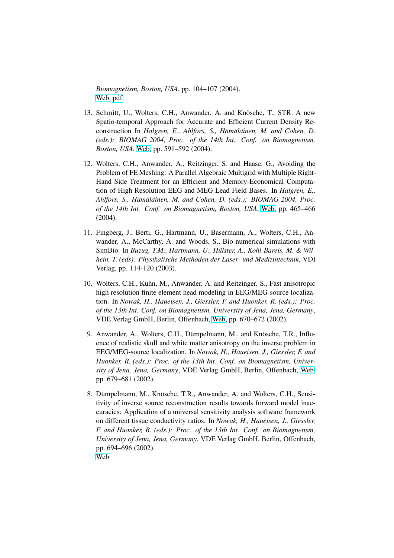*Biomagnetism, Boston, USA*, pp. 104–107 (2004). [Web,](http://www.biomag2004.net/) [pdf.](http://www.sci.utah.edu/~wolters/PaperWolters/2004/Wolters_grasedyck_et_al_biomag2004.pdf)

- 13. Schmitt, U., Wolters, C.H., Anwander, A. and Knösche, T., STR: A new Spatio-temporal Approach for Accurate and Efficient Current Density Reconstruction In *Halgren, E., Ahlfors, S., Hämäläinen, M. and Cohen, D. (eds.): BIOMAG 2004, Proc. of the 14th Int. Conf. on Biomagnetism, Boston, USA*, [Web,](http://www.biomag2004.net/) pp. 591–592 (2004).
- 12. Wolters, C.H., Anwander, A., Reitzinger, S. and Haase, G., Avoiding the Problem of FE Meshing: A Parallel Algebraic Multigrid with Multiple Right-Hand Side Treatment for an Efficient and Memory-Economical Computation of High Resolution EEG and MEG Lead Field Bases. In *Halgren, E., Ahlfors, S., Hämäläinen, M. and Cohen, D. (eds.): BIOMAG 2004, Proc. of the 14th Int. Conf. on Biomagnetism, Boston, USA*, [Web,](http://www.biomag2004.net/) pp. 465–466 (2004).
- 11. Fingberg, J., Berti, G., Hartmann, U., Basermann, A., Wolters, C.H., Anwander, A., McCarthy, A. and Woods, S., Bio-numerical simulations with SimBio. In *Buzug, T.M., Hartmann, U., Hülster, A., Kohl-Bareis, M. & Wilhein, T. (eds): Physikalische Methoden der Laser- und Medizintechnik*, VDI Verlag, pp. 114-120 (2003).
- 10. Wolters, C.H., Kuhn, M., Anwander, A. and Reitzinger, S., Fast anisotropic high resolution finite element head modeling in EEG/MEG-source localization. In *Nowak, H., Haueisen, J., Giessler, F. and Huonker, R. (eds.): Proc. of the 13th Int. Conf. on Biomagnetism, University of Jena, Jena, Germany*, VDE Verlag GmbH, Berlin, Offenbach, [Web,](http://biomag2002.uni-jena.de) pp. 670–672 (2002).
- 9. Anwander, A., Wolters, C.H., Dümpelmann, M., and Knösche, T.R., Influence of realistic skull and white matter anisotropy on the inverse problem in EEG/MEG-source localization. In *Nowak, H., Haueisen, J., Giessler, F. and Huonker, R. (eds.): Proc. of the 13th Int. Conf. on Biomagnetism, University of Jena, Jena, Germany*, VDE Verlag GmbH, Berlin, Offenbach, [Web,](http://biomag2002.uni-jena.de) pp. 679–681 (2002).
- 8. Dümpelmann, M., Knösche, T.R., Anwander, A. and Wolters, C.H., Sensitivity of inverse source reconstruction results towards forward model inaccuracies: Application of a universal sensitivity analysis software framework on different tissue conductivity ratios. In *Nowak, H., Haueisen, J., Giessler, F. and Huonker, R. (eds.): Proc. of the 13th Int. Conf. on Biomagnetism, University of Jena, Jena, Germany*, VDE Verlag GmbH, Berlin, Offenbach, pp. 694–696 (2002). [Web](http://biomag2002.uni-jena.de)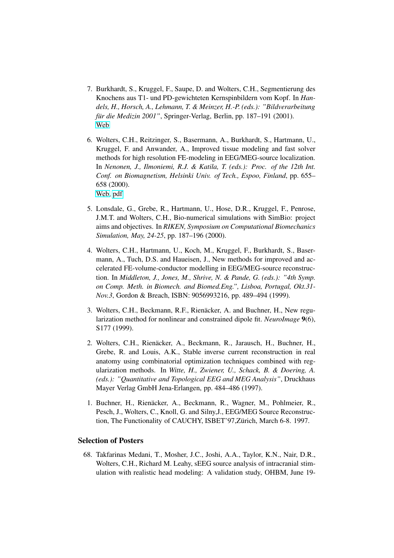- 7. Burkhardt, S., Kruggel, F., Saupe, D. and Wolters, C.H., Segmentierung des Knochens aus T1- und PD-gewichteten Kernspinbildern vom Kopf. In *Handels, H., Horsch, A., Lehmann, T. & Meinzer, H.-P. (eds.): "Bildverarbeitung für die Medizin 2001"*, Springer-Verlag, Berlin, pp. 187–191 (2001). [Web](http://link.springer.com/chapter/10.1007/978-3-642-56714-8_33)
- 6. Wolters, C.H., Reitzinger, S., Basermann, A., Burkhardt, S., Hartmann, U., Kruggel, F. and Anwander, A., Improved tissue modeling and fast solver methods for high resolution FE-modeling in EEG/MEG-source localization. In *Nenonen, J., Ilmoniemi, R.J. & Katila, T. (eds.): Proc. of the 12th Int. Conf. on Biomagnetism, Helsinki Univ. of Tech., Espoo, Finland*, pp. 655– 658 (2000). [Web,](http://biomag2000.hut.fi) [pdf](http://www.sci.utah.edu/~wolters/PaperWolters/2000/biomag2000.pdf)
- 5. Lonsdale, G., Grebe, R., Hartmann, U., Hose, D.R., Kruggel, F., Penrose, J.M.T. and Wolters, C.H., Bio-numerical simulations with SimBio: project aims and objectives. In *RIKEN, Symposium on Computational Biomechanics Simulation, May, 24-25*, pp. 187–196 (2000).
- 4. Wolters, C.H., Hartmann, U., Koch, M., Kruggel, F., Burkhardt, S., Basermann, A., Tuch, D.S. and Haueisen, J., New methods for improved and accelerated FE-volume-conductor modelling in EEG/MEG-source reconstruction. In *Middleton, J., Jones, M., Shrive, N. & Pande, G. (eds.): "4th Symp. on Comp. Meth. in Biomech. and Biomed.Eng.", Lisboa, Portugal, Okt.31- Nov.3*, Gordon & Breach, ISBN: 9056993216, pp. 489–494 (1999).
- 3. Wolters, C.H., Beckmann, R.F., Rienäcker, A. and Buchner, H., New regularization method for nonlinear and constrained dipole fit. *NeuroImage* 9(6), S177 (1999).
- 2. Wolters, C.H., Rienäcker, A., Beckmann, R., Jarausch, H., Buchner, H., Grebe, R. and Louis, A.K., Stable inverse current reconstruction in real anatomy using combinatorial optimization techniques combined with regularization methods. In *Witte, H., Zwiener, U., Schack, B. & Doering, A. (eds.): "Quantitative and Topological EEG and MEG Analysis"*, Druckhaus Mayer Verlag GmbH Jena-Erlangen, pp. 484–486 (1997).
- 1. Buchner, H., Rienäcker, A., Beckmann, R., Wagner, M., Pohlmeier, R., Pesch, J., Wolters, C., Knoll, G. and Silny,J., EEG/MEG Source Reconstruction, The Functionality of CAUCHY, ISBET'97, Zürich, March 6-8. 1997.

#### Selection of Posters

68. Takfarinas Medani, T., Mosher, J.C., Joshi, A.A., Taylor, K.N., Nair, D.R., Wolters, C.H., Richard M. Leahy, sEEG source analysis of intracranial stimulation with realistic head modeling: A validation study, OHBM, June 19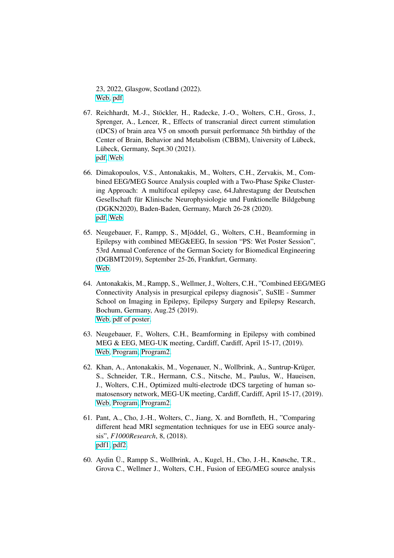23, 2022, Glasgow, Scotland (2022). [Web,](https://www.humanbrainmapping.org/i4a/pages/index.cfm?pageid=4114) [pdf.](http://www.sci.utah.edu/~wolters/PaperWolters/2022/MedaniEtAl_OHBM_2022.pdf)

- 67. Reichhardt, M.-J., Stöckler, H., Radecke, J.-O., Wolters, C.H., Gross, J., Sprenger, A., Lencer, R., Effects of transcranial direct current stimulation (tDCS) of brain area V5 on smooth pursuit performance 5th birthday of the Center of Brain, Behavior and Metabolism (CBBM), University of Lübeck, Lübeck, Germany, Sept.30 (2021). [pdf,](http://www.sci.utah.edu/~wolters/PaperWolters/2021/ReichhardtEtAl_CBBM_2021.pdf) [Web.](https://www.uni-luebeck.de/aktuelles/nachricht/artikel/jubilaeum.html)
- 66. Dimakopoulos, V.S., Antonakakis, M., Wolters, C.H., Zervakis, M., Combined EEG/MEG Source Analysis coupled with a Two-Phase Spike Clustering Approach: A multifocal epilepsy case, 64.Jahrestagung der Deutschen Gesellschaft für Klinische Neurophysiologie und Funktionelle Bildgebung (DGKN2020), Baden-Baden, Germany, March 26-28 (2020). [pdf,](http://www.sci.utah.edu/~wolters/PaperWolters/2020/DimakopoulosEtAl_DGKN_2020.pdf) [Web.](https://www.dgkn-kongress.de/)
- 65. Neugebauer, F., Rampp, S., M[öddel, G., Wolters, C.H., Beamforming in Epilepsy with combined MEG&EEG, In session "PS: Wet Poster Session", 53rd Annual Conference of the German Society for Biomedical Engineering (DGBMT2019), September 25-26, Frankfurt, Germany. [Web.](https://www.bmt-congress.de/en)
- 64. Antonakakis, M., Rampp, S., Wellmer, J., Wolters, C.H., "Combined EEG/MEG Connectivity Analysis in presurgical epilepsy diagnosis", SuSIE - Summer School on Imaging in Epilepsy, Epilepsy Surgery and Epilepsy Research, Bochum, Germany, Aug.25 (2019). [Web,](https://www.imaging-in-epilepsy.org) [pdf of poster.](http://www.sci.utah.edu/~wolters/PaperWolters/2019/AntonakakisEtAl_SUSIE_2019_Poster.pdf)
- 63. Neugebauer, F., Wolters, C.H., Beamforming in Epilepsy with combined MEG & EEG, MEG-UK meeting, Cardiff, Cardiff, April 15-17, (2019). [Web,](https://www.meguk.ac.uk/meg-uk-2019-conference/) [Program,](https://www.meguk.ac.uk/wp-content/uploads/sites/2/2019/04/MEGUK2019_Programme.pdf) [Program2.](http://www.sci.utah.edu/~wolters/PaperWolters/2019/MEGUK2019_Programme.pdf)
- 62. Khan, A., Antonakakis, M., Vogenauer, N., Wollbrink, A., Suntrup-Krüger, S., Schneider, T.R., Hermann, C.S., Nitsche, M., Paulus, W., Haueisen, J., Wolters, C.H., Optimized multi-electrode tDCS targeting of human somatosensory network, MEG-UK meeting, Cardiff, Cardiff, April 15-17, (2019). [Web,](https://www.meguk.ac.uk/meg-uk-2019-conference/) [Program,](https://www.meguk.ac.uk/wp-content/uploads/sites/2/2019/04/MEGUK2019_Programme.pdf) [Program2.](http://www.sci.utah.edu/~wolters/PaperWolters/2019/MEGUK2019_Programme.pdf)
- 61. Pant, A., Cho, J.-H., Wolters, C., Jiang, X. and Bornfleth, H., "Comparing different head MRI segmentation techniques for use in EEG source analysis", *F1000Research*, 8, (2018). [pdf1,](https://www.besa.de/wp-content/uploads/2014/05/BESA-Research-Poster-Comparing-different-head-MRI-segmentation-techniques-BACI-2017.pdf) [pdf2.](https://www.researchgate.net/profile/Harald_Bornfleth/publication/330225573_Comparing_different_head_MRI_segmentation_techniques_for_use_in_EEG_source_analysis/links/5c385280458515a4c71ca99d/Comparing-different-head-MRI-segmentation-techniques-for-use-in-EEG-source-analysis.pdf)
- 60. Aydin Ü., Rampp S., Wollbrink, A., Kugel, H., Cho, J.-H., Knøsche, T.R., Grova C., Wellmer J., Wolters, C.H., Fusion of EEG/MEG source analysis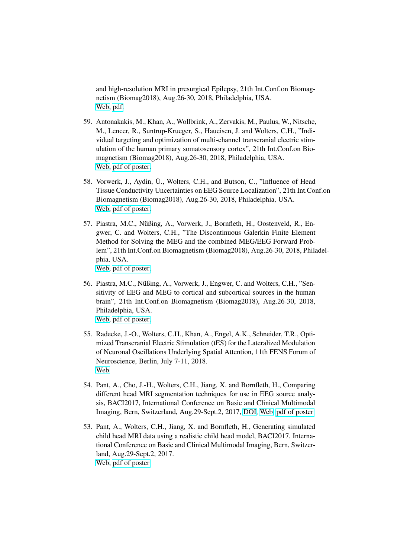and high-resolution MRI in presurgical Epilepsy, 21th Int.Conf.on Biomagnetism (Biomag2018), Aug.26-30, 2018, Philadelphia, USA. [Web,](http://www.biomag2018.org) [pdf.](http://www.sci.utah.edu/~wolters/PaperWolters/2018/Aydin_BIOMAG2018_ZOOMit_Poster.pdf)

- 59. Antonakakis, M., Khan, A., Wollbrink, A., Zervakis, M., Paulus, W., Nitsche, M., Lencer, R., Suntrup-Krueger, S., Haueisen, J. and Wolters, C.H., "Individual targeting and optimization of multi-channel transcranial electric stimulation of the human primary somatosensory cortex", 21th Int.Conf.on Biomagnetism (Biomag2018), Aug.26-30, 2018, Philadelphia, USA. [Web,](http://www.biomag2018.org) [pdf of poster.](http://www.sci.utah.edu/~wolters/PaperWolters/2018/AntonakakisKhanWollbrinkZervakisPaulusNitscheLencerSuntrup-KruegerHaueisenWolters_PosterBiomag2018.pdf)
- 58. Vorwerk, J., Aydin, Ü., Wolters, C.H., and Butson, C., "Influence of Head Tissue Conductivity Uncertainties on EEG Source Localization", 21th Int.Conf.on Biomagnetism (Biomag2018), Aug.26-30, 2018, Philadelphia, USA. [Web,](http://www.biomag2018.org) [pdf of poster.](http://www.sci.utah.edu/~wolters/PaperWolters/2018/VorwerkAydinWoltersButson_PosterBiomag2018.pdf)
- 57. Piastra, M.C., Nüßing, A., Vorwerk, J., Bornfleth, H., Oostenveld, R., Engwer, C. and Wolters, C.H., "The Discontinuous Galerkin Finite Element Method for Solving the MEG and the combined MEG/EEG Forward Problem", 21th Int.Conf.on Biomagnetism (Biomag2018), Aug.26-30, 2018, Philadelphia, USA. [Web,](http://www.biomag2018.org) [pdf of poster.](http://www.sci.utah.edu/~wolters/PaperWolters/2018/PiastraNuessingVorwerkBornflethOostenveldEngwerWolters_PosterBiomag2018.pdf)
- 56. Piastra, M.C., Nüßing, A., Vorwerk, J., Engwer, C. and Wolters, C.H., "Sensitivity of EEG and MEG to cortical and subcortical sources in the human brain", 21th Int.Conf.on Biomagnetism (Biomag2018), Aug.26-30, 2018, Philadelphia, USA. [Web,](http://www.biomag2018.org) [pdf of poster.](http://www.sci.utah.edu/~wolters/PaperWolters/2018/PiastraNuessingVorwerkEngwerWolters_PosterBiomag2018.pdf)
- 55. Radecke, J.-O., Wolters, C.H., Khan, A., Engel, A.K., Schneider, T.R., Optimized Transcranial Electric Stimulation (tES) for the Lateralized Modulation of Neuronal Oscillations Underlying Spatial Attention, 11th FENS Forum of Neuroscience, Berlin, July 7-11, 2018. [Web](https://forum2018.fens.org/)
- 54. Pant, A., Cho, J.-H., Wolters, C.H., Jiang, X. and Bornfleth, H., Comparing different head MRI segmentation techniques for use in EEG source analysis, BACI2017, International Conference on Basic and Clinical Multimodal Imaging, Bern, Switzerland, Aug.29-Sept.2, 2017, [DOI,](http://dx.doi.org/10.7490/f1000research.1116378.1) [Web,](https://www.conftool.com/baci-conference/sessions.php) [pdf of poster](http://www.sci.utah.edu/~wolters/PaperWolters/2017/PantChoWoltersJiangBornfleth_BACI2017.pdf)
- 53. Pant, A., Wolters, C.H., Jiang, X. and Bornfleth, H., Generating simulated child head MRI data using a realistic child head model, BACI2017, International Conference on Basic and Clinical Multimodal Imaging, Bern, Switzerland, Aug.29-Sept.2, 2017. [Web,](https://www.conftool.com/baci-conference/sessions.php) [pdf of poster](http://www.sci.utah.edu/~wolters/PaperWolters/2017/PantWoltersJiangBornfleth_BACI2017.pdf)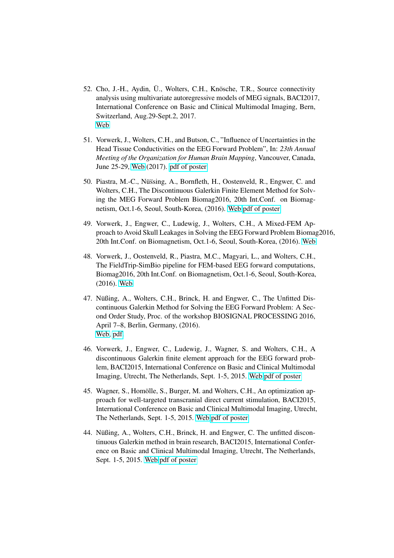- 52. Cho, J.-H., Aydin, Ü., Wolters, C.H., Knösche, T.R., Source connectivity analysis using multivariate autoregressive models of MEG signals, BACI2017, International Conference on Basic and Clinical Multimodal Imaging, Bern, Switzerland, Aug.29-Sept.2, 2017. [Web](https://www.conftool.com/baci-conference/sessions.php)
- 51. Vorwerk, J., Wolters, C.H., and Butson, C., "Influence of Uncertainties in the Head Tissue Conductivities on the EEG Forward Problem", In: *23th Annual Meeting of the Organization for Human Brain Mapping*, Vancouver, Canada, June 25-29, [Web](https://www.humanbrainmapping.org/i4a/pages/index.cfm?pageID=3734) (2017). [pdf of poster](http://www.sci.utah.edu/~wolters/PaperWolters/2017/VorwerkWoltersButson_SensitivityInvestigationSEP_OHBMPoster_2017.pdf)
- 50. Piastra, M.-C., Nüssing, A., Bornfleth, H., Oostenveld, R., Engwer, C. and Wolters, C.H., The Discontinuous Galerkin Finite Element Method for Solving the MEG Forward Problem Biomag2016, 20th Int.Conf. on Biomagnetism, Oct.1-6, Seoul, South-Korea, (2016). [Web](http://www.biomag2016.org/) [pdf of poster](http://www.sci.utah.edu/~wolters/PaperWolters/2016/Piastra_Biomag2016_Poster.pdf)
- 49. Vorwerk, J., Engwer, C., Ludewig, J., Wolters, C.H., A Mixed-FEM Approach to Avoid Skull Leakages in Solving the EEG Forward Problem Biomag2016, 20th Int.Conf. on Biomagnetism, Oct.1-6, Seoul, South-Korea, (2016). [Web](http://www.biomag2016.org/)
- 48. Vorwerk, J., Oostenveld, R., Piastra, M.C., Magyari, L., and Wolters, C.H., The FieldTrip-SimBio pipeline for FEM-based EEG forward computations, Biomag2016, 20th Int.Conf. on Biomagnetism, Oct.1-6, Seoul, South-Korea, (2016). [Web](http://www.biomag2016.org/)
- 47. Nüßing, A., Wolters, C.H., Brinck, H. and Engwer, C., The Unfitted Discontinuous Galerkin Method for Solving the EEG Forward Problem: A Second Order Study, Proc. of the workshop BIOSIGNAL PROCESSING 2016, April 7–8, Berlin, Germany, (2016). [Web,](http://2016.biosignal.berlin/) [pdf.](http://www.sci.utah.edu/~wolters/PaperWolters/2016/NuessingWoltersBrinckEngwer_BiosigPoster_2016.pdf)
- 46. Vorwerk, J., Engwer, C., Ludewig, J., Wagner, S. and Wolters, C.H., A discontinuous Galerkin finite element approach for the EEG forward problem, BACI2015, International Conference on Basic and Clinical Multimodal Imaging, Utrecht, The Netherlands, Sept. 1-5, 2015. [Web](http://www.baci-conference.com/) pdf [of poster](http://www.sci.utah.edu/~wolters/PaperWolters/2015/VorwerkEtAl_poster_baci2015.pdf)
- 45. Wagner, S., Homölle, S., Burger, M. and Wolters, C.H., An optimization approach for well-targeted transcranial direct current stimulation, BACI2015, International Conference on Basic and Clinical Multimodal Imaging, Utrecht, The Netherlands, Sept. 1-5, 2015. [Web](http://www.baci-conference.com/) [pdf of poster](http://www.sci.utah.edu/~wolters/PaperWolters/2015/WagnerEtAl_poster_baci2015.pdf)
- 44. Nüßing, A., Wolters, C.H., Brinck, H. and Engwer, C. The unfitted discontinuous Galerkin method in brain research, BACI2015, International Conference on Basic and Clinical Multimodal Imaging, Utrecht, The Netherlands, Sept. 1-5, 2015. [Web](http://www.baci-conference.com/) [pdf of poster](http://www.sci.utah.edu/~wolters/PaperWolters/2015/NuessingEtAl_poster_baci2015.pdf)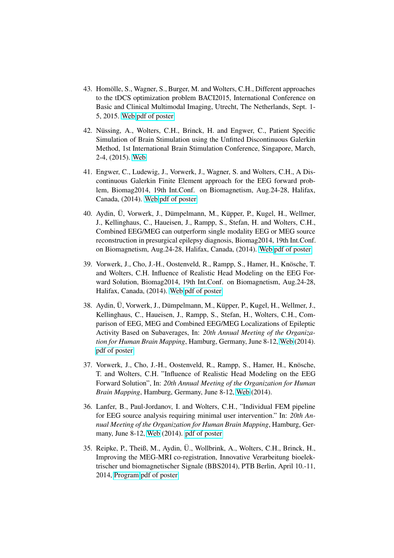- 43. Homölle, S., Wagner, S., Burger, M. and Wolters, C.H., Different approaches to the tDCS optimization problem BACI2015, International Conference on Basic and Clinical Multimodal Imaging, Utrecht, The Netherlands, Sept. 1- 5, 2015. [Web](http://www.baci-conference.com/) [pdf of poster](http://www.sci.utah.edu/~wolters/PaperWolters/2015/HomoelleEtAl_poster_baci2015.pdf)
- 42. Nüssing, A., Wolters, C.H., Brinck, H. and Engwer, C., Patient Specific Simulation of Brain Stimulation using the Unfitted Discontinuous Galerkin Method, 1st International Brain Stimulation Conference, Singapore, March, 2-4, (2015). [Web](http://www.brainstimconference.com/)
- 41. Engwer, C., Ludewig, J., Vorwerk, J., Wagner, S. and Wolters, C.H., A Discontinuous Galerkin Finite Element approach for the EEG forward problem, Biomag2014, 19th Int.Conf. on Biomagnetism, Aug.24-28, Halifax, Canada, (2014). [Web](http://www.biomag2014.org/) [pdf of poster](http://www.sci.utah.edu/~wolters/PaperWolters/2014/EngwerEtAl_Biomag2014_Poster.pdf)
- 40. Aydin, Ü, Vorwerk, J., Dümpelmann, M., Küpper, P., Kugel, H., Wellmer, J., Kellinghaus, C., Haueisen, J., Rampp, S., Stefan, H. and Wolters, C.H., Combined EEG/MEG can outperform single modality EEG or MEG source reconstruction in presurgical epilepsy diagnosis, Biomag2014, 19th Int.Conf. on Biomagnetism, Aug.24-28, Halifax, Canada, (2014). [Web](http://www.biomag2014.org/) [pdf of poster](http://www.sci.utah.edu/~wolters/PaperWolters/2014/Aydin_Biomag2014_Poster.pdf)
- 39. Vorwerk, J., Cho, J.-H., Oostenveld, R., Rampp, S., Hamer, H., Knösche, T. and Wolters, C.H. Influence of Realistic Head Modeling on the EEG Forward Solution, Biomag2014, 19th Int.Conf. on Biomagnetism, Aug.24-28, Halifax, Canada, (2014). [Web](http://www.biomag2014.org/) [pdf of poster](http://www.sci.utah.edu/~wolters/PaperWolters/2014/VorwerkEtAl_Biomag2014.pdf)
- 38. Aydin, Ü, Vorwerk, J., Dümpelmann, M., Küpper, P., Kugel, H., Wellmer, J., Kellinghaus, C., Haueisen, J., Rampp, S., Stefan, H., Wolters, C.H., Comparison of EEG, MEG and Combined EEG/MEG Localizations of Epileptic Activity Based on Subaverages, In: *20th Annual Meeting of the Organization for Human Brain Mapping*, Hamburg, Germany, June 8-12, [Web](http://www.humanbrainmapping.org/i4a/pages/index.cfm?pageID=3565) (2014). [pdf of poster](http://www.sci.utah.edu/~wolters/PaperWolters/2014/AydinEtAl_OHBM2014_Poster.pdf)
- 37. Vorwerk, J., Cho, J.-H., Oostenveld, R., Rampp, S., Hamer, H., Knösche, T. and Wolters, C.H. "Influence of Realistic Head Modeling on the EEG Forward Solution", In: *20th Annual Meeting of the Organization for Human Brain Mapping*, Hamburg, Germany, June 8-12, [Web](http://www.humanbrainmapping.org/i4a/pages/index.cfm?pageID=3565) (2014).
- 36. Lanfer, B., Paul-Jordanov, I. and Wolters, C.H., "Individual FEM pipeline for EEG source analysis requiring minimal user intervention." In: *20th Annual Meeting of the Organization for Human Brain Mapping*, Hamburg, Germany, June 8-12, [Web](http://www.humanbrainmapping.org/i4a/pages/index.cfm?pageID=3565) (2014). [pdf of poster](http://www.sci.utah.edu/~wolters/PaperWolters/2014/LanferPaul-JordanovWolters_OHBM2014_Poster.pdf)
- 35. Reipke, P., Theiß, M., Aydin, U., Wollbrink, A., Wolters, C.H., Brinck, H., ¨ Improving the MEG-MRI co-registration, Innovative Verarbeitung bioelektrischer und biomagnetischer Signale (BBS2014), PTB Berlin, April 10.-11, 2014, [Program](http://www.bbs2014.ptb.de/bbs2014/bbs2014-programm.html) [pdf of poster](http://www.sci.utah.edu/~wolters/PaperWolters/2014/ReipkeEtAl_BBS2014.pdf)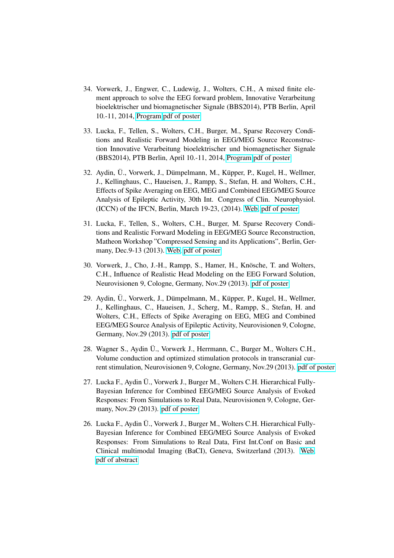- 34. Vorwerk, J., Engwer, C., Ludewig, J., Wolters, C.H., A mixed finite element approach to solve the EEG forward problem, Innovative Verarbeitung bioelektrischer und biomagnetischer Signale (BBS2014), PTB Berlin, April 10.-11, 2014, [Program](http://www.bbs2014.ptb.de/bbs2014/bbs2014-programm.html) [pdf of poster](http://www.sci.utah.edu/~wolters/PaperWolters/2014/VorwerkEtAl_Poster_BMT2014.pdf)
- 33. Lucka, F., Tellen, S., Wolters, C.H., Burger, M., Sparse Recovery Conditions and Realistic Forward Modeling in EEG/MEG Source Reconstruction Innovative Verarbeitung bioelektrischer und biomagnetischer Signale (BBS2014), PTB Berlin, April 10.-11, 2014, [Program](http://www.bbs2014.ptb.de/bbs2014/bbs2014-programm.html) [pdf of poster](http://www.sci.utah.edu/~wolters/PaperWolters/2014/LuckaTellenWoltersBurger_Poster-BBS2014.pdf)
- 32. Aydin, Ü., Vorwerk, J., Dümpelmann, M., Küpper, P., Kugel, H., Wellmer, J., Kellinghaus, C., Haueisen, J., Rampp, S., Stefan, H. and Wolters, C.H., Effects of Spike Averaging on EEG, MEG and Combined EEG/MEG Source Analysis of Epileptic Activity, 30th Int. Congress of Clin. Neurophysiol. (ICCN) of the IFCN, Berlin, March 19-23, (2014). [Web,](http://www.iccn2014.de/) [pdf of poster](http://www.sci.utah.edu/~wolters/PaperWolters/2014/AydinEtAl_ICCN2014_poster.pdf)
- 31. Lucka, F., Tellen, S., Wolters, C.H., Burger, M. Sparse Recovery Conditions and Realistic Forward Modeling in EEG/MEG Source Reconstruction, Matheon Workshop "Compressed Sensing and its Applications", Berlin, Germany, Dec.9-13 (2013). [Web,](http://www3.math.tu-berlin.de/numerik/csa2013/index.html) [pdf of poster](http://www.sci.utah.edu/~wolters/PaperWolters/2013/LuckaTellenWoltersBurger_Poster-matheon_2013.pdf)
- 30. Vorwerk, J., Cho, J.-H., Rampp, S., Hamer, H., Knösche, T. and Wolters, C.H., Influence of Realistic Head Modeling on the EEG Forward Solution, Neurovisionen 9, Cologne, Germany, Nov.29 (2013). [pdf of poster](http://www.sci.utah.edu/~wolters/PaperWolters/2013/VorwerkEtAl_Neurovisionen_2013.pdf)
- 29. Aydin, Ü., Vorwerk, J., Dümpelmann, M., Küpper, P., Kugel, H., Wellmer, J., Kellinghaus, C., Haueisen, J., Scherg, M., Rampp, S., Stefan, H. and Wolters, C.H., Effects of Spike Averaging on EEG, MEG and Combined EEG/MEG Source Analysis of Epileptic Activity, Neurovisionen 9, Cologne, Germany, Nov.29 (2013). [pdf of poster](http://www.sci.utah.edu/~wolters/PaperWolters/2013/AydinEtAl_Neurovisionen_2013.pdf)
- 28. Wagner S., Aydin Ü., Vorwerk J., Herrmann, C., Burger M., Wolters C.H., Volume conduction and optimized stimulation protocols in transcranial current stimulation, Neurovisionen 9, Cologne, Germany, Nov.29 (2013). [pdf of poster](http://www.sci.utah.edu/~wolters/PaperWolters/2013/WagnerEtAl_Neurovisionen_2013.pdf)
- 27. Lucka F., Aydin U., Vorwerk J., Burger M., Wolters C.H. Hierarchical Fully- ¨ Bayesian Inference for Combined EEG/MEG Source Analysis of Evoked Responses: From Simulations to Real Data, Neurovisionen 9, Cologne, Germany, Nov.29 (2013). [pdf of poster](http://www.sci.utah.edu/~wolters/PaperWolters/2013/LuckaEtAl_Neurovisionen_2013.pdf)
- 26. Lucka F., Aydin Ü., Vorwerk J., Burger M., Wolters C.H. Hierarchical Fully-Bayesian Inference for Combined EEG/MEG Source Analysis of Evoked Responses: From Simulations to Real Data, First Int.Conf on Basic and Clinical multimodal Imaging (BaCI), Geneva, Switzerland (2013). [Web,](http://www.baci2013.ch) [pdf of abstract](http://www.baci2013.ch/program/posters)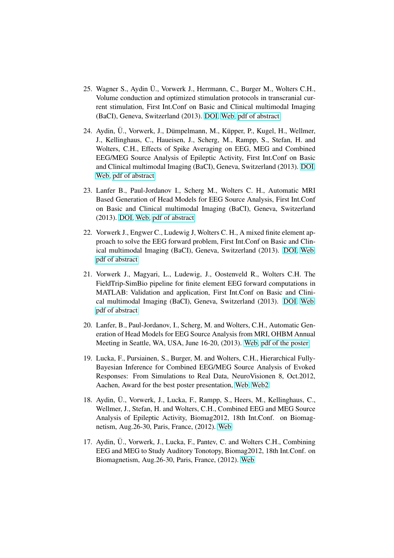- 25. Wagner S., Aydin U., Vorwerk J., Herrmann, C., Burger M., Wolters C.H., ¨ Volume conduction and optimized stimulation protocols in transcranial current stimulation, First Int.Conf on Basic and Clinical multimodal Imaging (BaCI), Geneva, Switzerland (2013). [DOI,](http://dx.doi.org/10.1177/1550059413507209) [Web,](http://www.baci2013.ch) [pdf of abstract](http://www.baci2013.ch/program/posters)
- 24. Aydin, Ü., Vorwerk, J., Dümpelmann, M., Küpper, P., Kugel, H., Wellmer, J., Kellinghaus, C., Haueisen, J., Scherg, M., Rampp, S., Stefan, H. and Wolters, C.H., Effects of Spike Averaging on EEG, MEG and Combined EEG/MEG Source Analysis of Epileptic Activity, First Int.Conf on Basic and Clinical multimodal Imaging (BaCI), Geneva, Switzerland (2013). [DOI,](http://dx.doi.org/10.1177/1550059413507209) [Web,](http://www.baci2013.ch) [pdf of abstract](http://www.baci2013.ch/program/posters)
- 23. Lanfer B., Paul-Jordanov I., Scherg M., Wolters C. H., Automatic MRI Based Generation of Head Models for EEG Source Analysis, First Int.Conf on Basic and Clinical multimodal Imaging (BaCI), Geneva, Switzerland (2013). [DOI,](http://dx.doi.org/10.1177/1550059413507209) [Web,](http://www.baci2013.ch) [pdf of abstract](http://www.baci2013.ch/program/posters)
- 22. Vorwerk J., Engwer C., Ludewig J, Wolters C. H., A mixed finite element approach to solve the EEG forward problem, First Int.Conf on Basic and Clinical multimodal Imaging (BaCI), Geneva, Switzerland (2013). [DOI,](http://dx.doi.org/10.1177/1550059413507209) [Web,](http://www.baci2013.ch) [pdf of abstract](http://www.baci2013.ch/program/posters)
- 21. Vorwerk J., Magyari, L., Ludewig, J., Oostenveld R., Wolters C.H. The FieldTrip-SimBio pipeline for finite element EEG forward computations in MATLAB: Validation and application, First Int.Conf on Basic and Clinical multimodal Imaging (BaCI), Geneva, Switzerland (2013). [DOI,](http://dx.doi.org/10.1177/1550059413507209) [Web,](http://www.baci2013.ch) [pdf of abstract](http://www.baci2013.ch/program/posters)
- 20. Lanfer, B., Paul-Jordanov, I., Scherg, M. and Wolters, C.H., Automatic Generation of Head Models for EEG Source Analysis from MRI, OHBM Annual Meeting in Seattle, WA, USA, June 16-20, (2013). [Web,](http://www.humanbrainmapping.org/OHBM2013) [pdf of the poster](http://www.sci.utah.edu/~wolters/PaperWolters/2013/LanferEtAl_OHBM_2013.pdf)
- 19. Lucka, F., Pursiainen, S., Burger, M. and Wolters, C.H., Hierarchical Fully-Bayesian Inference for Combined EEG/MEG Source Analysis of Evoked Responses: From Simulations to Real Data, NeuroVisionen 8, Oct.2012, Aachen, Award for the best poster presentation, [Web,](http://www.neuro-zentrum.rwth-aachen.de/neurovisionen8.html) [Web2](http://www.neuro.nrw.de/)
- 18. Aydin, Ü., Vorwerk, J., Lucka, F., Rampp, S., Heers, M., Kellinghaus, C., Wellmer, J., Stefan, H. and Wolters, C.H., Combined EEG and MEG Source Analysis of Epileptic Activity, Biomag2012, 18th Int.Conf. on Biomagnetism, Aug.26-30, Paris, France, (2012). [Web](http://www.biomag2012.org/)
- 17. Aydin, Ü., Vorwerk, J., Lucka, F., Pantev, C. and Wolters C.H., Combining EEG and MEG to Study Auditory Tonotopy, Biomag2012, 18th Int.Conf. on Biomagnetism, Aug.26-30, Paris, France, (2012). [Web](http://www.biomag2012.org/)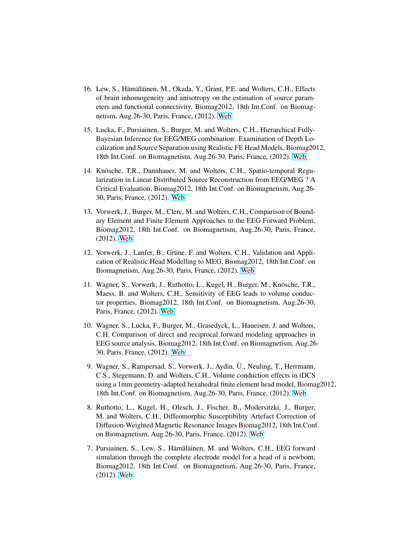- 16. Lew, S., Hämäläinen, M., Okada, Y., Grant, P.E. and Wolters, C.H., Effects of brain inhomogeneity and anisotropy on the estimation of source parameters and functional connectivity, Biomag2012, 18th Int.Conf. on Biomagnetism, Aug.26-30, Paris, France, (2012). [Web](http://www.biomag2012.org/)
- 15. Lucka, F., Pursiainen, S., Burger, M. and Wolters, C.H., Hierarchical Fully-Bayesian Inference for EEG/MEG combination: Examination of Depth Localization and Source Separation using Realistic FE Head Models, Biomag2012, 18th Int.Conf. on Biomagnetism, Aug.26-30, Paris, France, (2012). [Web](http://www.biomag2012.org/)
- 14. Knösche, T.R., Dannhauer, M. and Wolters, C.H., Spatio-temporal Regularization in Linear Distributed Source Reconstruction from EEG/MEG ? A Critical Evaluation, Biomag2012, 18th Int.Conf. on Biomagnetism, Aug.26- 30, Paris, France, (2012). [Web](http://www.biomag2012.org/)
- 13. Vorwerk, J., Burger, M., Clerc, M. and Wolters, C.H., Comparison of Boundary Element and Finite Element Approaches to the EEG Forward Problem, Biomag2012, 18th Int.Conf. on Biomagnetism, Aug.26-30, Paris, France, (2012). [Web](http://www.biomag2012.org/)
- 12. Vorwerk, J., Lanfer, B., Grüne, F. and Wolters, C.H., Validation and Application of Realistic Head Modelling to MEG, Biomag2012, 18th Int.Conf. on Biomagnetism, Aug.26-30, Paris, France, (2012). [Web](http://www.biomag2012.org/)
- 11. Wagner, S., Vorwerk, J., Ruthotto, L., Kugel, H., Burger, M., Knösche, T.R., Maess, B. and Wolters, C.H., Sensitivity of EEG leads to volume conductor properties, Biomag2012, 18th Int.Conf. on Biomagnetism, Aug.26-30, Paris, France, (2012). [Web](http://www.biomag2012.org/)
- 10. Wagner, S., Lucka, F., Burger, M., Grasedyck, L., Haueisen, J. and Wolters, C.H. Comparison of direct and reciprocal forward modeling approaches in EEG source analysis, Biomag2012, 18th Int.Conf. on Biomagnetism, Aug.26- 30, Paris, France, (2012). [Web](http://www.biomag2012.org/)
- 9. Wagner, S., Rampersad, S., Vorwerk, J., Aydin, Ü., Neuling, T., Herrmann, C.S., Stegemann, D. and Wolters, C.H., Volume conduction effects in tDCS using a 1mm geometry-adapted hexahedral finite element head model, Biomag2012, 18th Int.Conf. on Biomagnetism, Aug.26-30, Paris, France, (2012). [Web](http://www.biomag2012.org/)
- 8. Ruthotto, L., Kugel, H., Olesch, J., Fischer, B., Modersitzki, J., Burger, M. and Wolters, C.H., Diffeomorphic Susceptibility Artefact Correction of Diffusion-Weighted Magnetic Resonance Images Biomag2012, 18th Int.Conf. on Biomagnetism, Aug.26-30, Paris, France, (2012). [Web](http://www.biomag2012.org/)
- 7. Pursiainen, S., Lew, S., Hämäläinen, M. and Wolters, C.H., EEG forward simulation through the complete electrode model for a head of a newborn, Biomag2012, 18th Int.Conf. on Biomagnetism, Aug.26-30, Paris, France, (2012). [Web](http://www.biomag2012.org/)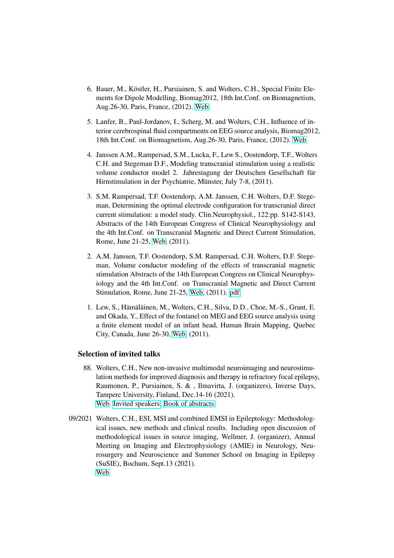- 6. Bauer, M., Köstler, H., Pursiainen, S. and Wolters, C.H., Special Finite Elements for Dipole Modelling, Biomag2012, 18th Int.Conf. on Biomagnetism, Aug.26-30, Paris, France, (2012). [Web](http://www.biomag2012.org/)
- 5. Lanfer, B., Paul-Jordanov, I., Scherg, M. and Wolters, C.H., Influence of interior cerebrospinal fluid compartments on EEG source analysis, Biomag2012, 18th Int.Conf. on Biomagnetism, Aug.26-30, Paris, France, (2012). [Web](http://www.biomag2012.org/)
- 4. Janssen A.M., Rampersad, S.M., Lucka, F., Lew S., Oostendorp, T.F., Wolters C.H. and Stegeman D.F., Modeling transcranial stimulation using a realistic volume conductor model 2. Jahrestagung der Deutschen Gesellschaft für Hirnstimulation in der Psychiatrie, Münster, July 7-8, (2011).
- 3. S.M. Rampersad, T.F. Oostendorp, A.M. Janssen, C.H. Wolters, D.F. Stegeman, Determining the optimal electrode configuration for transcranial direct current stimulation: a model study. Clin.Neurophysiol., 122:pp. S142-S143, Abstracts of the 14th European Congress of Clinical Neurophysiology and the 4th Int.Conf. on Transcranial Magnetic and Direct Current Stimulation, Rome, June 21-25, [Web,](http://www.oic.it/eccn2011/) (2011).
- 2. A.M. Janssen, T.F. Oostendorp, S.M. Rampersad, C.H. Wolters, D.F. Stegeman, Volume conductor modeling of the effects of transcranial magnetic stimulation Abstracts of the 14th European Congress on Clinical Neurophysiology and the 4th Int.Conf. on Transcranial Magnetic and Direct Current Stimulation, Rome, June 21-25, [Web,](http://www.oic.it/eccn2011/) (2011). [pdf](http://www.sci.utah.edu/~wolters/PaperWolters/2011/JanssenRampersadLuckaLewOostendorpWoltersStegeman_ECCN_Rom_2011.pdf)
- 1. Lew, S., Hämäläinen, M., Wolters, C.H., Silva, D.D., Choe, M.-S., Grant, E. and Okada, Y., Effect of the fontanel on MEG and EEG source analysis using a finite element model of an infant head, Human Brain Mapping, Quebec City, Canada, June 26-30, [Web,](http://www.humanbrainmapping.org/hbm2011/) (2011).

### Selection of invited talks

- 88. Wolters, C.H., New non-invasive multimodal neuroimaging and neurostimulation methods for improved diagnosis and therapy in refractory focal epilepsy, Raumonen, P., Pursiainen, S. & , Ilmavirta, J. (organizers), Inverse Days, Tampere University, Finland, Dec.14-16 (2021). [Web.](https://events.tuni.fi/inversedays2021/) [Invited speakers,](https://events.tuni.fi/inversedays2021/speakers/) [Book of abstracts.](https://events.tuni.fi/uploads/2021/12/dcc5e139-inverse-days-2021-book-of-abstracts.pdf)
- 09/2021 Wolters, C.H., ESI, MSI and combined EMSI in Epileptology: Methodological issues, new methods and clinical results. Including open discussion of methodological issues in source imaging, Wellmer, J. (organizer), Annual Meeting on Imaging and Electrophysiology (AMIE) in Neurology, Neurosurgery and Neuroscience and Summer School on Imaging in Epilepsy (SuSIE), Bochum, Sept.13 (2021). [Web](http://www.imaging-in-epilepsy.org/)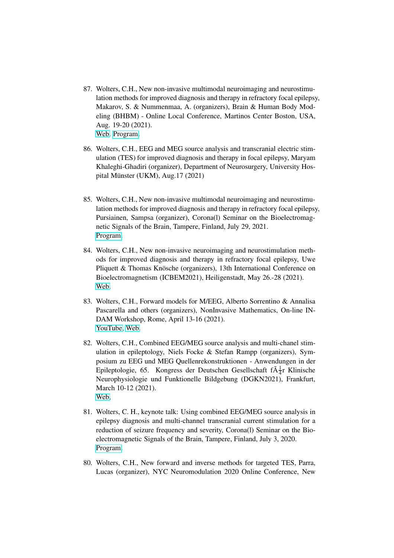- 87. Wolters, C.H., New non-invasive multimodal neuroimaging and neurostimulation methods for improved diagnosis and therapy in refractory focal epilepsy, Makarov, S. & Nummenmaa, A. (organizers), Brain & Human Body Modeling (BHBM) - Online Local Conference, Martinos Center Boston, USA, Aug. 19-20 (2021). [Web.](https://education.martinos.org/brain-and-human-body-modeling-conference/) [Program.](http://www.sci.utah.edu/~wolters/PaperWolters/2021/Boston-BHBM.pdf)
- 86. Wolters, C.H., EEG and MEG source analysis and transcranial electric stimulation (TES) for improved diagnosis and therapy in focal epilepsy, Maryam Khaleghi-Ghadiri (organizer), Department of Neurosurgery, University Hospital Münster (UKM), Aug.  $17(2021)$
- 85. Wolters, C.H., New non-invasive multimodal neuroimaging and neurostimulation methods for improved diagnosis and therapy in refractory focal epilepsy, Pursiainen, Sampsa (organizer), Corona(l) Seminar on the Bioelectromagnetic Signals of the Brain, Tampere, Finland, July 29, 2021. [Program.](http://www.sci.utah.edu/~wolters/PaperWolters/2021/coronal_seminar_tampere_2021.pdf)
- 84. Wolters, C.H., New non-invasive neuroimaging and neurostimulation methods for improved diagnosis and therapy in refractory focal epilepsy, Uwe Pliquett & Thomas Knösche (organizers), 13th International Conference on Bioelectromagnetism (ICBEM2021), Heiligenstadt, May 26.-28 (2021). [Web.](http://www.isbem.org/conf/2021/13th.htm)
- 83. Wolters, C.H., Forward models for M/EEG, Alberto Sorrentino & Annalisa Pascarella and others (organizers), NonInvasive Mathematics, On-line IN-DAM Workshop, Rome, April 13-16 (2021). [YouTube,](https://www.youtube.com/watch?v=Hd6ajx-pPsk) [Web.](https://www.dima.unige.it/~sorrentino/noninvasive_math.html)
- 82. Wolters, C.H., Combined EEG/MEG source analysis and multi-chanel stimulation in epileptology, Niels Focke & Stefan Rampp (organizers), Symposium zu EEG und MEG Quellenrekonstruktionen - Anwendungen in der Epileptologie, 65. Kongress der Deutschen Gesellschaft f $\tilde{A}^1_{\overline{4}}$ r Klinische Neurophysiologie und Funktionelle Bildgebung (DGKN2021), Frankfurt, March 10-12 (2021). [Web,](https://www.dgkn-kongress.de/programm)
- 81. Wolters, C. H., keynote talk: Using combined EEG/MEG source analysis in epilepsy diagnosis and multi-channel transcranial current stimulation for a reduction of seizure frequency and severity, Corona(l) Seminar on the Bioelectromagnetic Signals of the Brain, Tampere, Finland, July 3, 2020. [Program.](http://www.sci.utah.edu/~wolters/PaperWolters/2020/TampereSeminarJuly2020.pdf)
- 80. Wolters, C.H., New forward and inverse methods for targeted TES, Parra, Lucas (organizer), NYC Neuromodulation 2020 Online Conference, New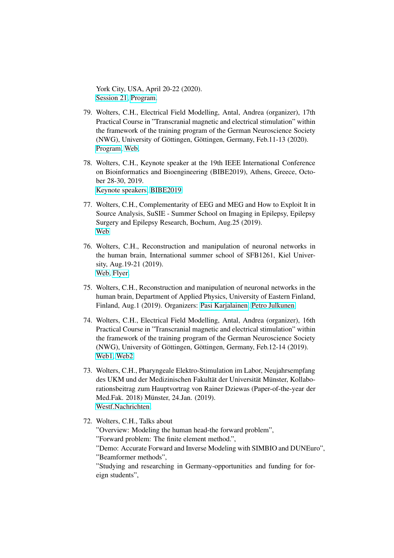York City, USA, April 20-22 (2020). [Session 21,](https://neuromodec.com/nyc-neuromodulation-online-2020/event-list.html#21) [Program.](https://neuromodec.com/nyc-neuromodulation-online-2020/event-list.html)

- 79. Wolters, C.H., Electrical Field Modelling, Antal, Andrea (organizer), 17th Practical Course in "Transcranial magnetic and electrical stimulation" within the framework of the training program of the German Neuroscience Society (NWG), University of Göttingen, Göttingen, Germany, Feb.11-13 (2020). [Program,](http://www.sci.utah.edu/~wolters/PaperWolters/2020/Program_NWG_2020.pdf) [Web,](http://www.neurologie.uni-goettingen.de/)
- 78. Wolters, C.H., Keynote speaker at the 19th IEEE International Conference on Bioinformatics and Bioengineering (BIBE2019), Athens, Greece, October 28-30, 2019. [Keynote speakers,](https://bibe2019.ics.forth.gr/keynote-speakers/) [BIBE2019](https://bibe2019.ics.forth.gr/)
- 77. Wolters, C.H., Complementarity of EEG and MEG and How to Exploit It in Source Analysis, SuSIE - Summer School on Imaging in Epilepsy, Epilepsy Surgery and Epilepsy Research, Bochum, Aug.25 (2019). [Web](http://www.imaging-in-epilepsy.org/)
- 76. Wolters, C.H., Reconstruction and manipulation of neuronal networks in the human brain, International summer school of SFB1261, Kiel University, Aug.19-21 (2019). [Web,](http://www.sfb1261.de/index.php/en/events-en/summerschool) [Flyer.](http://www.sfb1261.de/images/stories/Flyer_SummerSchool_SFB_1261.pdf)
- 75. Wolters, C.H., Reconstruction and manipulation of neuronal networks in the human brain, Department of Applied Physics, University of Eastern Finland, Finland, Aug.1 (2019). Organizers: [Pasi Karjalainen,](http://www.uef.fi/web/bsamig/pasi-karjalainen) [Petro Julkunen.](http://luotain.uef.fi/?n=group&g=petro_julkunen)
- 74. Wolters, C.H., Electrical Field Modelling, Antal, Andrea (organizer), 16th Practical Course in "Transcranial magnetic and electrical stimulation" within the framework of the training program of the German Neuroscience Society (NWG), University of Göttingen, Göttingen, Germany, Feb.12-14 (2019). [Web1,](http://www.sci.utah.edu/~wolters/PaperWolters/2019/Program_NWG_2019_FINAL-1.pdf) [Web2](http://www.neurologie.uni-goettingen.de/files/Medien/PDF/Program_NWG_2019.pdf)
- 73. Wolters, C.H., Pharyngeale Elektro-Stimulation im Labor, Neujahrsempfang des UKM und der Medizinischen Fakultät der Universität Münster, Kollaborationsbeitrag zum Hauptvortrag von Rainer Dziewas (Paper-of-the-year der Med.Fak. 2018) Münster, 24.Jan. (2019). [Westf.Nachrichten.](https://www.wn.de/Muenster/3630116-Neujahrsempfang-des-Uniklinikums-Muenster-Erneuter-Appell-an-Duesseldorf-370-Millionen-reichen-bei-weitem-nicht-aus)
- 72. Wolters, C.H., Talks about

"Overview: Modeling the human head-the forward problem", "Forward problem: The finite element method.",

"Demo: Accurate Forward and Inverse Modeling with SIMBIO and DUNEuro", "Beamformer methods",

"Studying and researching in Germany-opportunities and funding for foreign students",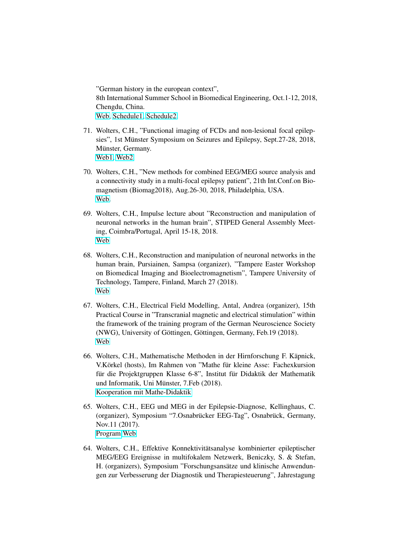"German history in the european context", 8th International Summer School in Biomedical Engineering, Oct.1-12, 2018, Chengdu, China. [Web,](https://www.tu-ilmenau.de/bmti/bme-school-2018/) [Schedule1,](https://www.tu-ilmenau.de/fileadmin/media/bmti/wiss_ver/ISS2018/Schedule_21_09_2018.pdf) [Schedule2.](http://www.sci.utah.edu/~wolters/PaperWolters/2018/Schedule_Summerschool_Chengdu_2018.pdf)

- 71. Wolters, C.H., "Functional imaging of FCDs and non-lesional focal epilepsies", 1st Münster Symposium on Seizures and Epilepsy, Sept.27-28, 2018, Münster, Germany. [Web1,](http://www.sci.utah.edu/~wolters/PaperWolters/2018/1Muenster-Symposium_Seizures-Epilepsy_2018.pdf) [Web2.](https://www.ukm.de/fileadmin/ukminternet/daten/zentralauftritt/veranstaltungen/2018/1.Muenster-Symposium__Seizures-Epilepsy_2018_final.pdf)
- 70. Wolters, C.H., "New methods for combined EEG/MEG source analysis and a connectivity study in a multi-focal epilepsy patient", 21th Int.Conf.on Biomagnetism (Biomag2018), Aug.26-30, 2018, Philadelphia, USA. [Web.](http://www.biomag2018.org/program/#pan2)
- 69. Wolters, C.H., Impulse lecture about "Reconstruction and manipulation of neuronal networks in the human brain", STIPED General Assembly Meeting, Coimbra/Portugal, April 15-18, 2018. [Web](http://www.stiped.eu/home/)
- 68. Wolters, C.H., Reconstruction and manipulation of neuronal networks in the human brain, Pursiainen, Sampsa (organizer), "Tampere Easter Workshop on Biomedical Imaging and Bioelectromagnetism", Tampere University of Technology, Tampere, Finland, March 27 (2018). [Web](http://www.sci.utah.edu/~wolters/PaperWolters/2018/TampereEasterWorkshop2018.pdf)
- 67. Wolters, C.H., Electrical Field Modelling, Antal, Andrea (organizer), 15th Practical Course in "Transcranial magnetic and electrical stimulation" within the framework of the training program of the German Neuroscience Society (NWG), University of Göttingen, Göttingen, Germany, Feb.19 (2018). [Web](http://www.neurologie.uni-goettingen.de/files/Medien/PDF/Program_NWG_2018.pdf)
- 66. Wolters, C.H., Mathematische Methoden in der Hirnforschung F. Käpnick, V.Körkel (hosts), Im Rahmen von "Mathe für kleine Asse: Fachexkursion für die Projektgruppen Klasse 6-8", Institut für Didaktik der Mathematik und Informatik, Uni Münster, 7.Feb (2018). [Kooperation mit Mathe-Didaktik](http://wwwmath.uni-muenster.de/42/arbeitsgruppen/ag-prof-kaepnick/mathe-fuer-kleine-asse/kooperationspartner/)
- 65. Wolters, C.H., EEG und MEG in der Epilepsie-Diagnose, Kellinghaus, C. (organizer), Symposium "7.Osnabrücker EEG-Tag", Osnabrück, Germany, Nov.11 (2017). [Program](http://www.sci.utah.edu/~wolters/PaperWolters/2017/Flyer_EEG-Tag_2017.pdf) [Web](https://www.klinikum-os.de/event/7-osnabruecker-eeg-tag/)
- 64. Wolters, C.H., Effektive Konnektivitätsanalyse kombinierter epileptischer MEG/EEG Ereignisse in multifokalem Netzwerk, Beniczky, S. & Stefan, H. (organizers), Symposium "Forschungsansätze und klinische Anwendungen zur Verbesserung der Diagnostik und Therapiesteuerung", Jahrestagung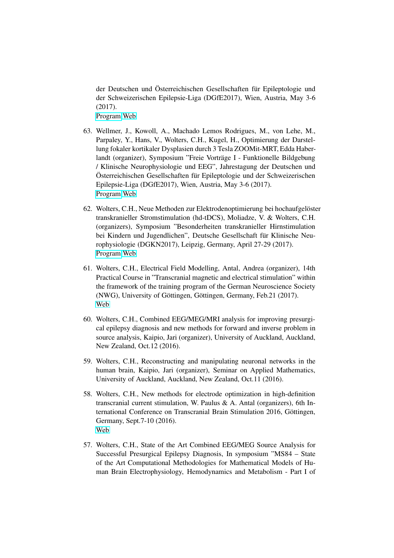der Deutschen und Österreichischen Gesellschaften für Epileptologie und der Schweizerischen Epilepsie-Liga (DGfE2017), Wien, Austria, May 3-6 (2017). [Program](http://www.sci.utah.edu/~wolters/PaperWolters/2017/DGfE_2017_Programm.pdf) [Web](http://www.epilepsie-tagung.de/index.php?eID=tx_nawsecuredl&u=0&g=0&t=901494405665&hash=7af1e65e8ea15b46fa93802e366c4ca0856661ee&file=fileadmin/congress/media/dgfe2017/druckelemente/Epilepsie2017_Programm.pdf)

63. Wellmer, J., Kowoll, A., Machado Lemos Rodrigues, M., von Lehe, M., Parpaley, Y., Hans, V., Wolters, C.H., Kugel, H., Optimierung der Darstellung fokaler kortikaler Dysplasien durch 3 Tesla ZOOMit-MRT, Edda Haberlandt (organizer), Symposium "Freie Vorträge I - Funktionelle Bildgebung / Klinische Neurophysiologie und EEG", Jahrestagung der Deutschen und Österreichischen Gesellschaften für Epileptologie und der Schweizerischen Epilepsie-Liga (DGfE2017), Wien, Austria, May 3-6 (2017). [Program](http://www.sci.utah.edu/~wolters/PaperWolters/2017/DGfE_2017_Programm.pdf) [Web](http://www.epilepsie-tagung.de/index.php?eID=tx_nawsecuredl&u=0&g=0&t=901494405665&hash=7af1e65e8ea15b46fa93802e366c4ca0856661ee&file=fileadmin/congress/media/dgfe2017/druckelemente/Epilepsie2017_Programm.pdf)

- 62. Wolters, C.H., Neue Methoden zur Elektrodenoptimierung bei hochaufgelöster transkranieller Stromstimulation (hd-tDCS), Moliadze, V. & Wolters, C.H. (organizers), Symposium "Besonderheiten transkranieller Hirnstimulation bei Kindern und Jugendlichen", Deutsche Gesellschaft für Klinische Neurophysiologie (DGKN2017), Leipzig, Germany, April 27-29 (2017). [Program](http://www.sci.utah.edu/~wolters/PaperWolters/2017/DGKN_2017_Programm.pdf) [Web](http://www.dgkn-kongress.de/index.php?eID=tx_nawsecuredl&u=0&g=0&t=901494404956&hash=e069fe79172dd4d9d679cd333a925b289dd0531b&file=fileadmin/congress/media/dgkn2017/pdf/DGKN_2017_Programm_WEB.pdf)
- 61. Wolters, C.H., Electrical Field Modelling, Antal, Andrea (organizer), 14th Practical Course in "Transcranial magnetic and electrical stimulation" within the framework of the training program of the German Neuroscience Society (NWG), University of Göttingen, Göttingen, Germany, Feb.21 (2017). [Web](http://www.neurologie.uni-goettingen.de/files/Medien/PDF/NWG_Goettingen_Program_2017.pdf)
- 60. Wolters, C.H., Combined EEG/MEG/MRI analysis for improving presurgical epilepsy diagnosis and new methods for forward and inverse problem in source analysis, Kaipio, Jari (organizer), University of Auckland, Auckland, New Zealand, Oct.12 (2016).
- 59. Wolters, C.H., Reconstructing and manipulating neuronal networks in the human brain, Kaipio, Jari (organizer), Seminar on Applied Mathematics, University of Auckland, Auckland, New Zealand, Oct.11 (2016).
- 58. Wolters, C.H., New methods for electrode optimization in high-definition transcranial current stimulation, W. Paulus & A. Antal (organizers), 6th International Conference on Transcranial Brain Stimulation 2016, Göttingen, Germany, Sept.7-10 (2016). [Web](http://www.tbs-conference.de/general-information/welcome-to-goettingen/)
- 57. Wolters, C.H., State of the Art Combined EEG/MEG Source Analysis for Successful Presurgical Epilepsy Diagnosis, In symposium "MS84 – State of the Art Computational Methodologies for Mathematical Models of Human Brain Electrophysiology, Hemodynamics and Metabolism - Part I of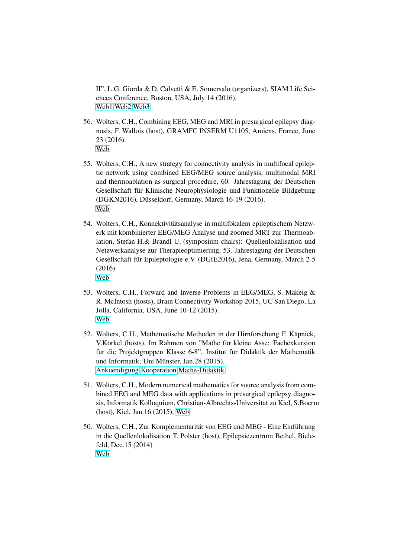II", L.G. Giorda & D. Calvetti & E. Somersalo (organizers), SIAM Life Sciences Conference, Boston, USA, July 14 (2016). [Web1](http://meetings.siam.org/sess/dsp_talk.cfm?p=78702) [Web2](http://meetings.siam.org/sess/dsp_programsess.cfm?SESSIONCODE=23519) [Web3](http://www.siam.org/meetings/ls16/)

- 56. Wolters, C.H., Combining EEG, MEG and MRI in presurgical epilepsy diagnosis, F. Wallois (host), GRAMFC INSERM U1105, Amiens, France, June 23 (2016). [Web](https://www.u-picardie.fr/labo/GRAMFC/index.php?lang=en)
- 55. Wolters, C.H., A new strategy for connectivity analysis in multifocal epileptic network using combined EEG/MEG source analysis, multimodal MRI and thermoablation as surgical procedure, 60. Jahrestagung der Deutschen Gesellschaft für Klinische Neurophysiologie und Funktionelle Bildgebung (DGKN2016), Düsseldorf, Germany, March 16-19 (2016). [Web](http://www.dgkn-kongress.de/programm/wissenschaftliches-programm/)
- 54. Wolters, C.H., Konnektivitätsanalyse in multifokalem epileptischem Netzwerk mit kombinierter EEG/MEG Analyse und zoomed MRT zur Thermoablation, Stefan H.& Brandl U. (symposium chairs): Quellenlokalisation und Netzwerkanalyse zur Therapieoptimierung, 53. Jahrestagung der Deutschen Gesellschaft für Epileptologie e.V. (DGfE2016), Jena, Germany, March 2-5 (2016). [Web](http://www.epilepsie2016.de/)
- 53. Wolters, C.H., Forward and Inverse Problems in EEG/MEG, S. Makeig & R. McIntosh (hosts), Brain Connectivity Workshop 2015, UC San Diego, La Jolla, California, USA, June 10-12 (2015). [Web](http://sccn.ucsd.edu/BrainConnectivityWorkshop2015/)
- 52. Wolters, C.H., Mathematische Methoden in der Hirnforschung F. Käpnick, V.Körkel (hosts), Im Rahmen von "Mathe für kleine Asse: Fachexkursion für die Projektgruppen Klasse 6-8", Institut für Didaktik der Mathematik und Informatik, Uni Münster, Jan.28 (2015). [Ankuendigung](http://www.sci.utah.edu/~wolters/PaperWolters/2015/MatheFuerKleineAsse2015.pdf) [Kooperation](http://wwwmath.uni-muenster.de/42/arbeitsgruppen/ag-prof-kaepnick/mathe-fuer-kleine-asse/kooperationspartner/) [Mathe-Didaktik](http://wwwmath.uni-muenster.de/42/institute/didaktik/)
- 51. Wolters, C.H., Modern numerical mathematics for source analysis from combined EEG and MEG data with applications in presurgical epilepsy diagnosis, Informatik Kolloquium, Christian-Albrechts-Universität zu Kiel, S.Boerm (host), Kiel, Jan.16 (2015), [Web.](http://www.tf.uni-kiel.de/de/das-dekanat/aktuelles-termine/kolloquien/kolloquien-ws-2014-15)
- 50. Wolters, C.H., Zur Komplementarität von EEG und MEG Eine Einführung in die Quellenlokalisation T. Polster (host), Epilepsiezentrum Bethel, Bielefeld, Dec.15 (2014) [Web](http://www.mara.de/epilepsie-zentrum/fortbildung/fortbildungskalender.html)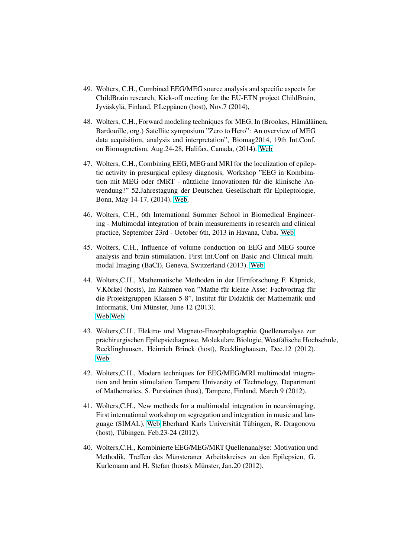- 49. Wolters, C.H., Combined EEG/MEG source analysis and specific aspects for ChildBrain research, Kick-off meeting for the EU-ETN project ChildBrain, Jyväskylä, Finland, P.Leppänen (host), Nov.7 (2014),
- 48. Wolters, C.H., Forward modeling techniques for MEG, In (Brookes, Hämäläinen, Bardouille, org.) Satellite symposium "Zero to Hero": An overview of MEG data acquisition, analysis and interpretation", Biomag2014, 19th Int.Conf. on Biomagnetism, Aug.24-28, Halifax, Canada, (2014). [Web](http://www.biomag2014.org/)
- 47. Wolters, C.H., Combining EEG, MEG and MRI for the localization of epileptic activity in presurgical epilesy diagnosis, Workshop "EEG in Kombination mit MEG oder fMRT - nützliche Innovationen für die klinische Anwendung?" 52.Jahrestagung der Deutschen Gesellschaft für Epileptologie, Bonn, May 14-17, (2014). [Web.](http://www.epilepsie2014.de/)
- 46. Wolters, C.H., 6th International Summer School in Biomedical Engineering - Multimodal integration of brain measurements in research and clinical practice, September 23rd - October 6th, 2013 in Havana, Cuba. [Web.](http://www.tu-ilmenau.de/ia/veranstaltungen-ereignisse/6th-international-summer-school-in-biomedical-engineering/)
- 45. Wolters, C.H., Influence of volume conduction on EEG and MEG source analysis and brain stimulation, First Int.Conf on Basic and Clinical multimodal Imaging (BaCI), Geneva, Switzerland (2013). [Web,](http://www.baci2013.ch)
- 44. Wolters, C.H., Mathematische Methoden in der Hirnforschung F. Käpnick, V.Körkel (hosts), Im Rahmen von "Mathe für kleine Asse: Fachvortrag für die Projektgruppen Klassen 5-8", Institut für Didaktik der Mathematik und Informatik, Uni Münster, June 12 (2013). [Web](http://www.sci.utah.edu/~wolters/PaperWolters/2013/2013_06_12_Vortrag_Wolters.pdf) [Web](http://wwwmath.uni-muenster.de/42/institute/didaktik/)
- 43. Wolters,C.H., Elektro- und Magneto-Enzephalographie Quellenanalyse zur prächirurgischen Epilepsiediagnose, Molekulare Biologie, Westfälische Hochschule, Recklinghausen, Heinrich Brinck (host), Recklinghausen, Dec.12 (2012). [Web](http://www.bio.w-hs.de/campusleben/dokumente/Vortrag_Wolters2.pdf)
- 42. Wolters,C.H., Modern techniques for EEG/MEG/MRI multimodal integration and brain stimulation Tampere University of Technology, Department of Mathematics, S. Pursiainen (host), Tampere, Finland, March 9 (2012).
- 41. Wolters,C.H., New methods for a multimodal integration in neuroimaging, First international workshop on segregation and integration in music and lan-guage (SIMAL), [Web](http://www.simal2012.de/) Eberhard Karls Universität Tübingen, R. Dragonova  $(host)$ , Tübingen, Feb. 23-24 (2012).
- 40. Wolters,C.H., Kombinierte EEG/MEG/MRT Quellenanalyse: Motivation und Methodik, Treffen des Münsteraner Arbeitskreises zu den Epilepsien, G. Kurlemann and H. Stefan (hosts), Münster, Jan.20 (2012).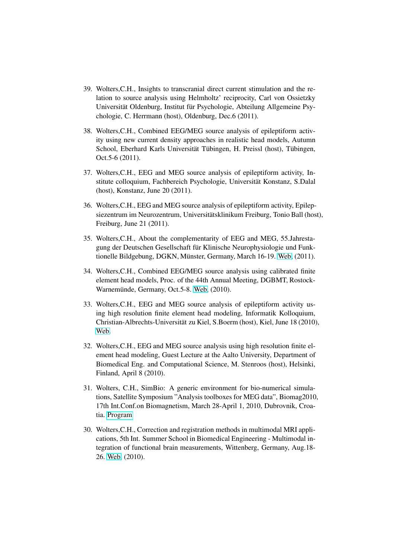- 39. Wolters,C.H., Insights to transcranial direct current stimulation and the relation to source analysis using Helmholtz' reciprocity, Carl von Ossietzky Universität Oldenburg, Institut für Psychologie, Abteilung Allgemeine Psychologie, C. Herrmann (host), Oldenburg, Dec.6 (2011).
- 38. Wolters,C.H., Combined EEG/MEG source analysis of epileptiform activity using new current density approaches in realistic head models, Autumn School, Eberhard Karls Universität Tübingen, H. Preissl (host), Tübingen, Oct.5-6 (2011).
- 37. Wolters,C.H., EEG and MEG source analysis of epileptiform activity, Institute colloquium, Fachbereich Psychologie, Universität Konstanz, S.Dalal (host), Konstanz, June 20 (2011).
- 36. Wolters,C.H., EEG and MEG source analysis of epileptiform activity, Epilepsiezentrum im Neurozentrum, Universitätsklinikum Freiburg, Tonio Ball (host), Freiburg, June 21 (2011).
- 35. Wolters,C.H., About the complementarity of EEG and MEG, 55.Jahrestagung der Deutschen Gesellschaft für Klinische Neurophysiologie und Funk-tionelle Bildgebung, DGKN, Münster, Germany, March 16-19. [Web,](http://www.dgkn.de/index.php?id=62) (2011).
- 34. Wolters,C.H., Combined EEG/MEG source analysis using calibrated finite element head models, Proc. of the 44th Annual Meeting, DGBMT, Rostock-Warnemünde, Germany, Oct.5-8. [Web,](http://conference.vde.com/bmt-2010) (2010).
- 33. Wolters,C.H., EEG and MEG source analysis of epileptiform activity using high resolution finite element head modeling, Informatik Kolloquium, Christian-Albrechts-Universität zu Kiel, S.Boerm (host), Kiel, June 18 (2010), [Web.](http://www.informatik.uni-kiel.de/ifi/veranstaltungen/informatik-kolloquium/)
- 32. Wolters,C.H., EEG and MEG source analysis using high resolution finite element head modeling, Guest Lecture at the Aalto University, Department of Biomedical Eng. and Computational Science, M. Stenroos (host), Helsinki, Finland, April 8 (2010).
- 31. Wolters, C.H., SimBio: A generic environment for bio-numerical simulations, Satellite Symposium "Analysis toolboxes for MEG data", Biomag2010, 17th Int.Conf.on Biomagnetism, March 28-April 1, 2010, Dubrovnik, Croatia. [Program](http://www.sci.utah.edu/~wolters/PaperWolters/2010/Biomag2010Program.pdf)
- 30. Wolters,C.H., Correction and registration methods in multimodal MRI applications, 5th Int. Summer School in Biomedical Engineering - Multimodal integration of functional brain measurements, Wittenberg, Germany, Aug.18- 26. [Web,](http://www.tu-ilmenau.de/fakia/Summerschool-2010.summerschool-20090.0.html) (2010).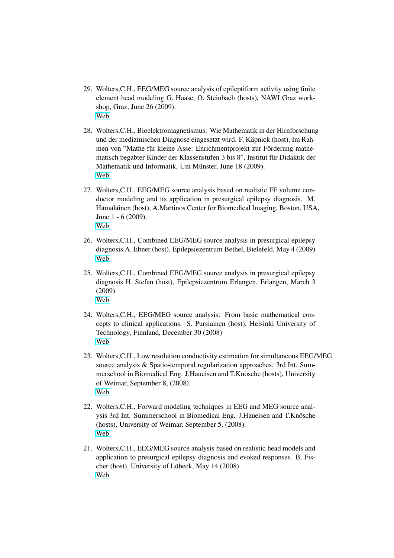- 29. Wolters,C.H., EEG/MEG source analysis of epileptiform activity using finite element head modeling G. Haase, O. Steinbach (hosts), NAWI Graz workshop, Graz, June 26 (2009). [Web](http://www.nawigraz.at)
- 28. Wolters,C.H., Bioelektromagnetismus: Wie Mathematik in der Hirnforschung und der medizinischen Diagnose eingesetzt wird. F. Käpnick (host), Im Rahmen von "Mathe für kleine Asse: Enrichmentprojekt zur Förderung mathematisch begabter Kinder der Klassenstufen 3 bis 8", Institut für Didaktik der Mathematik und Informatik, Uni Münster, June 18 (2009). [Web](http://wwwmath.uni-muenster.de/42/institute/didaktik/)
- 27. Wolters,C.H., EEG/MEG source analysis based on realistic FE volume conductor modeling and its application in presurgical epilepsy diagnosis. M. Hämäläinen (host), A.Martinos Center for Biomedical Imaging, Boston, USA, June 1 - 6 (2009). [Web](http://www.nmr.mgh.harvard.edu/martinos/flashHome.php)
- 26. Wolters,C.H., Combined EEG/MEG source analysis in presurgical epilepsy diagnosis A. Ebner (host), Epilepsiezentrum Bethel, Bielefeld, May 4 (2009) [Web](http://www.bethel.de/bethel_de/angebote/epilepsie/epilepsie_zentrum_bethel.php)
- 25. Wolters,C.H., Combined EEG/MEG source analysis in presurgical epilepsy diagnosis H. Stefan (host), Epilepsiezentrum Erlangen, Erlangen, March 3 (2009) [Web](http://www.zee.med.uni-erlangen.de)
- 24. Wolters,C.H., EEG/MEG source analysis: From basic mathematical concepts to clinical applications. S. Pursiainen (host), Helsinki University of Technology, Finnland, December 30 (2008) [Web](http://math.tkk.fi/en/)
- 23. Wolters,C.H., Low resolution conductivity estimation for simultaneous EEG/MEG source analysis & Spatio-temporal regularization approaches. 3rd Int. Summerschool in Biomedical Eng. J.Haueisen and T.Knösche (hosts), University of Weimar, September 8, (2008). [Web](http://wcms1.rz.tu-ilmenau.de/fakia/?id=6825)
- 22. Wolters,C.H., Forward modeling techniques in EEG and MEG source analysis 3rd Int. Summerschool in Biomedical Eng. J.Haueisen and T.Knösche (hosts), University of Weimar, September 5, (2008). [Web](http://wcms1.rz.tu-ilmenau.de/fakia/?id=6825)
- 21. Wolters,C.H., EEG/MEG source analysis based on realistic head models and application to presurgical epilepsy diagnosis and evoked responses. B. Fischer (host), University of Lübeck, May 14 (2008) [Web](http://www.math.uni-luebeck.de)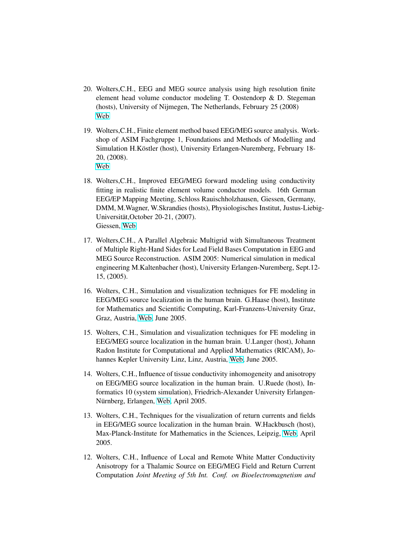- 20. Wolters,C.H., EEG and MEG source analysis using high resolution finite element head volume conductor modeling T. Oostendorp & D. Stegeman (hosts), University of Nijmegen, The Netherlands, February 25 (2008) [Web](http://www.umcn.nl)
- 19. Wolters,C.H., Finite element method based EEG/MEG source analysis. Workshop of ASIM Fachgruppe 1, Foundations and Methods of Modelling and Simulation H.Köstler (host), University Erlangen-Nuremberg, February 18-20, (2008). [Web](http://www10.informatik.uni-erlangen.de/Misc/ASIM2008/schedule.shtml)
- 18. Wolters,C.H., Improved EEG/MEG forward modeling using conductivity fitting in realistic finite element volume conductor models. 16th German EEG/EP Mapping Meeting, Schloss Rauischholzhausen, Giessen, Germany, DMM, M.Wagner, W.Skrandies (hosts), Physiologisches Institut, Justus-Liebig-Universität, October 20-21, (2007). Giessen, [Web](http://www.med.uni-giessen.de/physio/)
- 17. Wolters,C.H., A Parallel Algebraic Multigrid with Simultaneous Treatment of Multiple Right-Hand Sides for Lead Field Bases Computation in EEG and MEG Source Reconstruction. ASIM 2005: Numerical simulation in medical engineering M.Kaltenbacher (host), University Erlangen-Nuremberg, Sept.12- 15, (2005).
- 16. Wolters, C.H., Simulation and visualization techniques for FE modeling in EEG/MEG source localization in the human brain. G.Haase (host), Institute for Mathematics and Scientific Computing, Karl-Franzens-University Graz, Graz, Austria, [Web,](http://www.kfunigraz.ac.at/imawww) June 2005.
- 15. Wolters, C.H., Simulation and visualization techniques for FE modeling in EEG/MEG source localization in the human brain. U.Langer (host), Johann Radon Institute for Computational and Applied Mathematics (RICAM), Johannes Kepler University Linz, Linz, Austria, [Web,](http://www.ricam.oeaw.ac.at) June 2005.
- 14. Wolters, C.H., Influence of tissue conductivity inhomogeneity and anisotropy on EEG/MEG source localization in the human brain. U.Ruede (host), Informatics 10 (system simulation), Friedrich-Alexander University Erlangen-Nürnberg, Erlangen, [Web,](http://www10.informatik.uni-erlangen.de) April 2005.
- 13. Wolters, C.H., Techniques for the visualization of return currents and fields in EEG/MEG source localization in the human brain. W.Hackbusch (host), Max-Planck-Institute for Mathematics in the Sciences, Leipzig, [Web,](http://www.mis.mpg.de) April 2005.
- 12. Wolters, C.H., Influence of Local and Remote White Matter Conductivity Anisotropy for a Thalamic Source on EEG/MEG Field and Return Current Computation *Joint Meeting of 5th Int. Conf. on Bioelectromagnetism and*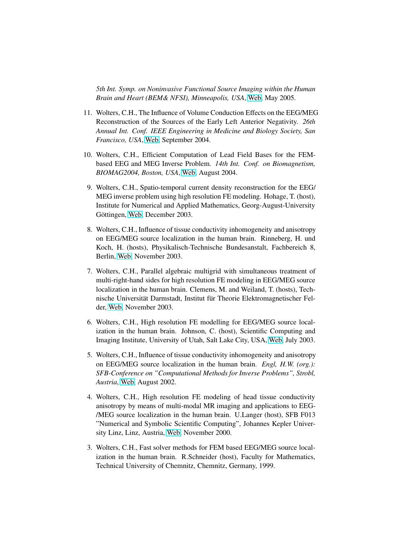*5th Int. Symp. on Noninvasive Functional Source Imaging within the Human Brain and Heart (BEM& NFSI), Minneapolis, USA*, [Web,](http://bemnfsi.umn.edu) May 2005.

- 11. Wolters, C.H., The Influence of Volume Conduction Effects on the EEG/MEG Reconstruction of the Sources of the Early Left Anterior Negativity. *26th Annual Int. Conf. IEEE Engineering in Medicine and Biology Society, San Francisco, USA*, [Web,](http://www.ucsfresno.edu/embs2004) September 2004.
- 10. Wolters, C.H., Efficient Computation of Lead Field Bases for the FEMbased EEG and MEG Inverse Problem. *14th Int. Conf. on Biomagnetism, BIOMAG2004, Boston, USA*, [Web,](http://www.biomag2004.org) August 2004.
- 9. Wolters, C.H., Spatio-temporal current density reconstruction for the EEG/ MEG inverse problem using high resolution FE modeling. Hohage, T. (host), Institute for Numerical and Applied Mathematics, Georg-August-University Göttingen, [Web,](http://www.num.math.uni-goettingen.de) December 2003.
- 8. Wolters, C.H., Influence of tissue conductivity inhomogeneity and anisotropy on EEG/MEG source localization in the human brain. Rinneberg, H. und Koch, H. (hosts), Physikalisch-Technische Bundesanstalt, Fachbereich 8, Berlin, [Web,](http://www.ptb.de) November 2003.
- 7. Wolters, C.H., Parallel algebraic multigrid with simultaneous treatment of multi-right-hand sides for high resolution FE modeling in EEG/MEG source localization in the human brain. Clemens, M. and Weiland, T. (hosts), Technische Universität Darmstadt, Institut für Theorie Elektromagnetischer Felder, [Web,](http://www.temf.de) November 2003.
- 6. Wolters, C.H., High resolution FE modelling for EEG/MEG source localization in the human brain. Johnson, C. (host), Scientific Computing and Imaging Institute, University of Utah, Salt Lake City, USA, [Web,](http://www.sci.utah.edu) July 2003.
- 5. Wolters, C.H., Influence of tissue conductivity inhomogeneity and anisotropy on EEG/MEG source localization in the human brain. *Engl, H.W. (org.): SFB-Conference on "Computational Methods for Inverse Problems", Strobl, Austria*, [Web,](http://www.sfb013.uni-linz.ac.at) August 2002.
- 4. Wolters, C.H., High resolution FE modeling of head tissue conductivity anisotropy by means of multi-modal MR imaging and applications to EEG- /MEG source localization in the human brain. U.Langer (host), SFB F013 "Numerical and Symbolic Scientific Computing", Johannes Kepler University Linz, Linz, Austria, [Web,](http://www.sfb013.uni-linz.ac.at) November 2000.
- 3. Wolters, C.H., Fast solver methods for FEM based EEG/MEG source localization in the human brain. R.Schneider (host), Faculty for Mathematics, Technical University of Chemnitz, Chemnitz, Germany, 1999.